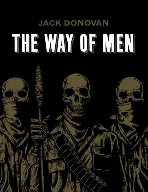# **JACK DONOVAN** THE WAY OF MEN

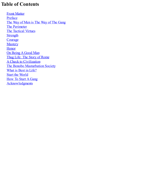## **Table of Contents**

**Front [Matter](#page-3-0) [Preface](#page-5-0)** The Way of Men is The Way of The [Gang](#page-6-0) The [Perimeter](#page-8-0) The [Tactical](#page-15-0) Virtues **[Strength](#page-19-0) [Courage](#page-23-0) [Mastery](#page-30-0) [Honor](#page-34-0)** On [Being](#page-42-0) A Good Man Thug Life: The Story of [Rome](#page-51-0) A Check to [Civilization](#page-55-0) The Bonobo [Masturbation](#page-64-0) Society [What](#page-77-0) is Best in Life? Start the [World](#page-83-0) How To Start A [Gang](#page-91-0) **[Acknowledgments](#page-96-0)**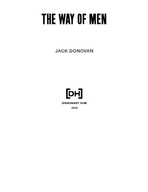## THE WAY OF MEN

**JACK DONOVAN** 

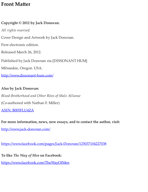## <span id="page-3-0"></span>**Front Matter**

#### **Copyright © 2012 by Jack Donovan.**

*All rights reserved.*

Cover Design and Artwork by Jack Donovan.

First electronic edition.

Released March 26, 2012.

Published by Jack Donovan via [DISSONANT HUM]

Milwaukie, Oregon. USA.

<http://www.dissonant-hum.com/>

#### **Also by Jack Donovan:**

*Blood-Brotherhood and Other Rites of Male Alliance*

(Co-authored with Nathan F. Miller)

ASIN: [B005FLU4ZA](http://www.amazon.com/Blood-Brotherhood-Other-Rites-Alliance-ebook/dp/B005FLU4ZA/)

**For more information, news, new essays, and to contact the author, visit:** <http://www.jack-donovan.com/>

<https://www.facebook.com/pages/Jack-Donovan/125037104227038>

**To like** *The Way of Men* **on Facebook:** <https://www.facebook.com/TheWayOfMen>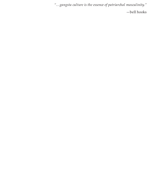*"…gangsta culture is the essence of patriarchal masculinity."* —bell hooks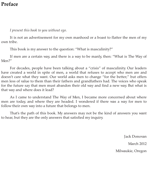## <span id="page-5-0"></span>**Preface**

*I present this book to you without ego.*

It is not an advertisement for my own manhood or a boast to flatter the men of my own tribe.

This book is my answer to the question: "What is masculinity?"

If men are a certain way, and there is a way to be manly, then: "What is The Way of Men?"

For decades, people have been talking about a "crisis" of masculinity. Our leaders have created a world in spite of men, a world that refuses to accept who men are and doesn't care what they want. Our world asks men to change "for the better," but offers men less of value to them than their fathers and grandfathers had. The voices who speak for the future say that men must abandon their old way and find a new way. But what is that way and where does it lead?

As I came to understand The Way of Men, I became more concerned about where men are today, and where they are headed. I wondered if there was a way for men to follow their own way into a future that belongs to men.

That's the path of this book. My answers may not be the kind of answers you want to hear, but they are the only answers that satisfied my inquiry.

Jack Donovan

March 2012

Milwaukie, Oregon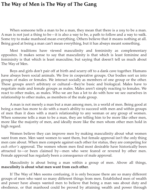## <span id="page-6-0"></span>**The Way of Men is The Way of The Gang**

When someone tells a man to be a man, they mean that there is a *way* to be a man. A man is not just a thing to be—it is also a way to be, a path to follow and a way to walk. Some try to make manhood mean everything. Others believe that it means nothing at all. Being good at being a man can't mean everything, but it has always meant something.

Most traditions have viewed masculinity and femininity as complementary opposites. It makes sense to say that masculinity is that which is least feminine and femininity is that which is least masculine, but saying that doesn't tell us much about The Way of Men.

Boys and girls don't pair off at birth and scurry off to a dank cave together. Humans have always been social animals. We live in cooperative groups. Our bodies sort us into groups of males or females. We interact socially as members of one group or the other. These groups aren't arbitrary or cultural—they're basic and biological. Males have to negotiate male and female groups as males. Males aren't simply reacting to females. We react to other males, as males. Who we are has a lot to do with how we see ourselves in relationship to other males, as members of the male group.

A man is not merely a man but a man among men, in a world of men. Being good at being a man has more to do with a man's ability to succeed with men and within groups of men than it does with a man's relationship to any woman or any group of women. When someone tells a man to be a man, they are telling him to be more like other men, more like the majority of men, and ideally more like the men whom other men hold in high regard.

Women believe they can improve men by making masculinity about what women want from men. Men want women to want them, but female approval isn't the only thing men care about. When men compete against each other for status, they are competing for *each other's* approval. The women whom men find most desirable have historically been attracted to—or been claimed by—men who were feared or revered by other men. Female approval has regularly been a consequence of male approval.

Masculinity is about being a man within a group of men. Above all things, **masculinity is about what men want from each other**.

If The Way of Men seems confusing, it is only because there are so many different groups of men who want so many different things from men. Established men of wealth and power have always wanted men to believe that being a man was about duty and obedience, or that manhood could be proved by attaining wealth and power through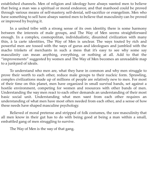established channels. Men of religion and ideology have always wanted men to believe that being a man was a spiritual or moral endeavor, and that manhood could be proved through various means of self-mastery, self-denial, self-sacrifice or evangelism. Men who have something to sell have always wanted men to believe that masculinity can be proved or improved by buying it.

In a united tribe with a strong sense of its own identity, there is some harmony between the interests of male groups, and The Way of Men seems straightforward enough. In a complex, cosmopolitan, individualistic, disunited civilization with many thin, à la carte identities, The Way of Men is unclear. The ways touted by rich and powerful men are tossed with the ways of gurus and ideologues and jumbled with the macho trinkets of merchants in such a mess that it's easy to see why some say masculinity can mean anything, everything, or nothing at all. Add to that the "improvements" suggested by women and The Way of Men becomes an unreadable map to a junkyard of ideals.

To understand who men are, what they have in common and why men struggle to prove their worth to each other, reduce male groups to their nucleic form. Sprawling, complex civilizations made up of millions of people are relatively new to men. For most of their time on this planet, men have organized in small survival bands, set against a hostile environment, competing for women and resources with other bands of men. Understanding the way men react to each other demands an understanding of their most basic social unit. Understanding what men want from each other requires an understanding of what men have most often needed from each other, and a sense of how these needs have shaped masculine psychology.

Relieved of moral pretense and stripped of folk costumes, the raw masculinity that all men know in their gut has to do with being good at being a man within a small, embattled gang of men struggling to survive.

The Way of Men is the way of that gang.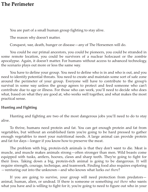## <span id="page-8-0"></span>**The Perimeter**

You are part of a small human group fighting to stay alive.

The reason why doesn't matter.

Conquest, war, death, hunger or disease—any of The Horsemen will do.

You could be our primal ancestors, you could be pioneers, you could be stranded in some remote location, you could be survivors of a nuclear holocaust or the zombie apocalypse. Again, it doesn't matter. For humans without access to advanced technology, the scenario plays out more or less the same way.

You have to define your group. You need to define who is in and who is out, and you need to identify potential threats. You need to create and maintain some sort of safe zone around the perimeter of your group. Everyone will have to contribute to the group's survival in some way unless the group agrees to protect and feed someone who can't contribute due to age or illness. For those who can work, you'll need to decide who does what, based on what they are good at, who works well together, and what makes the most practical sense.

#### **Hunting and Fighting**

Hunting and fighting are two of the most dangerous jobs you'll need to do to stay alive.

To thrive, humans need protein and fat. You can get enough protein and fat from vegetables, but without an established farm you're going to be hard pressed to gather enough vegetables to meet your nutritional needs. A large animal can provide protein and fat for days—longer if you know how to preserve the meat.

The problem with big, protein-rich animals is that they don't want to die. Meat is muscle, and muscle makes animals strong—often stronger than men. Wild beasts come equipped with tusks, antlers, hooves, claws and sharp teeth. They're going to fight for their lives. Taking down a big, protein-rich animal is going to be dangerous. It will require strength, courage, technique, and teamwork. Finding food also requires exploring —venturing out into the unknown—and who knows what lurks *out there*?

If you are going to survive, your group will need protection from predators animal, human, alien, or undead. If there is someone or something *out there* who wants what you have and is willing to fight for it, you're going to need to figure out who in your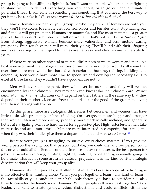group is going to be willing to fight back. You'll want the people who are best at fighting to stand watch, to defend everything you care about, or to go out and eliminate a potential threat. If someone or something has something that you need, the best way to get it may be to take it. *Who in your group will be willing and able to do that?*

Maybe females are part of your group. Maybe they aren't. If females are with you, they won't have access to reliable birth control. Males and females won't stop having sex, and females will get pregnant. Humans are mammals, and like most mammals, a greater part of the reproductive burden will fall on women. That's not fair, but *nature isn't fair*. Even strong, aggressive women become more vulnerable and less mobile during pregnancy. Even tough women will nurse their young. They'll bond with their offspring and take to caring for them quickly. Babies are helpless, and children are vulnerable for years.

If there were no other physical or mental differences between women and men, in a hostile environment the biological realities of human reproduction would still mean that over time more men would be charged with exploring, hunting, fighting, building, and defending. Men would have more time to specialize and develop the necessary skills to excel at those tasks. They wouldn't have a good excuse not to.

Men will never get pregnant, they will never be nursing, and they will be less encumbered by their children. They may not even know who their children are. *Women know who their kids are*. Children don't depend on their fathers in the same way that they depend on their mothers. Men are freer to take risks for the good of the group, believing that their offspring will live on.

As things are, there are biological differences between men and women that have little to do with pregnancy or breastfeeding. On average, men are bigger and stronger than women. Men are more daring, probably more mechanically inclined, and generally better at navigating. Men are hard wired for aggressive play. High testosterone men take more risks and seek more thrills. Men are more interested in competing for status, and when they win, their bodies give them a dopamine high and *more testosterone.* [\[1\]](#page-97-0)

Because your group is struggling to survive, every choice matters. If you give the wrong person the wrong job, that person could die, you could die, another person could die, or you could all die. Because of the differences between the sexes, the best person for jobs that involve exploring, hunting, fighting, building, or defending is usually going to be a male. This is not some arbitrary cultural prejudice; it is the kind of vital strategic discrimination that will keep your group alive.

Humans, like chimpanzees, will often hunt in teams because cooperative hunting is more effective than hunting alone. When you put together a team—any kind of team the raw skills of your candidates aren't the only factors you have to consider. You also have to consider the team's social dynamic. Which people will work best together? As a leader, you want to create synergy, reduce distractions, and avoid conflicts within the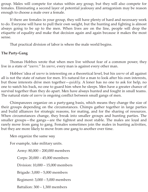group. Males will compete for status within any group, but they will also compete for females. Eliminating a second layer of potential jealousy and antagonism may be reason enough to choose a male over a female.

If there are females in your group, they will have plenty of hard and necessary work to do. Everyone will have to pull their own weight, but the hunting and fighting is almost always going to be up to the men. When lives are on the line, people will drop the etiquette of equality and make that decision again and again because it makes the most sense.

That practical division of labor is where the male world begins.

#### **The Party-Gang**

Thomas Hobbes wrote that when men live without fear of a common power, they live in a state of "*warre*." In *warre*, every man is against every other man.

Hobbes' idea of *warre* is interesting on a theoretical level, but his *warre* of all against all is not the state of nature for men. It's natural for a man to look after his own interests, but those interests drive men together—*quickly*. A loner has no one to ask for help, no one to watch his back, no one to guard him when he sleeps. Men have a greater chance of survival together than they do apart. Men have always hunted and fought in small teams. The natural state of *warre* is ongoing conflict between small gangs of men.

Chimpanzees organize on a party-gang basis, which means they change the size of their groups depending on the circumstances. Chimps gather together in large parties and build alliances for strategic reasons, for mating, and for the sharing of resources. When circumstances change, they break into smaller groups and hunting parties. The smaller groups—the gangs—are the tightest and most stable. The males are loyal and rarely move from gang to gang. Females sometimes join the males in hunting activities, but they are more likely to move from one gang to another over time.

Men organize the same way.

For example, take military units.

Army: 80,000 – 200,000 members

Corps: 20,000 – 45,000 members

Division: 10,000 – 15,000 members

Brigade: 3,000 – 5,000 members

Regiment: 3,000 – 5,000 members

Battalion: 300 – 1,300 members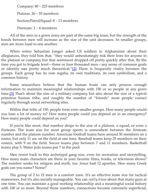Company: 80 – 225 members

Platoon: 26 – 55 members

Section/Patrol/Squad: 8 – 13 members

Fireteam: 2 – 4 members

All of the men in a given army are part of the same big team, but the strength of the bonds between men will increase as the size of the unit decreases. In smaller groups, men are more loyal to one another.

When writer Sebastian Junger asked US soldiers in Afghanistan about their allegiances, they told him that, "they would unhesitatingly risk their lives for anyone in the platoon or company, but that sentiment dropped off pretty quickly after that. By the time you got to brigade level—three or four thousand men—any sense of common goals or identity was pretty much theoretical." $[2]$  There is frequently rivalry between the groups. Each group has its own regalia, its own traditions, its own symbolism, and a common history.

Some researchers believe that the human brain can only process enough information to maintain meaningful relationships with 150 or so people at any given time.<sup>[3]</sup> That's about the size of a military company, but also about the size of a typical primitive human tribe, and roughly the number of "friends" most people contact regularly through social networking sites.

Within that tribe of 150, people form even smaller groups. How many people would you loan a lot of money to? How many people could you depend on in an emergency? How many people could depend on you?

If you're like most, that number drops to the size of a platoon, a squad, or even a fireteam. The team size for most group sports is somewhere between the fireteam number and the platoon number. American football teams have around 50 members on a roster, but only 11 are on the field at one time. Baseball teams keep 25 members on their rosters, with 9 on the field. Soccer teams play between 7 and 11 members. Basketball teams play 5. Water polo teams put 7 in the pool.

Men revert back to this archetypal gang size, even for recreation and storytelling. How many main characters are there in your favorite films, books, or television shows? The number works for religion and myth, too. Jesus had 12 apostles. How many Greek gods can you name? Norse?

The group of 2 to 15 men is a comfort zone. It's an effective team size for tactical maneuvers, but it's also socially manageable. You can *really know* about that many guys at one time. You can maintain a good working relationship and a meaningful social history with 100 or so more. Beyond those numbers, connections become extremely superficial,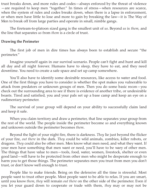trust breaks down, and more rules and codes—always enforced by the threat of violence —are required to keep men "together." In times of stress—when resources are scarce, when the system of rules and codes breaks down, when there is a lapse in enforcement, or when men have little to lose and more to gain by breaking the law—it is The Way of Men to break off from large parties and operate in small, nimble gangs.

The fireteam-to-platoon sized gang is the smallest unit of *us*. Beyond *us* is *them,* and the line that separates *us* from *them* is a circle of trust.

#### **Drawing the Perimeter**

The first job of men in dire times has always been to establish and secure "the perimeter."

Imagine yourself again in our survival scenario. People can't fight and hunt and kill all day and all night forever. Humans have to sleep, they have to eat, and they need downtime. You need to create a safe space and set up camp somewhere.

You'll also have to identify some desirable resources, like access to water and food. One of the first things you have to consider is whether the spot makes you vulnerable to attack from predators or unknown groups of men. Then you do some basic recon—you check out the surrounding area to see if there is evidence of another tribe, or undesirable beasts. Tired and satisfied, you and your pals set up a base camp and keep an eye on a rudimentary perimeter.

The survival of your group will depend on your ability to successfully claim land and keep it safe.

When you claim territory and draw a perimeter, that line separates your group from the rest of the world. The people inside the perimeter become *us* and everything known and unknown outside the perimeter becomes *them*.

Beyond the light of your night fire, there is darkness. *They* lie just beyond the flicker of your fire, *out there* in the dark. *They* could be wild animals, zombies, killer robots, or dragons. *They* could also be other men. Men know what men need, and what they want. If your men have something that men want or need, you'll have to be wary of other men. The things that have value to men—tools, food, water, women, livestock, shelter or even good land—will have to be protected from other men who might be desperate enough to harm you to get those things. The perimeter separates men you trust from men you don't trust, or don't know well enough to trust.

People like to make friends. Being on the defensive all the time is stressful. Most people want to trust other people. Most people want to be able to relax. If you are smart, until you know *them*, *they* will remain *out there* on the other side of the perimeter. Even if you let your guard down to cooperate or trade with them, *they* may or may not be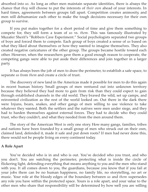absorbed into *us.* As long as other men maintain separate identities, there is always the chance that *they* will choose to put the interests of *their own* ahead of your interests. In hard times, agreements between groups fall apart. Competition creates animosity, and men will dehumanize each other to make the tough decisions necessary for their own group to survive.

If you put males together for a short period of time and give them something to compete for, they will form a team of *us* vs. *them.* This was famously illustrated by Muzafer Sherif's "Robbers Cave Experiment." Social psychologists separated two groups of boys and forced them to compete. Each group of boys created a sense of *us* based on what they liked about themselves or how they wanted to imagine themselves. They also created negative caricatures of the other group. The groups became hostile toward each other. However, when the researchers gave them a good enough reason to cooperate, the competing gangs were able to put aside their differences and join together in a larger party.

It has always been the job of men to draw the perimeter, to establish a safe space, to separate *us* from *them* and create a circle of trust.

The discovery of new land in the Americas made it possible for men to do this again in recent human history. Small groups of men ventured out into unknown territory because they believed they had more to gain from risk than they could expect to gain through established channels in the old world. They braved the wild, set up camps, and reinvented civilization as the rest of the world looked on. Out there in the dark there were Injuns, bears, snakes, and other gangs of men willing to use violence to take whatever they wanted. Both the settlers and the natives were men under siege, and they had to harden themselves against external forces. They had to decide who they could trust, who they couldn't, and what they needed from the men around them.

The story of the American West is only one story. How many gangs, families, tribes and nations have been founded by a small group of men who struck out on their own, claimed land, defended it, made it safe and put down roots? If men had never done this, there would not be people living on every continent today.

#### **A Role Apart**

You've decided who is in and who is out. You've decided who you trust, and who you don't. You are watching the perimeter, protecting what is inside the circle of flickering light, defending everything that means anything to you and the men who stand with you. It all comes down to you, the guardians, because you know that if you fail at your jobs there can be no human happiness, no family life, no storytelling, no art or music. Your role at the bloody edges of the boundary between *us* and *them* supersedes any role you have within the protected space. Yours is a role apart, and your value to the other men who share that responsibility will be determined by how well you are willing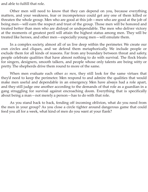and able to fulfill that role.

Other men will need to know that they can depend on you, because everything matters, and your weakness, fear or incompetence could get any one of them killed or threaten the whole group. Men who are good at this job—men who are good at the job of being men—will earn the respect and trust of the group. Those men will be honored and treated better than men who are disloyal or undependable. The men who deliver victory at the moments of greatest peril will attain the highest status among men. They will be treated like heroes, and other men—especially young men—will emulate them.

In a complex society, almost all of us live deep within the perimeter. We create our own circles and cliques, and we defend them metaphorically. We include people or exclude them for all kinds of reasons. Far from any boundary between threat and safety, people celebrate qualities that have almost nothing to do with survival. The flock bleats for singers, designers, smooth talkers, and people whose only talents are being witty or pretty. The shepherds drive them round to more of the same.

When men evaluate each other *as men*, they still look for the same virtues that they'd need to keep the perimeter. Men respond to and admire the qualities that would make men useful and dependable in an emergency. Men have always had a role apart, and they still judge one another according to the demands of that role as a guardian in a gang struggling for survival against encroaching doom. Everything that is specifically about being a man—not merely a person—has to do with that role.

As you stand back to back, fending off incoming oblivion, what do you need from the men in your group? As you close a circle tighter around dangerous game that could feed you all for a week, what kind of men do you want at your flank?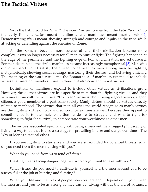## <span id="page-15-0"></span>**The Tactical Virtues**

*Vir* is the Latin word for "man." The word "virtue" comes from the Latin "*virtus.*" To the early Romans, *virtus* meant manliness, and manliness meant martial valor[.\[4\]](#page-97-3) Demonstrating *virtus* meant showing strength and courage and loyalty to the tribe while attacking or defending against the enemies of Rome.

As the Romans became more successful and their civilization became more complex, it was no longer necessary for all men to hunt or fight. The fighting happened at the edge of the perimeter, and the fighting edge of Roman civilization moved outward. For men deep inside the circle, manliness became increasingly metaphorical[.\[5\]](#page-97-4) Men who did other work could satisfy their need to be seen as men among men by fighting metaphorically, showing social courage, mastering their desires, and behaving ethically. The meaning of the word virtus and the Roman idea of manliness expanded to include values that were not merely survival virtues, but also civic and moral virtues.

Definitions of manliness expand to include other virtues as civilizations grow. However, these other virtues are less specific to men than the fighting virtues, and they vary more from culture to culture. "Civilized" virtue is about being a good person, a good citizen, a good member of a particular society. Manly virtues should be virtues directly related to manhood. The virtues that men all over the world recognize as manly virtues are the fighting virtues. Epics and action movies translate well because they appeal to something basic to the male condition—a desire to struggle and win, to fight for something, to fight for survival, to demonstrate your worthiness to other men.

The virtues associated specifically with being a man outline a rugged philosophy of living—a way to be that is also a strategy for prevailing in dire and dangerous times. The Way of Men is a tactical ethos.

If you are fighting to stay alive and you are surrounded by potential threats, what do you need from the men fighting with you?

What do you need from *us* to fend off *them*?

If eating means facing danger together, who do you want to take with you?

What virtues do you need to cultivate in yourself and the men around you to be successful at the job of hunting and fighting?

When your life and the lives of people who you care about depend on it, you'll need the men around you to be as strong as they can be. Living without the aid of advanced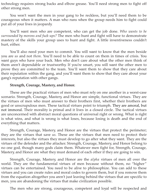technology requires strong backs and elbow grease. You'll need strong men to fight off other strong men.

You won't want the men in your gang to be reckless, but you'll need them to be courageous when it matters. A man who runs when the group needs him to fight could put all of your lives in jeopardy.

You'll want men who are competent, who can get the job done. *Who wants to be surrounded by morons and fuck-ups?* The men who hunt and fight will have to demonstrate mastery of the skills your group uses to hunt and fight. A little inventiveness couldn't hurt, either.

You'll also need your men to commit. You will want to know that the men beside you are *us* and not *them*. You'll need to be able to count on them in times of crisis. You want guys who have your back. Men who don't care about what the other men think of them aren't dependable or trustworthy. If you're smart, you will want the other men to prove they are committed to the team. You'll want them to show that they care about their reputation within the gang, and you'll want them to show that they care about your gang's reputation with other gangs.

#### **Strength, Courage, Mastery, and Honor.**

These are the practical virtues of men who must rely on one another in a worst-case scenario. Strength, Courage, Mastery, and Honor are simple, functional virtues. They are the virtues of men who must answer to their brothers first, whether their brothers are good or unscrupulous men. These tactical virtues point to triumph. They are amoral, but not immoral. Their morality is primal and it lives in a closed circle. The tactical virtues are unconcerned with abstract moral questions of universal right or wrong. What is right is what wins, and what is wrong is what loses, because losing is death and the end of everything that matters.

Strength, Courage, Mastery, and Honor are the virtues that protect the perimeter; they are the virtues that save *us.* These are the virtues that men need to protect their interests, but also the virtues they must develop to go after what they want. They are the virtues of the defender and the attacker. Strength, Courage, Mastery, and Honor belong to no one god, though many gods claim them. Whatever men fight for, Strength, Courage, Mastery, and Honor are what they must demand of each other if they are going to win.

Strength, Courage, Mastery, and Honor are the *alpha* virtues of men all over the world. They are the fundamental virtues of men because without them, no "higher" virtues can be entertained. You need to be alive to philosophize. You can add to these virtues and you can create rules and moral codes to govern them, but if you remove them from the equation altogether you aren't just leaving behind the virtues that are specific to men, you are abandoning the virtues that make civilization possible.

The men who are strong, courageous, competent and loyal will be respected and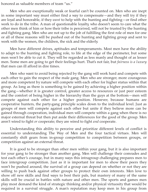honored as valuable members of team "us."

Men who are exceptionally weak or fearful can't be counted on. Men who are inept in some important way must either find a way to compensate—and they will try if they are loyal and honorable, if they *want* to help with the hunting and fighting—or find other work to do in the tribe. A man of questionable loyalty, who doesn't seem to care what the other men think of him or how their tribe is perceived, will not be trusted by the hunting and fighting gang. Men who are not up to the job of fulfilling the first role of men for one or all of these reasons will be pushed out of the hunting and fighting group and sent to work with the women, the children, the sick and the elderly.

Men have different drives, aptitudes and temperaments. Most men have the ability to adapt to the hunting and fighting role, to life at the edge of the perimeter, but some men won't be able to cut it. They will be regarded as less manly and thought of as lesser men. Some men are going to get their feelings hurt. That's not fair, but *fairness is a luxury* that men can ill afford in dire times.

Men who want to avoid being rejected by the gang will work hard and compete with each other to gain the respect of the male gang. Men who are stronger, more courageous and more competent by nature will compete with each other for higher status within that group. As long as there is something to be gained by achieving a higher position within the gang—whether it is greater control, greater access to resources or just peer esteem and the comfort of being higher in the hierarchy than the guys at the bottom—men will compete against each other for a higher position. However, because humans are cooperative hunters, the party-gang principle scales down to the individual level. Just as groups of men will compete against each other but unite if they believe more can be gained through cooperation, individual men will compete within a gang when there is no major external threat but then put aside their differences for the good of the group. Men aren't wired to fight *or* cooperate; they are wired to fight *and* cooperate.

Understanding this ability to perceive and prioritize different levels of conflict is essential to understanding The Way of Men and the four tactical virtues. Men will constantly shift gears from in-group competition to competition between groups, or competition against an external threat.

It is good to be stronger than other men within your gang, but it is also important for your gang to be stronger than another gang. Men will challenge their comrades and test each other's courage, but in many ways this intragroup challenging prepares men to face intergroup competition. Just as it is important for men to show their peers they won't be pushed around, the survival of a group can depend on whether or not they are willing to push back against other groups to protect their own interests. Men love to show off new skills and find ways to best their pals, but mastery of many of the same skills will be crucial in battles with nature and other men. The sports and games men play most demand the kind of strategic thinking and/or physical virtuosity that would be required in a survival struggle. A man's reputation may keep men in his group from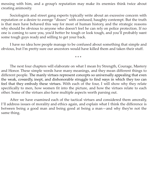messing with him, and a group's reputation may make its enemies think twice about creating animosity.

Sociologists and street gang experts typically write about an excessive concern with reputation or a desire to avenge "disses" with confused, haughty contempt. But the truth is that men have behaved this way for most of human history, and the strategic reasons why should be obvious to anyone who doesn't feel he can rely on police protection. If no one is coming to save you, you'd better be tough or look tough, and you'll probably want some tough guys ready and willing to get your back.

I have no idea how people manage to be confused about something that simple and obvious, but I'm pretty sure our ancestors would have killed them and taken their stuff.

\* \* \*

The next four chapters will elaborate on what I mean by Strength, Courage, Mastery and Honor. These simple words have many meanings, and they mean different things to different people. The manly virtues represent concepts so universally appealing that even the weak, cowardly, inept, and dishonorable struggle to find ways in which they too can feel that they embody these virtues. With each of the four, I will show why they relate specifically to men, how women fit into the picture, and how the virtues relate to each other. Some of the virtues also have multiple aspects worth parsing out.

After we have examined each of the tactical virtues and considered them amorally, I'll address issues of morality and ethics again, and explain what I think the difference is between being a good man and being good at being a man—and why they're not the same thing.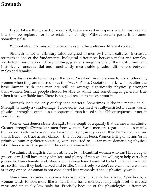## <span id="page-19-0"></span>**Strength**

If you take a thing apart or modify it, there are certain aspects which must remain intact or be replaced for it to retain its identity. Without certain parts, it becomes something else.

Without strength, masculinity becomes something else—a different concept.

Strength is not an arbitrary value assigned to men by human cultures. Increased strength is one of the fundamental biological differences between males and females. Aside from basic reproductive plumbing, greater strength is one of the most prominent, historically consequential and consistently measurable physical differences between males and females.

It is fashionable today to put the word "weaker" in quotations to avoid offending women when they are referred to as the "weaker" sex. Quotation marks will not alter the basic human truth that men are still on average significantly physically stronger than women. Serious people should be able to admit that something is generally true when it is a verifiable fact. There is no good reason to be coy about it.

Strength isn't the only quality that matters. Sometimes it doesn't matter at all. Strength is rarely a disadvantage. However, in our mechanically-assisted modern world, physical strength is often less consequential than it used to be. Of consequence or not, it is what it is.

Women can demonstrate strength, but strength is a quality that defines masculinity. Greater strength *differentiates* men from women. Weak men are regarded as less manly, but no one really cares or notices if a woman is physically weaker than her peers. In a way this is truer—or truer across classes—than it ever has been. Women living on farms (or in primitive hunter-gatherer societies) were expected to do far more demanding physical labor than any work required of the average woman today.

We admire strength in female athletes, but a beautiful woman who can't lift a bag of groceries will still have many admirers and plenty of men will be willing to help carry her groceries. Many female celebrities who are considered beautiful by both men and women are so thin that they look starved and brittle. Collectively, we don't care whether a woman is strong or not. A woman is not considered less womanly if she is physically weak.

Many may consider a woman less womanly if she is too strong. Specifically, a woman tends to look more like a man if she has a conspicuously high level of muscle mass and unusually low body fat. Precisely because of the physiological differences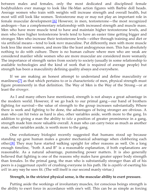between males and females, only the most dedicated and disciplined female bodybuilders ever manage to look like He-Man action figures with Barbie doll heads. Average women who train with weights will increase strength and overall health, but most will still look like women. Testosterone may or may not play an important role in female muscular development[.\[6\]](#page-97-5) However, in men, testosterone—the most recognized androgen—has a complementary relationship with increased strength and muscle mass. Men who have more muscle tend to have and maintain higher testosterone levels, and men who have higher testosterone levels tend to have an easier time getting bigger and stronger. Men who increase their testosterone levels—either through training and diet or via artificial means—tend to look *more* masculine. Put differently, men with more muscle look less like most women, and more like the least androgynous men. This has absolutely nothing to do with culture. There is no human culture where men who are weak are considered manlier while women who are more muscular are considered more womanly. The importance of strength varies from society to society (usually in some relationship to available technologies and the kind of work that is required of average people) but strength has been a masculinity defining quality always and everywhere.

If we are making an honest attempt to understand and define masculinity or manliness[\[7\]](#page-97-6) as that which pertains to or is characteristic of men, physical strength must figure prominently in that definition. The Way of Men is the Way of the Strong—or at least the *stronger*.

As I and many others have mentioned, strength is not always a great advantage in the modern world. However, if we go back to our primal gang—our band of brothers fighting for survival—the value of strength to the group increases substantially. Where there is work and fighting to be done, the advantages of being stronger are obvious. A man who can hit twice as hard is also, other variables aside, worth more to the gang. In addition to giving a man the ability to *take* a position of greater prominence in a gang, strength made him more valuable overall. A man who can carry twice as much as another man, other variables aside, is worth more to the gang.

One evolutionary biologist recently suggested that humans stood up because standing up gave human males a greater mechanical advantage when clobbering each other.<sup>[8]</sup> They may have started walking upright for other reasons as well. On a long enough timeline, "both A and B" is a reasonable explanation, if both explanations are reasonable. As a natural advantage, pummeling power matters. It is also generally believed that fighting is one of the reasons why males have greater upper body strength than females. In the primal gang, the man who is substantially stronger than all of his peers is a juggernaut *capable* of crushing everyone in his path. He is *capable* of exerting his *will* in any way he sees fit. (The will itself is our second manly virtue.)

#### **Strength, in the strictest physical sense, is the muscular ability to exert pressure.**

Putting aside the workings of involuntary muscles, for conscious beings strength is the ability to exert force in accordance with one's will. This can be as simple as forcing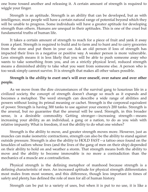one bone toward another and releasing it. A certain amount of strength is required to wiggle your finger.

Strength is an aptitude. Strength is an ability that can be developed, but as with intelligence, most people will have a certain natural range of potential beyond which they will be unable to progress. Some individuals will have a greater aptitude for developing strength than others. Humans are unequal in their aptitudes. This is one of the cruel but fundamental truths of human life.

It takes a certain amount of strength to reach for a piece of fruit and yank it away from a plant. Strength is required to build and to farm and to hunt and to carry groceries from the store and put them in your car. Ask an old person if loss of strength has impacted their lives in a negative or positive way. A weaker person is more vulnerable. Less strength means it is less likely that you will be able to push someone away who wants to take something from you, and on a strictly physical level, reduced strength means a diminished ability to take what you want from someone else. A person who is too weak simply cannot survive. It is strength that makes all other values possible.

#### **Strength is the** *ability* **to exert one's will over oneself, over nature and over other people.**

As we move from the dire circumstances of the survival gang to luxurious life in a civilized society, the concept of strength doesn't change so much as it expands and becomes a metaphor. The word strength can describe a wide range of abilities and powers without losing its primal meaning or cachet. Strength is the corporeal equivalent of power. Strength is having 300 tanks to use against your enemy's 200 tanks. Strength is the arsenal, but no guarantee that the arsenal will be used. Strength, in this broader sense, is a desirable commodity. Getting stronger—increasing strength—means increasing your ability, as an individual, a gang or a nation, to do as you wish with relative impunity. What is freedom, if not the ability to do what one wishes?

Strength is the ability to move, and greater strength moves more. However, just as muscles can make isometric contractions, strength can also be the ability to stand against outside pressure. Strength is also the ability to HOLD FAST—a tattoo once found on the knuckles of sailors whose lives (and the lives of the gang of men on their ship) depended on their ability to hold on and weather a storm. That strength means both the ability to move and the ability to become immovable is no more a contradiction than the mechanics of a muscle are a contradiction.

Physical strength is the defining metaphor of manhood because strength is a defining characteristic of men. An increased aptitude for physical strength differentiates most males from most women, and this difference, though less important in times of safety and plenty, has defined the role of men for all of human history.

Strength can be put to a variety of uses, but when it is put to no use, it is like a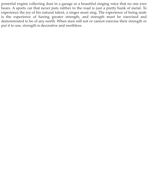powerful engine collecting dust in a garage or a beautiful singing voice that no one ever hears. A sports car that never puts rubber to the road is just a pretty hunk of metal. To experience the joy of his natural talent, a singer must sing. The experience of being male is the experience of having greater strength, and strength must be exercised and demonstrated to be of any worth. When men will not or cannot exercise their strength or put it to use, strength is decorative and worthless.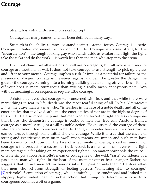## <span id="page-23-0"></span>**Courage**

Strength is a straightforward, physical concept.

Courage has many names, and has been defined in many ways.

Strength is the ability to move or stand against external forces. Courage is kinetic. Courage initiates movement, action or fortitude. Courage exercises strength. The "cowardly lion"—the tough looking guy who stands aside as weaker men fight the fight, take the risks and do the work— is worth less than the men who step into the arena.

I will not claim that all exertions of will are courageous, but all acts which require courage are exertions of will. It does not take courage to use strength to pick up a glass and lift it to your mouth. Courage implies a risk. It implies a potential for failure or the presence of danger. Courage is measured against danger. The greater the danger, the greater the courage. Running into a burning building beats telling off your boss. Telling off your boss is more courageous than writing a really mean anonymous note. Acts without meaningful consequences require little courage.

Aristotle believed that courage was concerned with fear, and that while there were many things to fear in life, death was the most fearful thing of all. In his *Nicomachean Ethics*, the brave man is a man who, "is fearless in the face of a noble death, and all of the emergencies that involve death; and the emergencies of war are in the highest degree of this kind." He also made the point that men who are forced to fight are less courageous than those who demonstrate courage in battle of their own free will. Aristotle framed courage as a moral virtue, as a will to noble action. He questioned the courage of those who are confident due to success in battle, though I wonder how such success can be earned, except through some initial show of courage. While it is true that the chests of strong and experienced men often swell when threats are minor, and such men have been known to back down in the face of a legitimate challenge, a certain amount of courage is the product of a successful track record. Is a man who has never won a fight more courageous for taking on an experienced fighter—no matter how noble the cause or is he simply a fool? Aristotle's mean of courage is not the wild, "rash" confidence of a passionate man who fights in the heat of the moment out of fear or anger. Rather, he suggests that "brave men act for honor's sake, but passion aids them." He does allow that men who act from strength of feeling possess "something akin to courage." [\[9\]A](#page-97-8)ristotle's formulation of courage, while admirable, is so conditional and lashed to a slippery, high-minded ideal of noble action that trying to determine who is truly courageous becomes a bit of a game.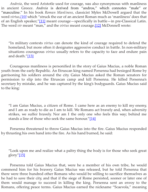*Andreia*, the word Aristotle used for courage, was also synonymous with manliness in ancient Greece. *Andreia* is derived from "andros," which connotes "male" or "masculine." In his book *Roman Manliness*, classicist Myles McDowell argued that the word *virtus[,\[10\]](#page-97-9)* which "struck the ear of an ancient Roman much as 'manliness' does that of an English speaker,["\[11\]](#page-97-10) meant courage—specifically in battle—in pre-Classical Latin. The word *vir* meant "man," and the *virtus* meant courage.[\[12\]](#page-97-11) McDonnell wrote:

"In military contexts *virtus* can denote the kind of courage required to defend the homeland, but more often it designates aggressive conduct in battle. In non-military situations courageous *virtus* usually refers to the capacity to face and endure pain and death."[\[13\]](#page-97-12)

Courageous manliness is personified in the story of Gaius Mucius, a noble Roman youth from the early Republic. An Etruscan king named Porsenna had besieged Rome by garrisoning his soldiers around the city. Gaius Mucius asked the Roman senators for permission to slip into the Etruscan camp and kill Porsenna. He killed Porsenna's secretary by mistake, and he was captured by the king's bodyguards. Gaius Mucius said to the king:

"I am Gaius Mucius, a citizen of Rome. I came here as an enemy to kill my enemy, and I am as ready to die as I am to kill. We Romans act bravely and, when adversity strikes, we suffer bravely. Nor am I the only one who feels this way; behind me stands a line of those who seek the same honour."[\[14\]](#page-97-13)

Porsenna threatened to throw Gaius Mucius into the fire. Gaius Mucius responded by thrusting his own hand into the fire. As his hand burned, he said:

"Look upon me and realize what a paltry thing the body is for those who seek great glory.["\[15\]](#page-97-14)

Porsenna told Gaius Mucius that, were he a member of his own tribe, he would commend him for his bravery. Gaius Mucius was released, but he told Porsenna that there were three hundred other Romans who would be willing to sacrifice themselves as he had to save their city, and that if the siege of Rome persisted, sooner or later one of them would manage to succeed in killing the king. Porsenna sent an envoy to the Romans, offering peace terms. Gaius Mucius earned the nickname "Scaevola," meaning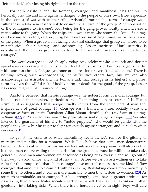"left-handed," after losing his right hand to the fire.

For both Aristotle and the Romans, courage—and manliness—was the will to heroically risk life and limb against a danger to the people of one's own tribe, especially in the context of war with another tribe. Aristotle's most noble form of courage was a willingness to take a necessary risk to ensure the survival of the group. A demonstration of the willingness to risk one's own being for the gang proves loyalty and increases a man's value to the gang. When the chips are down, a man who shows this kind of courage can be counted on to give everything he has—even sacrificing himself—for the survival of the group. When a group is not facing a survival challenge, that group can afford to be metaphorical about courage and acknowledge lesser sacrifices. Until security is established, though, no group can afford to bother with niceties like "intellectual courage."

The word courage is used cheaply today. Any celebrity who gets sick and doesn't spend every day crying about it is lauded by tabloids for his or her "courageous battle" with cancer or chronic fatigue syndrome or depression or even "food addiction." There is nothing wrong with acknowledging the difficulties others face, but we can also acknowledge, as Aristotle and the Romans did, that courage in its highest and purest form involves the willful risk of bodily harm or death for the good of the group. Lesser risks require greater dilutions of courage.

Aristotle believed that heroic courage was the noblest form of moral courage, but he also noted that passion, spiritedness was "something akin to courage." In Plato's *Republic*, it is suggested that savage cruelty comes from the same part of man that inspires acts of great courage[.\[16\]](#page-97-15) Courage was a trained, mature, socially aware and cooperative form of spirit. Translator Allan Bloom identified the raw form of courage —*thumo[s\[17\]](#page-98-0)* or "spiritedness"—as "the principle or seat of anger or rage.["\[18\]](#page-98-1) Socrates likened the guardians of his city to "noble puppies," who would be gentle with the people they knew but be eager to fight ferociously against strangers and outsiders when necessary.[\[19\]](#page-98-2)

To get at the essence of what masculinity really is, let's remove the gilding of morality and nobility for a moment. While I do believe that some men demonstrate heroic tendencies at an almost instinctive level—like noble puppies—I will also say that before a man can be willing to take a risk for the group, he must be willing to take risks generally. Some men and women are described as being "risk-averse," and will go out of their way to avoid almost any kind of risk at all. Before we can have a willingness to take risks for the group—call that "high courage"—we must also possess some kind of "low courage" that amounts to a comfort with risk-taking. Risk-taking comes more naturally to some than to others, and it comes more naturally to men than it does to women. [\[20\]](#page-98-3) As strength is trainable, so is courage. But like strength, some have a greater aptitude for risk-taking than others. Males socialize each other—hell, they *taunt* and *goad* each other gleefully—into taking risks. When there is no heroic objective in sight, boys will dare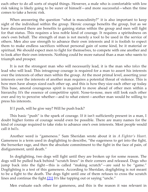each other to do all sorts of stupid things. However, a male who is comfortable with low risk taking is likely going to be surer of himself—and more successful—when the time comes to take a heroic risk.

When answering the question "what is masculinity?" it is also important to keep sight of the individual within the group. Heroic courage benefits the group, but as we have discussed there are benefits to gaining status within the group and men will fight for that status. This requires a less noble kind of courage. It requires a spiritedness on one's own behalf. The strength of man is not merely a tool to be used in the service of others. Men also use strength to advance their own interests and it is foolish to expect them to make endless sacrifices without personal gain of some kind, be it material or spiritual. We should expect men to fight for themselves, to compete with one another and to look after their own interests. Nothing could be more natural than a man who wants to triumph and prosper.

It is not the strongest man who will necessarily lead, it is the man who *takes* the lead who will lead. This intragroup courage is required for a man to assert his interests over the interests of other men within the group. At the most primal level, asserting your interests over the interests of another man requires a potential threat of violence. This is how men have always sized each other up, and this is how they size each other up today. This base, amoral courageous spirit is required to move ahead of other men within a hierarchy. It's the essence of competitive spirit. Nose-to-nose, men still look each other over and try to perceive whether—and to what extent—another man would be willing to press his interests.

If I push, will he give way? Will he push back?

This basic "push" is the spark of courage. If it isn't sufficiently present in a man, I doubt higher forms of courage would even be possible. There are many names for the kind of courage required to take risks to advance one's own interests. Most people would call it *balls.*

Another word is "gameness." Sam Sheridan wrote about it in *A Fighter's Heart.* Gameness is a term used in dogfighting to describe, "the eagerness to get into the fight, the berserker rage, and then the absolute commitment to the fight in the face of pain, of disfigurement, until death."

In dogfighting, two dogs will fight until they are broken up for some reason. The dogs will be pulled back behind "scratch lines" in their corners and released. Dogs who jump back into the fight—this is called "making scratch"—are said to be "game." Dogfighting is a test of this gameness. According to Sheridan, dogfighting is not meant to be a fight to the death. The dogs fight until one of them refuses to cross the scratch lines and continue the fight.[\[21\]](#page-98-4) It's like tapping out or saying "uncle."

Men evaluate each other for gameness, and this is the reason it was relevant in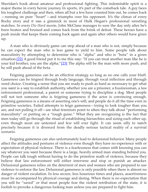Sheridan's book about amateur and professional fighting. This indomitable spirit is a major theme in every heroic journey. In sports, it's part of the comeback tale. A guy faces his toughest challenge and then, when all but a few have counted him out, he comes back —running on pure "heart"—and triumphs over his opponent. It's the climax of every Rocky story and it was a gimmick in most of Hulk Hogan's professional wrestling matches. In every *Die Hard* movie, John McClane manages to save the day only after he's been beaten and bruised and comes back from the brink of defeat. These heroes have a push inside that keeps them coming back again and again after others would have given up.

A man who is obviously game can step ahead of a man who is not, simply because he can expect the man who is less game to yield to him. Some people talk about masculinity by attempting to determine who is "alpha" and who is "beta" in a given situation.<sup>[\[22\]](#page-98-5)</sup> A good friend put it to me this way: "If you can treat another man like he is your kid brother, you are the alpha.["\[23\]](#page-98-6) The alpha will be the man with more push, and he will push ahead of the beta.

Feigning gameness can be an effective strategy, so long as no one calls your bluff. Gameness can be feigned through body language, through vocal inflection and through word choice. Creating a sense that you are ready to push as hard as necessary to get what you want is a way to establish authority, whether you are a prisoner, a businessman, a law enforcement professional, a parent or someone trying to discipline a dog. Most people will not test someone who is feigning gameness if the actor is convincing enough. Feigning gameness is a means of asserting one's will, and people do it all the time even in primitive societies. Failed attempts to feign gameness—trying to look tougher than you are, and not pulling it off—are what feminists point to when they talk about "performing masculinity" or putting on a "tough guise." What they are recognizing is the fact that men today still go through the ritual of establishing hierarchies and sizing each other up, even though most are untested and few will ever fight. It can seem silly to watch precisely because it is divorced from the deadly serious tactical reality of a survival scenario.

Feigning gameness can also unfortunately lead to delusional behavior. Many people affect the attitudes and postures of violence even though they have no experience with or expectation of physical violence. There is a fearlessness that comes with knowing you can say whatever you want because there is a large, heavily armed man standing behind you. People can talk tough without having to do the primitive math of violence, because they believe that law enforcement will either intervene and stop or punish an attacker. Delusional gameness relies on the deterrent of men and women who are prepared to use violence to enforce the law. Delusional gameness is only possible when there is almost no danger of violent escalation. In less secure, less luxurious times and places, assertiveness must be accompanied by physical courage and daring. When there is no expectation that you will be "saved" or that most people fear the violent retribution of the state, it is foolish to provoke a dangerous looking man unless you are prepared to fight him.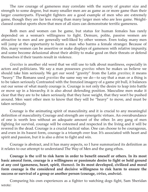The raw courage of gameness may correlate with the surety of greater size and strength to some degree, but many smaller men are as game as or more game than their larger counterparts. Flyweight fighters are a good example of men who are extremely game, though they are far less strong than many larger men who are less game. Weightclassed combat sports show that men of all sizes can demonstrate terrific gameness.

Both men and women can be game, but status for human females has rarely depended on a woman's willingness to fight. Demure, polite, passive women are attractive to men and are generally well-liked by other women. Even today, many men will jump at the opportunity to harm a man who harms a female stranger. Because of this, many women can be assertive or make displays of gameness with relative impunity, and some become delusional about their ability to make good on their threats or defend themselves if their taunts result in violence.

*Gravitas* is another old word that we still use to talk about manliness, especially in actors and politicians. We say a man possesses *gravitas* when he makes us believe we should take him seriously. We get our word "gravity" from the Latin *gravitas*; it means "heavy." The Romans used *gravitas* the same way we do—to say that a man or a thing is to be taken seriously. Contrasted with the frenzied imagery of a game pit bull, it balances out our sense of what manly courage is. Courage is not only the desire to leap into battle or move up in a hierarchy, it is also about defending position. Masculine men make it clear that they are to be taken seriously, that they have weight, that they won't be pushed around. Men want other men to know that they will be "heavy" to move, and must be taken seriously.

Courage is the animating spirit of masculinity, and it is crucial to any meaningful definition of masculinity. Courage and strength are synergetic virtues. An overabundance of one is worth less without an adequate amount of the other. In any gang of men fighting for survival, courage will be esteemed and respected in the living and it will be revered in the dead. Courage is a crucial tactical value. One can choose to be courageous, and even in its basest form, courage is a triumph over fear. It's associated with heart and spirit and passion, but it is also a drive to fight and win.

Courage is abstract, and it has many aspects, so I have summarized its definition as it relates to our attempt to understand The Way of Men and the gang ethos.

**Courage is the** *will* **to risk harm in order to benefit oneself or others. In its most basic amoral form, courage is a willingness or passionate desire to fight or hold ground at any cost (gameness, heart, spirit,** *thumos***). In its most developed, civilized and moral form courage is the considered and decisive willingness to risk harm to ensure the success or survival of a group or another person (courage,** *virtus***,** *andreia***).**

Comparing his own experiences as a fighter to watching dogs fight, Sam Sheridan wrote: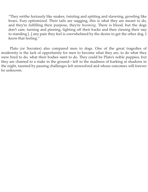"They writhe furiously like snakes, twisting and spitting and slavering, growling like bears. Fury epitomized. Their tails are wagging, this is what they are meant to do, and they're fulfilling their purpose, they're *becoming.* There is blood, but the dogs don't care, turning and pinning, fighting off their backs and then clawing their way to standing [..] any pain they feel is overwhelmed by the desire to get the other dog. I know that feeling."

Plato (or Socrates) also compared men to dogs. One of the great tragedies of modernity is the lack of opportunity for men to become what they are, to do what they were bred to do, what their bodies want to do. They could be Plato's noble puppies, but they are chained to a stake in the ground—left to the madness of barking at shadows in the night, taunted by passing challenges left unresolved and whose outcomes will forever be unknown.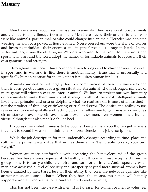## <span id="page-30-0"></span>**Mastery**

Men have always recognized themselves in animals. They have worshipped animals and claimed totemic lineage from animals. Men have traced their origins to gods who were like animals, part animal, or who could change into animals. Heracles was depicted wearing the skin of a powerful lion he killed. Norse berserkers wore the skins of wolves and bears to intimidate their enemies and inspire ferocious courage in battle. In the Aztec military, it was the elite Jaguar Warriors who went to the front. Military units and sports teams around the word adopt the names of formidable animals to represent their own gameness and strength.

Throughout this book, I have compared men to dogs and to chimpanzees. However, in sport and in war and in life, there is another manly virtue that is universally and specifically human because for the most part it requires human intellect.

Animals succeed or fail largely due to a combination of their circumstances and their inborn genetic fitness for a given situation. An animal who is stronger, nimbler or more game will triumph over an inferior animal. We have to project our own humanity onto animals to make them masters of strategy. In all but the most intelligent animals like higher primates and orca or dolphins, what we read as skill is most often instinct not the product of thinking or tinkering or trial and error. The desire and ability to use reason and to develop skills and technologies that allow one to gain mastery over one's circumstances—over oneself, over nature, over other men, over women— is a human virtue, although it is also man's Achilles heel.

If you ask men what it means to be good at being a man, you'll often get answers that start to sound like a set of minimum skill proficiencies in a job description.

While the job description for men undeniably changes according to time, place and culture, the primal gang virtue that unifies them all is "being able to carry your own weight."

Women are more comfortable with accepting the benevolent aid of the group because they have always required it. A healthy adult woman must accept aid from the group if she is to carry a child, give birth and care for an infant. And, especially when men have achieved a level of security and prosperity beyond mere survival, women have been evaluated by men based less on their utility than on more nebulous qualities like attractiveness and social charm. When they have the means, most men will happily support a woman who seems to be carefree, pretty and charming.

This has not been the case with men. It is far rarer for women or men to volunteer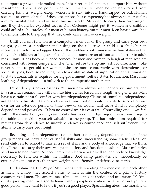to support a grown, able-bodied man. It is rarer still for them to support him without resentment. There is no point in an adult male's life when he can be excused from carrying his own weight, except when he is sick, injured, handicapped or old. Human societies accommodate all of these exceptions, but competency has always been crucial to a man's mental health and sense of his own worth. Men want to carry their own weight, and they should be expected to. As Don Corleone might put it, women and children could afford to be careless for most of human history, but not men. Men have always had to demonstrate to the group that they could carry their own weight.

Until you can function as a competent member of the group and carry your own weight, you are a supplicant and a drag on the collective. A child is a child, but an incompetent adult is a beggar. One of the problems with massive welfare states is that they make children or beggars of us all, and as such are an affront and a barrier to adult masculinity. It has become clichéd comedy for men and women to laugh at men who are concerned with being competent. The "men refuse to stop and ask for directions" joke never seems to get old for women, who are more comfortable with dependence, or socialist types, because reducing men to a childlike state of supplication and submission to state bureaucrats is required for big-government welfare states to function. Masculine loathing of dependence is a bulwark to the therapeutic mother state.

Dependency is powerlessness. Yet, men have always been cooperative hunters, and in a survival scenario they will fall into hierarchies based on strength and gameness. Men have a certain natural comfort with interdependency. Claims of complete independence are generally bullshit. Few of us have ever survived or would be able to survive on our own for an extended period of time. Few of us would want to. A child is completely dependent and powerless. It has no control over its own fate. Controlling one's own fate within the context of group give-and-take has to do with figuring out what you bring to the table and making yourself valuable to the group. The bare minimum required for moving from dependence to interdependence is competence and self-sufficiency—the ability to carry one's own weight.

Becoming an interdependent, rather than completely dependent, member of the group means *mastering* a set of useful skills and understanding some useful ideas. We send children to school to master a set of skills and a body of knowledge that we think they'll need to carry their own weight in society and function as adults. Most militaries send men to boot camp. At boot camp, men learn a basic skill set and body of knowledge necessary to function within the military. Boot camp graduates can theoretically be expected to at least carry their own weight in an offensive or defensive scenario.

Understanding The Way of Men means understanding how men evaluate each other as men, and how they accord status to men within the context of a primal history common to all men. The amoral masculine gang ethos is tactical and utilitarian. It's kind of like picking men for a sports team. Before people care about whether or not you're a good person, they want to know if you're a good player*.* Speculating about the morality of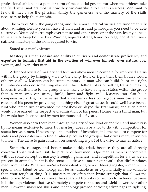professional athletes is a popular form of male social gossip, but when the athletes take the field, what matters most is how they can contribute to a team's success. Men want to know if they have the physical ability, the gameness and the mastery of the skills necessary to help the team *win.*

The Way of Men, the gang ethos, and the amoral tactical virtues are fundamentally about winning. Before you can have church and art and philosophy, you need to be able to survive. You need to triumph over nature and other men, or at the very least you need to be able to keep both at bay. Winning requires strength and courage, and it requires a sufficient mastery of the skills required to win.

Stated as a manly virtue:

**Mastery is a man's desire and ability to cultivate and demonstrate proficiency and expertise in technics that aid in the exertion of will over himself, over nature, over women, and over other men.**

Advanced levels of mastery and technics allow men to compete for improved status within the group by bringing *more* to the camp, hunt or fight than their bodies would otherwise allow. Mastery can be supplementary—a man who can build, hunt and fight, but who can also do something else well, be it telling jokes or setting traps or making blades, is worth more to the group and is likely to have a higher status within the group than a man who can *merely* build, hunt and fight well. Mastery can also be a compensatory virtue, in the sense that a weaker or less courageous man can earn the esteem of his peers by providing something else of great value. It could well have been a runt who tamed fire or invented the crossbow or played the first music, and such a man would have earned the respect and admiration of his peers. Homer was a blind man, but his words have been valued by men for thousands of years.

Women also earn their keep through mastery of one kind or another, and mastery is by no means exclusive to men, but mastery does have a lot to do with competition for status between men. If necessity is the mother of invention, it is the need to compete for status and peer esteem—to find a valued place in the group—that drives many inventors to invent. The drive to gain control over something is part of the drive to master nature.

Strength, courage, and honor make a tidy triad, because they are all directly concerned with violence. But the picture of how men judge men as men is incomplete without some concept of mastery. Strength, gameness, and competition for status are all present in animals, but it is the conscious drive to master our world that differentiates men from beasts. Whether you're a benevolent king or a ruthless gangster, a man with a special skill, talent or technology can be as valuable as or exponentially more valuable than your toughest thug. It is mastery more often than brute strength that allows the elite to rule. Masculinity can never be separated from its connection to violence, because it is through violence that we ultimately compete for status and wield power over other men. However, mastered skills and technology provide deciding advantages in fighting,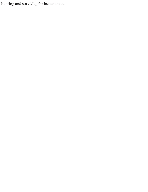hunting and surviving for human men.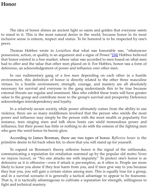## <span id="page-34-0"></span>**Honor**

The idea of honor shines an ancient light so warm and golden that everyone wants to stand in it. This is the most natural desire in the world, because honor in its most inclusive sense is esteem, respect and status. To be honored is to be respected by one's peers.

Thomas Hobbes wrote in *Leviathan* that what was honorable was, "whatsoever possession, action, or quality, is an argument and a signe of Power.["\[24\]](#page-98-7) Hobbes believed that honor existed in a free market, where value was accorded to men based on what men had to offer and the value that other men placed on it. For Hobbes, honor was a form of deference, an acknowledgement of power and influence over other men.

In our rudimentary gang of a few men depending on each other in a hostile environment, this definition of honor is directly related to the other three masculine virtues. In a hostile environment, strength, courage, and mastery are all absolutely necessary for survival and everyone in the gang understands this to be true because external threats are regular and imminent. Men who exhibit these traits will have greater value to the group and contribute more to the group's survival and prosperity. Deference acknowledges interdependency and loyalty.

In a relatively secure society, while power ultimately comes from the ability to use violence, there are so many middlemen involved that the person who wields the most power and influence may simply be the person with the most wealth or popularity. For instance, teen singing stars and talk show hosts can wield tremendous power and influence, but their power has little or nothing to do with the esteem of the fighting men who gave the word honor its heroic glow.

According to James Bowman, there are two types of honor. *Reflexive honor* is the primitive desire to hit back when hit, to show that you will stand up for yourself.

To expand on Bowman's theory, reflexive honor is the signal of the rattlesnake, communicating a reputation for retaliation summed up by the popular old motto *Nemo me impune lacessit*, or "No one attacks me with impunity." To protect one's honor is as defensive as it is offensive—even if attack is pre-emptive, as it often is. People are more likely to leave you alone if they fear harm from you, and if men give way to you because they fear you, you will gain a certain status among men. This is equally true for a group, and in a survival scenario it is generally a tactical advantage to appear to be fearsome. That is, it is tactically advantageous to cultivate a reputation for strength, willingness to fight and technical mastery.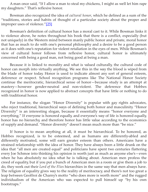A man once said, "If I allow a man to steal my chickens, I might as well let him rape my daughters." That's reflexive honor.

Bowman also recognized the idea of *cultural honor*, which he defined as a sum of the "traditions, stories and habits of thought of a particular society about the proper and improper uses of violence.["\[25\]](#page-98-8)

Bowman's definition of cultural honor has a moral cast to it. While Bowman links it to violence above, he notes throughout his book that there is a conflict, especially (but not uniquely) in the Western mind between manly public honor and private, moral honor that has as much to do with one's personal philosophy and a desire to be a good person as it does with one's reputation for violent retaliation in the eyes of men. While Bowman's view of cultural honor follows from reflexive honor, cultural honor is ultimately concerned with being a good man, not being good at being a man.

Because it is linked to morality and what is valued culturally, the cultural code of honor can morph into virtually anything. We see this in the way the blood is wiped from the blade of honor today. Honor is used to indicate almost any sort of general esteem, deference or respect. School recognition programs like The National Honor Society continue the meritocratic, hierarchical sense of honor—because study is an attempt at mastery—however gender-neutral and non-violent. The deference that Hobbes recognized in honor is now applied to abstract concepts that have little or nothing to do with traditional honor.

For instance, the slogan "Honor Diversity" is popular with gay rights advocates, who reject traditional, hierarchical ways of defining both honor and masculinity. "Honor Diversity" is an interesting slogan, because it essentially means "honor everyone and everything." If everyone is honored equally, and everyone's way of life is honored equally, honor has no hierarchy, and therefore honor has little value according to the economics of supply and demand. "Honor diversity" doesn't mean much more than "be nice."

If honor is to mean anything at all, it must be hierarchical. To be honored, as Hobbes recognized, is to be esteemed, and as humans are differently-abled and differently motivated, some will earn greater esteem than others. Americans have a strained relationship with the idea of honor. They have always been a little drunk on the idea that "all men are created equal" and politicians have spent two centuries flattering every Joe Schmoe into thinking his opinion is worth just as much as anyone else's—even when he has absolutely no idea what he is talking about. American men profess the creed of equality, but if you put a bunch of American men in a room or give them a job to do, they work out their *Lord of the Flies* hierarchies in the same way that men always have. The religion of equality gives way to the reality of meritocracy, and there's not too great a leap between Geoffroi de Charny's motto "who does more is worth more" and the rugged individualism of the American who was expected to pull himself up "by his own bootstraps."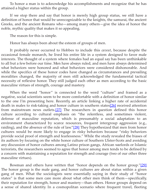To honor a man is to acknowledge his accomplishments and recognize that he has attained a higher status within the group.

If we stop there and say that honor is merely high group status, we still have a definition of honor that would be unrecognizable to the knights, the samurai, the ancient Greeks, and the ancient Romans who—among many others—give the idea of honor the noble, mythic quality that makes it so appealing.

The reason for this is simple.

Honor has always been about the esteem of groups of men.

It probably never occurred to Hobbes to include this *caveat*, because despite the occasional female monarch, he lived his entire life in a system designed to favor male interests. The thought of a system where females had an equal say has been unthinkable to all but a few before our time. Men have always ruled, and men have always determined what behaviors were honored and what behaviors were considered dishonorable. And while the specifics of these honor codes have changed as circumstances and prevailing moralities changed, the majority of men still acknowledged the fundamental tactical necessity of reflexive honor. They still judged each other as men according to the basic masculine virtues of strength, courage and mastery.

When the word "honor" is connected to the word "culture" and framed as a negative, social scientists seem to be more comfortable with a definition of honor similar to the one I'm presenting here. Recently, an article linking a higher rate of accidental death in males to risk-taking and honor culture in southern states<sup>[\[26\]](#page-98-0)</sup> received attention from mainstream news outlets[.\[27\]](#page-98-1) The researchers in question defined this honor culture according to cultural emphasis on "the relentless, and sometimes violent, defense of masculine reputation, which is presumably a social adaptation to an environment characterized by scarce resources, frequent intergroup aggression (e.g., raiding), and the absence of the rule of law." $[28]$  They hypothesized that men from honor cultures would be more likely to engage in risky behaviors because "risky behaviors provide social proof of strength and fearlessness." While the study revealed the biases of its authors by focusing on the white honor culture of Southern Ulster-Scots and avoiding any discussion of honor cultures among Latino prison gangs, African warlords or Islamic terrorists, the researchers seemed to agree that honor among men tends to be defined by a concern with maintaining a reputation for strength and courage (two of our other three masculine virtues).

Bowman and others have written that "honor depends on the honor group."[\[29\]](#page-98-3) The honor group is the male gang, and honor cultures are about status within a given gang of men. What the sociologists were essentially saying in their study of "honor states" is that some men care more about what other men think of them—specifically, their reputation for strength, honor and mastery—than others. Honor groups depend on a sense of shared identity. In a cosmopolitan scenario where frequent travel, fleeting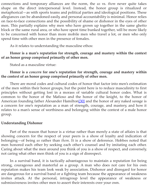connections and temporary alliances are the norm, the *us* vs. *them* never quite takes shape on the direct interpersonal level. Instead, the honor group is ritualized or metaphorical—as with sports teams and political parties and ideological positions. These allegiances can be abandoned easily, and personal accountability is minimal. Honor relies on face-to-face connections and the possibility of shame or dishonor in the eyes of other men. This partially explains why men who have grown up together in the same ghetto block or the same rural area, or who have spent time bunked together, will be more likely to be concerned with honor than more mobile men who travel a lot, or men who only spend time with other men in the presence of females.

As it relates to understanding the masculine ethos:

**Honor is a man's reputation for strength, courage and mastery within the context of an honor group comprised primarily of other men.**

Stated as a masculine virtue:

**Honor is a** *concern* **for one's reputation for strength, courage and mastery within the context of an honor group comprised primarily of other men.**

There are moral codes and cultural codes of honor that factor into men's estimation of the men within their honor groups, but the point here is to reduce masculinity to first principles without getting lost in a morass of variable cultural honor codes. What is common to the honor of the Mafioso and the honor of the knight, to the honor of American founding father Alexander Hamilton<sup>[\[30\]](#page-98-4)</sup> and the honor of any naked savage is a concern for one's reputation as a man of strength, courage, and mastery, and how it relates to a man's sense of worthiness and belonging within the context of a male honor group.

## **Understanding Dishonor**

Part of the reason that honor is a virtue rather than merely a state of affairs is that showing concern for the respect of your peers is a show of loyalty and indication of belonging—of being *us* rather than *them*. It is a show of deference. Hobbes noted that men honored each other by seeking each other's counsel and by imitating each other. Caring about what the men around you think of you is a show of respect, and conversely, not caring what other men think of you is a sign of disrespect.

In a survival band, it is tactically advantageous to maintain a reputation for being strong, courageous and masterful as a group. A man who does not care for his own reputation makes his team look weak by association. Dishonor and disregard for honor are dangerous for a survival band or a fighting team because the appearance of weakness invites attack. At the personal, intragroup level the appearance of weakness or submissiveness invites other men to assert their interests over your own.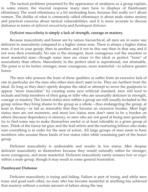The tactical problems presented by the appearance of weakness as a group explain, to some extent, the visceral response many men have to displays of flamboyant effeminacy. The word effeminacy is a bit misleading here, because this really *isn't* about women. The dislike of what is commonly called effeminacy is about male status anxiety and practical concerns about tactical vulnerabilities, and it is more accurate to discuss dishonor in terms of *deficient masculinity* and *flamboyant dishonor.*

#### *Deficient masculinity* **is simply a lack of strength, courage or mastery.**

Because masculinity and honor are by nature hierarchical, all men are in some way deficient in masculinity compared to a higher status man. There is always a higher status man, if not in your group, then in another, and if not in this way then in that way, and if not now, then eventually. No one is the strongest, most courageous *and* the smartest or most masterful man—though some men are closer to the ideal or perfect "form" of masculinity than others. Masculinity in the perfect ideal is aspirational, not attainable. The point is to be better, stronger, more courageous, more masterful—to achieve greater honor.

The men who possess the least of these qualities or suffer from an excessive lack of one in particular are the men who other men don't want to be. They are furthest from the ideal. So long as they don't openly despise the ideal or attempt to move the goalposts to appear "more masculine" by creating some new artificial standard, men will tend to include and help members of their gang or tribe who are unusually deficient in strength, courage or mastery. The lowest status men within a group are still usually included in the group unless they bring shame to the group as a whole—thus endangering the group, at least in theory—or fail so miserably that they become an excessive burden. Most high status men are not monsters, and most low status men don't want to be a burden on others (because dependency is slavery), so men who are not good at being men generally try to find some way to make themselves useful or at least tolerable to a given group of men. Think of the funny fat guys and the frail artists and the nurturing fellows who make sure everything is in order for the men of action. All large groups of men seem to have members who assume these kinds of low status roles while remaining part of the honor group.

Deficient masculinity is undesirable and results in low status. Men despise deficient masculinity in themselves because they would naturally rather be stronger, more courageous, and more masterful. Deficient masculinity rarely arouses *hate* or *anger* within a male group, though it may result in some general frustration.

### **Flamboyant Dishonor**

Deficient masculinity is trying and failing. Failure is part of trying, and while men tease and goad each other, no man who has become masterful at anything has achieved that mastery without a certain amount of failure along the way.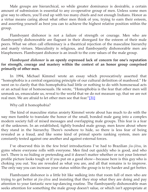Male groups are hierarchical, so while greater dominance is desirable, a certain amount of submission is essential to any co-operative group of men. Unless some men give way to others, you'll end up with too many chiefs and not enough Indians. Honor as a virtue means caring about what other men think of you, trying to earn their esteem, and asserting yourself as best you can to achieve the highest relative position within the group.

Flamboyant dishonor is not a failure of strength or courage. Men who are flamboyantly dishonorable are flagrant in their disregard for the esteem of their male peers. What we often call effeminacy is a theatrical rejection of the masculine hierarchy and manly virtues. Masculinity is religious, and flamboyantly dishonorable men are blasphemers. Flamboyant dishonor is an insult to the core values of the male group.

### *Flamboyant dishonor* **is an openly expressed lack of concern for one's reputation for strength, courage and mastery within the context of an honor group comprised primarily of other men.**

In 1994, Michael Kimmel wrote an essay which provocatively asserted that "homophobia is a central organizing principle of our cultural definition of manhood." He went on to clarify that this homophobia had little or nothing to do with homosexual acts or an actual fear of homosexuals. He wrote, "Homophobia is the fear that other men will unmask us, emasculate us, reveal to the world that we do not measure up, that we are not real men. We are afraid to let other men see that fear."[\[31\]](#page-98-5)

### Why call it homophobia?

The kind of masculine status anxiety Kimmel wrote about has much to do with the way men fumble to translate the honor of the small, bonded male gang into a complex modern society full of mixed messages and overlapping male groups. This fear is a fear of the unknown. In an established, tightly bonded male group, men know about where they stand in the hierarchy. There's nowhere to hide, so there is less fear of being revealed as a fraud, and like some kind of primal sports ranking system, men are constantly tested against one another and against external forces.

I've observed this in the few brief introductions I've had to Brazilian *jiu-jitsu*, in gyms where everyone rolls with everyone. Men find out quickly who is good, and who isn't. There is no hiding or pretending and it doesn't matter whether or not your Internet profile picture looks tough or if you put on a good show—because here is this guy who is choking you out. You are revealed as what you are, and all that remains is to improve. The only way you can increase your status within the group is to try harder and get better.

Flamboyant dishonor is a little bit like walking into that room full of men who are trying to get better at *jiu-jitsu* and insisting that they stop what they are doing and pay attention to your fantastic new tap-dancing routine. The flamboyantly dishonorable man seeks attention for something the male group doesn't value, or which isn't appropriate at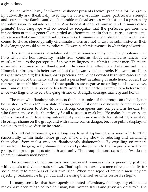a given time.

At the primal level, flamboyant dishonor presents tactical problems for the group. By outwardly and theatrically rejecting the core masculine values, particularly strength and courage, the flamboyantly dishonorable male advertises weakness and a propensity for submission to outside watchers. Any honest student of human (and in many cases, primate) body language will be forced to recognize that the postures, gestures and intonations of males generally regarded as effeminate are in fact postures, gestures and intonations that communicate submissiveness. Humans are complicated, and when push comes to shove, stereotypically effeminate males are not always as submissive as their body language would seem to indicate. However, submissiveness is what they advertise.

This submissiveness correlates with male homosexuality, and the problems men have with male homosexuality—aside from concerns about unsolicited advances—are mostly related to the perception of an over-willingness to submit to other men. There are extremely submissive or flamboyantly dishonorable effeminate heterosexual men. Kimmel, for instance, is heterosexual but flamboyantly dishonorable. His wrists are limp, his gestures are airy, his demeanor is precious, and he has devoted his entire career to the open rejection of the manly virtues and a persistent devaluing of male honor codes. I do not need to insult him. None of these qualities are negative according to his own views, and I am certain he is proud of his life's work. He is a perfect example of a heterosexual male who flagrantly rejects the gang virtues of strength, courage, mastery, and honor.

The man who flamboyantly rejects the honor codes of the group can obviously not be trusted to "snap to" in a state of emergency. Dishonor is disloyalty. A man who not only openly refuses to strive to be as strong, courageous and competent as he can, but who flaunts these codes theatrically for all to see is a weak link. He makes his peers seem more vulnerable for tolerating vulnerability, and more cowardly for tolerating cowardice. He brings shame on the group, and with shame comes danger, because public displays of weakness and cowardice invite attack.

This tactical reasoning goes a long way toward explaining why men who function successfully within male honor groups make a big show of rejecting and distancing themselves from males who are flamboyantly dishonorable. By expelling effeminate males from the gang or by shaming them and pushing them to the fringes of a particular group, the group projects strength and unity. The group demonstrates that "we do not tolerate unmanly men here."

The shunning of homosexuals and perceived homosexuals is generally justified with appeals to divine or natural laws. That's spin that absolves men of responsibility for social cruelty to members of their own tribe. When men reject effeminate men they are rejecting weakness, casting it out, and cleansing themselves of its corrosive stigma.

In many societies that have openly tolerated effeminacy, flamboyantly effeminate males have been relegated to a half-man, half-woman status and given a special role. The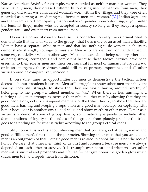Native American *berdake*, for example, were regarded as neither man nor woman. They were usually men, they dressed differently to distinguish themselves from men, they generally did what was considered woman's work within the village, and they were often regarded as serving a "mediating role between men and woman.["\[32\]](#page-98-6) Indian *hijras* are another example of flamboyantly dishonorable (or gender non-conforming, if you prefer the feminist lingo) males who are accepted in society so long as they accept a special gender status and exist apart from normal men.

Honor is a powerful concept because it is connected to every man's primal need to demonstrate that he is of value to the group—that he is more of an asset than a liability. Women have a separate value to men and that has nothing to do with their ability to demonstrate strength, courage or mastery. Men who are deficient or handicapped in some way can deliver value in other ways. Most men care about being seen by other men as being strong, courageous and competent because these tactical virtues have been essential to their role as men and their very survival for most of human history. In a war or in an emergency, these virtues would still be of primary importance, and all other virtues would be comparatively incidental.

In less dire times, as opportunities for men to demonstrate the tactical virtues decrease, honor broadens its scope. Men still struggle to show other men that they are worthy. They still struggle to show that they are worth having around, worthy of belonging to the group—a valued member of "us." When there is less hunting and fighting to do, men attempt to increase their value to other men by showing that they are good people or good citizens—good members of the tribe. They try to show that they are good men. Earning and keeping a reputation as a good man overlaps conceptually with honor because it is another way to add value and show worth to other men. Honor as a virtue is a demonstration of group loyalty, so it naturally expands to include other demonstrations of loyalty to the values of the group—from piously praising the tribal gods to "standing up for what is right" according to the group's ethical codes.

Still, honor at is root is about showing men that you are good at being a man and good at filling man's first role on the perimeter. Showing other men that you are a good man is an outgrowth of that. Being a good man is related to honor, but it is not the root of honor. We care what other men think of us, first and foremost, because men have always depended on each other to survive. It is triumph over nature and triumph over other men—it is survival and prosperity and life itself—that give honor the golden glow which draws men to it and repels them from dishonor.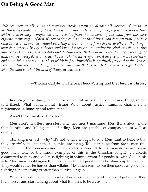# **On Being A Good Man**

*"We see men of all kinds of professed creeds attain to almost all degrees of worth or worthlessness under any of them. This is not what I call religion, this profession and assertion; which is often only a profession and assertion from the outworks of the man, from the mere argumentative region of him, if even so deep as that. But the thing a man does practically believe (and this is often enough without asserting it even to himself, much less to others); the thing a man does practically lay to heart, and know for certain, concerning his vital relations to this mysterious Universe, and his duty and destiny there, that is in all cases the primary thing for* him, and creatively determines all the rest. That is his religion; or, it may be, his mere skepticism and no-religion: the manner it is in which he feels himself to be spiritually related to the Unseen World or No-World; and I say, if you tell me what that is, you tell me to a very great extent *what the man is, what the kind of things he will do is."*

—Thomas Carlyle, On Heroes, Hero-Worship and the Heroic in History.

Reducing masculinity to a handful of tactical virtues may seem crude, thuggish and uncivilized. What about moral virtue? What about justice, humility, charity, faith, righteousness, honesty, and temperance?

Aren't these manly virtues, too?

Men aren't heartless monsters and they aren't machines. Men think about more than hunting and killing and defending. Men are capable of compassion as well as cruelty.

Thinking men ask "why." It's not always enough to win. Men want to believe that they are *right*, and that their enemies are *wrong.* To separate *us* from *them*, men find moral fault in their enemies and create codes of conduct to distinguish themselves as good men. One of the finest examples of this is the Christian knight—an ascetic committed to piety and violence, fighting in shining armor for goodness with God on his side. Most men would agree that it is better to be a good man who stands up to bad men. They would rather be heroes than villains. Most men want to see themselves as good men fighting for something greater than survival or gain.

When you ask men about what makes a *real* man, a lot of them will get up on their high horses and start talking about what it means to be a *good* man.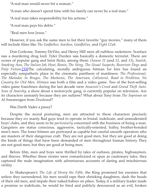"A real man would never hit a woman."

"A man who doesn't spend time with his family can never be a real man."

"A real man takes responsibility for his actions."

"A real man pays his debts."

"Real men love Jesus."

However, if you ask the same men to list their favorite "guy movies," many of them will include films like *The Godfather, Scarface, Goodfellas,* and *Fight Club*.

Don Corleone, Tommy DeVito, and Henry Hill were all ruthless racketeers. Scarface was a murdering drug lord. Tyler Durden was basically a domestic terrorist. There are scores of popular gang and heist flicks, among them: *Oceans 11* (and *12*, and *13*), *Snatch*, *Smoking Aces*, *The Italian Job*, *Heat*, *Ronin*, *The Sting, The Usual Suspects, Reservoir Dogs* and *Pulp Fiction*[.\[33\]T](#page-98-7)he calculating, morally ambiguous hitman for hire has found an especially sympathetic place in the cinematic pantheon of manliness: *The Professional, The Matador, In Bruges, The Mechanic, The American, Collateral, Road to Perdition, No Country for Old Men. Hitman* was both a film and a video game. Two of the best-selling video game franchises during the last decade were *Assassin's Creed* and *Grand Theft Auto*. *Sons of Anarchy,* a show about a motorcycle gang, is currently popular on television. Are its characters unmanly because they are outlaws? What about Tony from *The Sopranos* or Al Swearengen from *Deadwood*?

Was Darth Vader a pussy?

Despite the moral posturing, men are attracted to these characters precisely because they *are* manly. Bad guys tend to operate in brutal, indelicate, and unmoderated boys' clubs, and they seem to be *particularly* concerned with the business of being a man. Gangsters are status conscious, aggressive, tactically-oriented, ballsy, brother-bonded men's men. The loner hitmen are portrayed as capable but careful smooth operators who are masters of their dangerous craft. They are not good men, but they are good at doing the kinds of things that have been demanded of men throughout human history. They are not good men, but they are good at being men.

Before film, men and boys were thrilled by tales of outlaws, pirates, highwaymen, and thieves. Whether these stories were romanticized or spun as cautionary tales, they captured the male imagination with adventurous accounts of daring and mischievous virility.

In Shakespeare's *The Life of Henry the Fifth*, the King promised his enemies that unless they surrendered, his men would rape their shrieking daughters, dash the heads of their old men, and impale their naked babies on pikes. Today, if a military leader made a promise so indelicate, he would be fired and publicly denounced as an evil, broken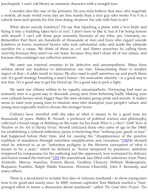psychopath. I can't call Henry an unmanly character with a straight face.

Consider also the case of the prisoner. Do you truly believe that men who negotiate a violent, all male world every day are less manly than a nice guy who works 9 to 5 in a cubicle farm and spends his free time doing whatever his wife tells him to do?

What about suicide bombers? I'd say that hijacking a plane with a box knife and flying it into a building takes *balls of steel*. I don't have to like it, but if I'm being honest with myself, I can't call those guys unmanly. Enemies of my tribe, yes. Unmanly, no. Remember that there are hundreds of thousands of men and boys who regard suicide bombers as brave, martyred heroes who took substantial risks and made the ultimate sacrifice for a cause. We think of them as *evil* and flatter ourselves by calling them *cowardly* because they aren't on our team, because they don't share all of our values, and because they endanger our collective interests.

We want our external enemies to be defective and unsympathetic. Many have written about our tendency to dehumanize our foes. Emasculating them is another aspect of that—it adds insult to injury. We also want to puff ourselves up and psych them out. It's good strategy. Insulting a man's honor—his masculine identity—is a good way to test him. It's a good way to get his blood up. It's a good way to pick a fight.

We want our villains within to be equally unsympathetic. Portraying bad men as unmanly men is a good way to dissuade young men from behaving badly. Making your own cultural heroes seem bigger than life men elevates group pride and morale. It makes sense to want your young men to emulate men who champion your people's values, and young men especially tend to choose the stronger horse.

Cultures have wrestled with the idea of what it means to be a good man for thousands of years. Waller R. Newell, a professor of political science and philosophy, collected a broad range of thinking on the topic for his book *What is a Man? 3,000 Years of Wisdom on the Art of Manly Virtue.* Newell criticized those who came of age in the 1960s for establishing a cultural orthodoxy prone to believing that "nothing just, good, or true" had happened before their time, and for causing the "disappearance of the positive tradition of manliness through relentless simplification and caricature.["\[34\]H](#page-98-8)e showed what he referred to as an "unbroken pedigree in the Western conception of what it means to be a man," which he defined as "honor tempered by prudence, ambition tempered by compassion for the suffering and the oppressed, love restrained by delicacy and honor toward the beloved.["\[35\]](#page-98-9) His sourcebook was filled with selections from Plato, Aristotle, Marcus Aurelius, Francis Bacon, Geoffrey Chaucer, William Shakespeare, Benjamin Franklin, Ralph Waldo Emerson, Winston Churchill, John F. Kennedy, and many others.

There is a movement to reclaim this idea of virtuous manhood—to show young men how to be good and manly men. In 2009, venture capitalist Tom Matlack started a "fourpronged effort to foster a discussion about manhood," called *The Good Men Project. The*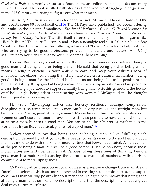*Good Men Project* currently exists as a foundation, an online magazine, a documentary film, and a book. The book is filled with stories of men who are struggling to be *good men* in the 21<sup>st</sup> Century, and trying to figure out what that means.

*The Art of Manliness* website was founded by Brett McKay and his wife Kate in 2008, and boasts some 90,000 subscribers[.\[36\]T](#page-99-0)he McKays have published two books offering their take on the subject of manliness: *The Art of Manliness* – *Classic Skills and Manners for the Modern Man*, and *The Art of Manliness - Manvotionals: Timeless Wisdom and Advice on Living the 7 Manly Virtues.* The site itself reveres good, manly historical figures like "Rough Rider" Theodore Roosevelt, and it has a nostalgic feel to it. It's a bit like a Boy Scout handbook for adult males, offering advice and "how to" articles to help out men who are trying to be good protectors, providers, husbands, and fathers. An *Art of Manliness* workout isn't just a workout; it becomes "hero training."

I asked Brett McKay about what he thought the difference was between being a good man and being good at being a man. He said that being good at being a man means, "being proficient in your ability to earn and keep your culture's idea of manhood." He elaborated, noting that while there were cross-cultural similarities, "Being good at being a man for the Kalahari bushman means being able to be persistent and hunt successfully. Being good at being a man for a man living in suburban Ohio probably means holding a job down to support a family, being able to fix things around the house, or if he's single, being adept at interacting with women." McKay told me he thought being a good man was simpler.

He wrote: "developing virtues like honesty, resilience, courage, compassion, discipline, justice, temperance, etc. A man can be a very virtuous and upright man, but be horrible at "being good at being a man." Maybe he can't hunt or he's terrible around women or can't use a hammer to save his life. It's also possible to have a man who's good at being a man, but isn't a good man. You can be the best hunter or mechanic in the world, but if you lie, cheat, steal, you're not a good man."<sup>[\[37\]](#page-99-1)</sup>

McKay seemed to say that being good at being a man is like fulfilling a job description, defined by what your culture needs (or wants) men to do, and being a good man has more to do with the kind of moral virtues that Newell advocated. A man can fail at the job of being a man, but still be a good person. I use person here, because these moral values are fairly gender neutral. Perhaps, along these lines of thinking, being a good man is a matter of balancing the cultural demands of manhood with a private commitment to moral uprightness.

McKay's positive prescription for manliness is a welcome change from mainstream "men's magazines," which are more interested in creating sociopathic metrosexual superconsumers than writing positively about manhood. I'd agree with McKay that being good at being a man is rather like a job description, and that the description changes a great deal from culture to culture.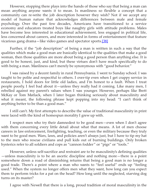However, stopping there plays into the hands of those who say that being a man can mean anything anyone wants it to mean. Is manliness so flexible a concept that a community can re-write the job description however they wish? Not if we accept any model of human nature that acknowledges differences between male and female psychology. Over the past few decades, Americans have transitioned to a service economy and educators treated boys like naughty girls with attitude problems. Males have become less interested in educational achievement, less engaged in political life, less concerned about careers, and more interested in forms of entertainment that feature vicarious gang drama—like video games and spectator sports.[\[38\]](#page-99-2)

Further, if the "job description" of being a man is written in such a way that the qualities which make a good man are basically identical to the qualities that make a good woman, then those qualities are more about being a good person than anything else. It is good to be honest, just, and kind, but these virtues don't have much specifically to do with being a man. Manliness can't merely be synonymous with "good behavior."

I was raised by a decent family in rural Pennsylvania. I went to Sunday school. I was taught to be polite and respectful to others. I over-tip even when I get crappy service in restaurants, I hold doors for little old ladies, and I'm honest to a fault. When I treat people poorly, I feel bad about it—unless they really had it coming. Like many men, I rebelled against my parent's values when I was younger. However, perhaps like Brett McKay or Tom Matlack, when I later began thinking seriously about masculinity and what it meant, the following phrase kept popping into my head: "I can't think of anything better to be than a good man."

I still can't. My first attempts to describe the value of traditional masculinity in print were laced with the kind of homespun morality I grew up with.

I respect men who try their damnedest to be good men—even when I don't agree with them concerning every little detail about what that means. A lot of men choose careers in law enforcement, firefighting, teaching, or even the military because they truly want to be good men. Wars, laws, and policies aren't always just, but I have to tip my hat to the men who rescue civilians and pull kids out of burning buildings. Only broken hysterics refer to all soldiers and cops as "cannon fodder" or "pigs" or "tools."

However, unless self-sacrifice and restraint are to be masculinity's defining qualities —unless masculinity is to be an ascetic discipline and nothing more—there is a point somewhere down a road of diminishing returns that being a good man is no longer a good trade. There's a point where a man who wants to "feel useful" ends up "feeling used." When the system no longer offers men what they want, how long can you expect them to perform tricks for a pat on the head? How long until the neglected, starving dog turns on its master?

I agree with Newell that there is a long, proud tradition of moral masculinity in the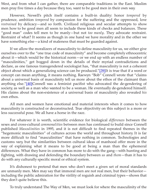West, and from what I can gather, there are comparable traditions in the East. Muslim men pray five times a day because they, too, want to be good men in their own way.

However, Newell's pitch itself contains a built-in duality: honor *tempered* by prudence, ambition *tempered* by compassion for the suffering and the oppressed, love *restrained* by delicacy—and so forth. Civilized religious and secular attempts to show men how to be good men all seem to include these kinds of checks and balances. These "good man" codes tell men to be manly—but not *too manly*. They advocate restraint. Restraint of what? It seems as though in one hand we have morality and in the other we have something else—a kind of maleness that must be guarded against.

If we allow the moralizers of masculinity to define masculinity for us, we either give ourselves over to the "one true code of masculinity" and become completely ethnocentric about it—which would be the historical norm—or we end up with an endless number of "masculinities," get bogged down in the details of their myriad contradictions and declare, as one famous transgendered sociologist has, "that masculinity is not a coherent object about which a generalizing science can be produced.["\[39\]I](#page-99-3)t is true that if a word or concept can mean anything, it means nothing. Raewyn "Bob" Connell wrote that "claims about a universal basis of masculinity tell us more about the ethos of the claimant than anything else.["\[40\]C](#page-99-4)onnell was a feminist pacifist who advocated the de-gendering of society, as well as a man who wanted to be a woman. He eventually de-gendered himself. His claims about the non-existence of a universal basis of masculinity also revealed *his* own ethos.

All men and women have emotional and material interests when it comes to how masculinity is constructed or deconstructed. True objectivity on this subject is a more or less successful pose. We all have a horse in the race.

For whatever it is worth, scientific evidence for biological *differences* between the sexes and cross-cultural *commonalities* between men has continued to build since Connell published *Masculinities* in 1995, and it is not difficult to find repeated themes in the "hegemonic masculinities" of cultures across the world and throughout history. It is far more difficult to find "masculinities" that have nothing in common. Technologies and customs vary, but the similarities between cultural ideas of manhood offer more in the way of explaining what it means to be good at being a man than the ephemeral differences. What they have in common has more to do with the gang—with hunting and fighting, with drawing and defending the boundary between *us* and *them*—than it has to do with any culturally specific moral or ethical system.

It's dishonest to pretend that men who don't meet a given set of moral standards are unmanly men. Men may say that immoral men are not real men, but their behavior including the public admiration for the virility of roguish and criminal types—shows that they don't quite believe this.

To truly understand The Way of Men, we must look for where the masculinity of the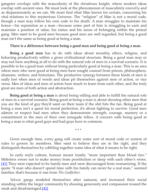gangster overlaps with the masculinity of the chivalrous knight, where modern ideas overlap with ancient ones. We must look at the phenomenon of masculinity *amorally* and as dispassionately as we can. We must find what Man knows for certain, concerning his vital relations to this mysterious Universe. The "religion" of Man is not a moral code, though a man may follow his own code to his death. A man struggles to maintain his honor—his reputation as a man—because some part of him is struggling to earn and maintain a position of value, his status and his sense of belonging within the primal gang. Men want to be good men because good men are well regarded, but being a good man isn't the same as being good at being a man.

### **There is a difference between being a good man and being good at being a man.**

**Being a good man** has to do with ideas about morality, ethics, religion, and behaving productively within a given civilizational structure. Being a good man may or may not have anything at all to do with the natural role of men in a survival scenario. It is possible to be a good man without being particularly good at being a man. This is an area where men who were good at being men have sought counsel from priests, philosophers, shamans, writers, and historians. The productive synergy between these kinds of men is sadly lost when men of words and ideas pit themselves against men of action, or vice versa. Men of ideas and men of action have much to learn from each other, and the truly great are men of both action and abstraction.

**Being good at being a man** is about being willing and able to fulfill the natural role of men in a survival scenario. Being good at being a man is about showing other men that you are the kind of guy they'd want on their team if the shit hits the fan. Being good at being a man isn't a quest for moral perfection, it's about fighting to survive. Good men admire or respect bad men when they demonstrate strength, courage, mastery or a commitment to the men of their own renegade tribes. A concern with being good at being a man is what good guys and bad guys have in common.

\* \* \*

Given enough time, every gang will create some sort of moral code or system of rules to govern its members. Men want to believe they are in the right, and they distinguish themselves by cobbling together some idea of what it means to be right.

In early *mafia* culture, honour meant loyalty "more important than blood ties." Mobsters swore not to make money from prostitution or sleep with each other's wives. [\[41\]](#page-99-5) They were expected to be family men and were discouraged from womanizing. If the quote "A man who doesn't spend time with his family can never be a real man," seemed familiar, that's because it was from *The Godfather.*

*Yakuza* gangs modeled themselves after samurai, and increased their social standing within the larger community by showing generosity and compassion toward the weak and disadvantaged.[\[42\]](#page-99-6)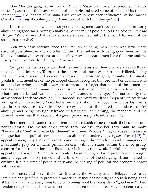One Mexican gang, known as *La Familia Michoacana* recently preached "family values," passed out their own version of the Bible and used some of their profits to help the poor[.\[43\]](#page-99-7) The leaders of *La Familia* are known to have been influenced by the "macho Christian writing of contemporary American author John Eldredge."[\[44\]](#page-99-8)

In dire times, men who are not good at being men won't last long enough to worry about being good men. Strength makes all other values possible. As Han said in *Enter the Dragon:* "Who knows what delicate wonders have died out of the world, for want of the strength to survive?"

Men who have accomplished the first job of being men—men who have made survival possible—can and do often concern themselves with being good men. As the bloody boundary between threat and safety moves outward, men have the time and the luxury to cultivate civilized, "higher" virtues.

Gangs of men with separate identities and interests of their own are always a threat to established interests. To protect the interests of those who run our civilized, highly regulated world, men and women are mixed to discourage gang formation. Feminists, pacifists, and members of the privileged classes recognize that brother-bonded men who are good at being men will always be a threat, but forget that some of those men are necessary to create and maintain order in the first place. There is a call to do away with what even the United Nations has deemed "outmoded stereotypes" of masculinity that are associated with violence. $[45]$  "Outmoded" is a word you'll see frequently in academic writing about masculinity. So-called experts talk about manhood like it was last year's fad, in part because they subscribe to convenient but discredited blank slate theories about gender being "as lightly linked to sex as are the clothing, the manners, and the form of head-dress that a society at a given period assigns to either sex." $[46]$ 

Both men and women have attempted to refashion men to suit their dream of a perfect world. No matter what creed they profess, whether they want to make "Democratic Men" or "Fierce Gentlemen" or "Inner Warriors," they can't seem to escape the gravitational pull of some basic ideas about the underlying *religion* of men.[\[47\]](#page-99-11) To appeal to men, they speak of strength and courage. The moralizers and reimaginers of masculinity play on a man's primal concern with his status within the male group, concern for his reputation, his distaste for being seen as weak, fearful, or inept—they appeal to his sense of *honor*. Their moralized and reimagined interpretations of strength and courage are simply tamed and pacified versions of the old gang virtues, suited to civilized life in a time of peace, plenty, and the sharing of political and economic power with women.

To protect and serve their own interests, the wealthy and privileged have used feminists and pacifists to promote a masculinity that has nothing to do with being good at being a man, and everything to do with being what they consider a "good man." Their version of a good man is isolated from his peers, emotional, effectively impotent, easy to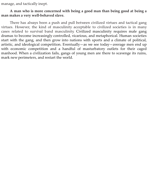manage, and tactically inept.

## **A man who is more concerned with being a good man than being good at being a man makes a very well-behaved slave.**

There has always been a push and pull between civilized virtues and tactical gang virtues. However, the kind of masculinity acceptable to civilized societies is in many cases related to survival band masculinity. Civilized masculinity requires male gang dramas to become increasingly controlled, vicarious, and metaphorical. Human societies start with the gang, and then grow into nations with sports and a climate of political, artistic, and ideological competition. Eventually—as we see today—average men end up with economic competition and a handful of masturbatory outlets for their caged manhood. When a civilization fails, gangs of young men are there to scavenge its ruins, mark new perimeters, and restart the world.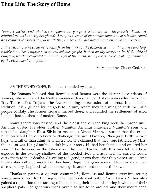# **Thug Life: The Story of Rome**

*"Remove justice, and what are kingdoms but gangs of criminals on a large scale? What are criminal gangs but petty kingdoms? A gang is a group of men under command of a leader, bound by a compact of association, in which the plunder is divided according to an agreed convention.*

*If this villainy wins so many recruits from the ranks of the demoralized that it acquires territory, establishes a base, captures cities and subdues people, it then openly arrogates itself the title of* kingdom, which is conferred on it in the eyes of the world, not by the renouncing of aggression but *by the attainment of impunity"*

—St. Augustine, City of God. 4-4.

AS THE STORY GOES, Rome was founded by a gang.

The Romans believed that Romulus and Remus were the distant descendants of Aeneas, who wandered the Mediterranean with a small band of survivors after the ruin of Troy. These exiled Trojans—the few remaining ambassadors of a proud but defeated tradition—were guided by the gods to Latium, where they intermingled with the Latin people of Italy. The former Trojans thrived there, and founded the settlement of Alba Longa—just southeast of modern Rome.

Many generations passed, and the eldest son of each king took the throne until Amulius ousted his older brother Numitor. Amulius murdered Numitor's sons and forced his daughter Rhea Silvia to become a Vestal Virgin, assuring that the exiled Numitor would have no heirs to challenge his own. However, Rhea gave birth to twin boys, and rather than admit an indiscretion, she claimed that they were fathered by Mars, the god of war. King Amulius didn't buy her story. He had her chained and ordered her sons to be drowned in the Tiber river. The men charged with this task left the boys exposed in the swampy shallows of the flooded river and assumed the current would carry them to their deaths. According to legend, it was there that they were rescued by a thirsty she-wolf and suckled on her hairy dugs. The grandsons of Numitor were then discovered by shepherds who took the boys in and raised them as their own.

Thanks in part to a vigorous country life, Romulus and Remus grew into strong young men known for hunting and for fearlessly confronting "wild beasts." They also gained a reputation for attacking robbers, taking their loot and sharing it with all of their shepherd pals. The generous twins were also fun to be around, and their merry band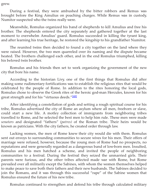grew.

During a festival, they were ambushed by the bitter robbers and Remus was brought before the King Amulius on poaching charges. While Remus was in custody, Numitor suspected who the twins really were.

Meanwhile, Romulus organized his band of shepherds to kill Amulius and free his brother. The shepherds entered the city separately and gathered together at the last moment to overwhelm Amulius' guard. Romulus succeeded in killing the tyrant king, and after learning his true heritage, he restored the kingship to his grandfather Numitor.

The reunited twins then decided to found a city together on the land where they were raised. However, the two men quarreled over its naming and the dispute became heated. The brothers challenged each other, and in the end Romulus triumphed, killing his beloved twin brother.

Romulus and his friends then set to work organizing the government of the new city that bore his name.

According to the historian Livy, one of the first things that Romulus did after making some rudimentary fortifications was to establish the religious rites that would be celebrated by the people of Rome. In addition to the rites honoring the local gods, Romulus chose to observe the Greek rites of the heroic god-man Hercules, known for his great strength and for his "virtuous deeds."[\[48\]](#page-99-12)

After identifying a constellation of gods and setting a rough spiritual course for his tribe, Romulus advertised the city of Rome an asylum where all men, freeborn or slave, could start a new life. A motley collection of immigrants from neighboring tribes travelled to Rome, and he selected the best men to help him rule. These men were made *senators* and designated "fathers" (*patres)* of the Roman tribe. Their heirs would be known as patricians. With the city fathers, he created order through law.

Lacking women, the men of Rome knew their city would die with them. Romulus sent out envoys to surrounding communities to secure wives for his men. Their offers of marriage were refused, however, because the young men of Rome had no prospects, no reputations and were generally regarded as a dangerous band of low-born men. Insulted, Romulus and his men hatched a scheme, and invited the people of neighboring communities to a festival. During the festival they seized the unmarried girls. Their parents were furious, and the other tribes affected made war with Rome, but Rome prevailed over all militarily except the Sabines, with whom the women themselves helped to make peace to save both their fathers and their new husbands. The Sabines decided to join the Romans, and it was through this successful "rape" of the Sabine women that Romulus ensured the future of his new tribe.

Romulus continued to strengthen and defend his tribe through calculated military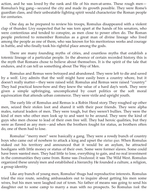action, and he was loved by the rank and file of his men-at-arms. These rough men— Romulus's big gang—secured the city and made its growth possible. They were Rome's guardian class, and their unbeatable fighting spirit would characterize the Roman people for centuries.

One day, as he prepared to review his troops, Romulus disappeared with a violent clap of thunder. Livy suspected that he was torn apart at the hands of his senators, who were contentious and tended to conspire, as men close to power often do. The Roman people preferred to remember Romulus as a great man of divine lineage who lived among the people as one of them, who was known for his meritorious works and courage in battle, and who finally took his rightful place among the gods.

There are many founding myths of cities, and countless myths that establish a totemic lineage of a particular people. In the absence of certain recorded history, this is the myth that Romans chose to believe about themselves. It is the spirit of the tale that endures, and it can tell us something about The Way of Men.

Romulus and Remus were betrayed and abandoned. They were left to die and saved by a wolf. Livy admits that the wolf might have easily been a country whore, but it doesn't really matter—they were raised wild. Romulus and Remus were raised "country." They had practical know-how and they knew the value of a hard day's work. They were given a simple upbringing, uncomplicated by court politics or the soft moral equivocation that attends urban commerce. They were virile and upright youth.

The early life of Romulus and Remus is a Robin Hood story. They roughed up other men, seized their stolen loot and shared it with their poor friends. They were alpha males, natural leaders of men. They were tough, but they weren't bullies. They were the kind of men who other men look up to and want to be around. They were the kind of guys who men choose to lead of their own free will. They had heroic qualities, but they were as flawed as any men—and when the brothers fought for status, as brothers often do, one of them had to lose.

Romulus' "merry men" were basically a gang. They were a rowdy bunch of country boys who came out of nowhere to attack a king and upset the *status quo*. When Romulus staked out his territory and announced that it would be an asylum, he attracted hooligans with little money or status of their own. Some were former slaves. Some could have been wanted men. They had little to lose, everything to gain, and no real investment in the communities they came from. Rome was *Deadwood*; it was The Wild West. Romulus organized these unruly men and established a hierarchy. He founded a culture, a religion, a group identity.

Like any bunch of young men, Romulus' thugs had reproductive interests. Romulus tried the nice route, sending ambassadors out to inquire about getting his men some wives, but his men were laughed out of town. No father of means was going to send his daughter out to some camp to marry a man with no prospects. So Romulus *took* the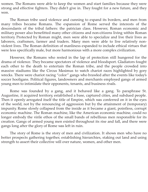women. The Romans were able to keep the women and start families because they were strong and effective fighters. They didn't give in. They fought for a new future, and they won.

The Roman tribe used violence and cunning to expand its borders, and men from many tribes became Romans. The expansion of Rome served the interests of the descendants of the tribal fathers: the patrician class. However, Roman economic and military power also benefitted many other citizens and non-citizens living within Roman territory. Protected by Roman might, men were able to specialize and live their lives as laborers, craftsmen, farmer and traders. Many men were able to live relatively nonviolent lives. The Roman definition of manliness expanded to include ethical virtues that were less specifically male, but more harmonious with a more complex civilization.

However, the Romans who rested in the lap of protection still hungered for the drama of violence. They became spectators of violence and bloodsport. Gladiators fought each other to the death to entertain the Roman tribe, and the people crowded into massive stadiums like the Circus Maximus to watch chariot races highlighted by gory wrecks. There were chariot racing "color" gangs who brawled after the events like today's soccer hooligans. Political figures, landowners and merchants employed gangs of armed young men to intimidate their opponents, tenants, and business rivals.

Rome was founded by a gang, and it behaved like a gang. To paraphrase St. Augustine, it acquired territory, established a base, captured cities, and subdued people. Then it openly arrogated itself the title of Empire, which was conferred on it in the eyes of the world, not by the renouncing of aggression but by the attainment of (temporary) impunity. Rome slowly collapsed from the inside as it became a giant, pointless, corrupt economic machine. The Roman machine, like the American economic machine, could no longer embody the virile ethos of the small bands of rebellious men responsible for its creation. Gangs of armed young men existed throughout its rise and fall, and there were gangs long after the glory of Rome was left in ruin.

The story of Rome is the story of men and civilization. It shows men who have no better prospects gathering together, establishing hierarchies, staking out land and using strength to assert their collective will over nature, women, and other men.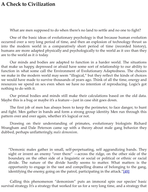# **A Check to Civilization**

What are men supposed to do when there's no land to settle and no one to fight?

One of the basic ideas of evolutionary psychology is that because human evolution occurred over a very long period of time, and then an explosion of technology thrust us into the modern world in a comparatively short period of time (recorded history), humans are more adapted physically and psychologically to the world as it *was* than they are to the world as it *is* today.

Our minds and bodies are adapted to function in a harder world. The situations that make us happy, depressed or afraid have some sort of relationship to our ability to function in what some call the Environment of Evolutionary Adaptedness. The choices we make in the modern world may seem "illogical," but they reflect the kinds of choices we would have made to survive thousands of years ago. Think of all the time, energy and resources we spend on sex even when we have no intention of reproducing. Logic's got nothing to do with it.

Our primal bodies and minds still make their calculations based on the old data. Maybe this is a bug or maybe it's a feature—just in case shit goes down.

The first job of men has always been to keep the perimeter, to face danger, to hunt and fight. Men gather in bands and form a strong group identity. Men run through this pattern over and over again, whether it's logical or not.

Drawing on their understanding of primates, evolutionary biologists Richard Wrangham and Dale Peterson came up with a theory about male gang behavior they dubbed, perhaps unflatteringly, *male demonism*.

"Demonic males gather in small, self-perpetuating, self aggrandizing bands. They sight or invent an enemy "over there" —across the ridge, on the other side of the boundary, on the other side of a linguistic or social or political or ethnic or racial divide. The nature of the divide hardly seems to matter. What matters is the opportunity to engage in the vast and compelling drama of belonging to the gang, identifying the enemy, going on the patrol, participating in the attack.["\[49\]](#page-99-13)

Calling this phenomenon "demonism" puts an immoral spin our species' basic survival strategy. It's a strategy that worked for us for a very long time, and a strategy that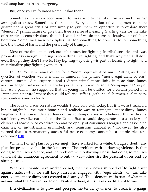we'd snap back to in an emergency.

But, once you've founded Rome…what then?

Sometimes there is a good reason to make war, to identify *them* and mobilize *our men* against *theirs.* Sometimes there isn't. Every generation of young men can't be guaranteed a great crisis or war simply to give them an opportunity to explore their "demonic" primal nature or give their lives a sense of meaning. Starting wars for the sake of narrative seems frivolous, though I wonder if we do it subconsciously…out of sheer boredom. Sometimes men pick fights just for something to do—just to *feel* something like the threat of harm and the possibility of triumph.

Most of the time, men seek out substitutes for fighting. In tribal societies, this was probably easy enough. Hunting is something like fighting, and that's why men still do it even though they don't have to. Play fighting—sparring—is part of learning to fight, and men ritualize play fighting with sport.

In 1906 William James called for a "moral equivalent of war." Putting aside the question of whether war is moral or immoral, the phrase "moral equivalent of war" captures our need to suppress and redirect primal masculinity in peacetime. James acknowledged that men seemed to be perpetually in want of some "campaigning" way of life. As a pacifist, he suggested that all young men be drafted for a certain period in a "war against nature" where they could toil and suffer together as fishermen, coal miners, road-builders and so forth.

The idea of a war on nature wouldn't play very well today, but if it were tweaked a bit, it might be the most honest and realistic way to reimagine masculinity. James laughed at the now-vindicated fears of his contemporaries who believed that without a sufficiently warlike nationalism, the United States would degenerate into a society, "of clerks and teachers, of co-education and zo-ophily, of consumer's leagues and associated charities, of industrialism unlimited, and feminism unabashed." However, he also warned that "a permanently successful peace-economy cannot be a simple pleasureeconomy."[\[50\]](#page-99-14)

William James' plan for peace might have worked for a while, though I doubt any plan for peace is viable in the long term. The problem with outlawing violence is that doing so requires violence, and the problem with outlawing war is that doing so requires universal simultaneous agreement to outlaw war—otherwise the peaceful doves end up sitting ducks.

Whether it would have worked or not, men were never shipped off to fight a war against nature—but we still keep ourselves engaged with "equivalents" of war. Like energy, gang masculinity isn't created or destroyed. This "demonism" is part of what men are and what they've evolved to do. It's always there; it just takes on different forms.

If a civilization is to grow and prosper, the tendency of men to break into gangs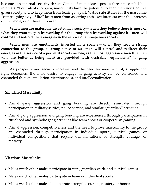becomes an internal security threat. Gangs of men always pose a threat to established interests. "Equivalents" of gang masculinity have the potential to keep men invested in a given society, and to keep them from tearing it apart. Viable substitutes for the masculine "campaigning way of life" keep men from asserting *their own* interests over the interests of the whole, or of those in power.

**When men are materially invested in a society—when they believe there is more of what they want to gain by working for the group than by working against it—men will control and redirect their energies in the service of a prosperous society.**

**When men are emotionally invested in a society—when they feel a strong connection to the group, a strong sense of** *us***—men will control and redirect their energies in the service of a peaceful society as long as the most aggressive men (the men who are better at being men) are provided with desirable "equivalents" to gang aggression.**

As prosperity and security increase, and the need for men to hunt, struggle and fight decreases, the male desire to engage in gang activity can be controlled and channeled though simulation, vicariousness, and intellectualization.

# **Simulated Masculinity**

- Primal gang aggression and gang bonding are directly simulated through participation in military service, police service, and similar "guardian" activities.
- Primal gang aggression and gang bonding are experienced through participation in ritualized and symbolic gang activities like team sports or cooperative gaming.
- Primal aggression, competitiveness and the need to prove masculinity to the group are channeled through participation in individual sports, survival games, or individual competitions that require demonstrations of strength, courage, or mastery.

# **Vicarious Masculinity**

- Males watch other males participate in wars, guardian work, and survival games.
- Males watch other males participate in team or individual sports.
- Males watch other males demonstrate strength, courage, mastery, or honor.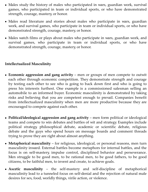- Males study the history of males who participated in wars, guardian work, survival games, who participated in team or individual sports, or who have demonstrated strength, courage, mastery, or honor.
- Males read literature and stories about males who participate in wars, guardian work, and survival games, who participate in team or individual sports, or who have demonstrated strength, courage, mastery, or honor.
- Males watch films or plays about males who participate in wars, guardian work, and survival games, who participate in team or individual sports, or who have demonstrated strength, courage, mastery, or honor.

# **Intellectualized Masculinity**

- **Economic aggression and gang activity** men or groups of men compete to outwit each other through economic competition. They demonstrate strength and courage by testing each other to see who is going to back down first and who is going to press his interests furthest. One example is a commissioned salesman selling an automobile to an informed buyer. Economic masculinity is demonstrated by taking risks and believing that you are competent enough to prevail. Companies benefit from intellectualized masculinity when men are more productive because they are encouraged to compete against each other.
- **Political/ideological aggression and gang activity** men form political or ideological teams and compete to win debates and battles of wit and strategy. Examples include political strategy, philosophical debate, academic or scientific debate, religious debate and the guys who spend hours on message boards and comment threads trying to prove they are right about almost anything.
- **Metaphorical masculinity** for religious, ideological, or personal reasons, men turn masculinity inward. External battles become metaphors for internal battles, and the focus is on self-mastery, impulse control, disciplined behavior and perseverance. Men struggle to be good men, to be rational men, to be good fathers, to be good citizens, to be faithful men, to invent and create, to achieve goals.
- **Ascetic masculinity** the self-mastery and self-discipline of metaphorical masculinity lead to a tunneled focus on self-denial and the rejection of natural male desires for sex, food, worldly things, virile action, or violence.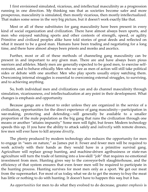I first envisioned simulated, vicarious, and intellectual masculinity as a progression running in one direction. My thinking was that as societies become safer and more prosperous, masculinity is simulated, then mostly vicarious, then mostly intellectualized. That makes some sense in the very big picture, but it doesn't work exactly like that.

Most or all of these substitutes for gang masculinity have been present in every kind of social organization and civilization. There have almost always been sports, and men who enjoyed watching sports and other contests of strength, speed, or agility. Primitive and civilized peoples alike have told stories of great deeds and reflected on what it meant to be a good man. Humans have been trading and negotiating for a long time, and there have almost always been priests and monks and ascetics.

Further, most or all of these methods of channeling gang masculinity can be present in and important to any given man. There are and have always been pious warriors and athletes. Manly men are generally expected to be good men, to exercise selfrestraint, and to behave ethically. Men who we see as men of action will still take political sides or debate with one another. Men who play sports usually enjoy watching them. Overcoming internal struggles is essential to overcoming external struggles, to surviving, and to achieving anything.

So, both individual men and civilizations can and do channel masculinity through simulation, vicariousness, *and* intellectualization at any point in their development. What changes is emphasis and opportunity.

Because gangs are a threat to order unless they are organized in the service of a civilization, opportunities for the direct experience of gang masculinity—participation in war-making, protecting and defending—will generally be available to a smaller proportion of the male population as the big gang that runs the civilization through one means or another "attains impunity." Some men will fight, but fewer. Modern technology speeds this up. If you have the ability to attack safely and *indirectly* with remote drones, few men will ever have to kill anyone *directly*.

The plenty produced by modern technology also reduces the opportunity for men to engage in "wars on nature," as James put it. Fewer and fewer men will be required to work actively with their hands as they would have in a primitive survival gang. Agriculture will replace group hunting, and machine-driven agribusiness or state-run agriculture will turn the trade of farming into a low-skill "job" that requires no emotional investment from men. Hunting gives way to the conveyor-belt slaughterhouse, and the efficiency of that system ensures that even fewer men will be required to participate in the hunting process. Hunting survives for most men only as a sport. We get our meat from the supermarket. For most of us today, what we do to get the money to buy the meat has little or nothing to do with hunting. It doesn't have to happen this way, but it has.

As *opportunities* for men to do what they evolved to do decrease, greater *emphasis* is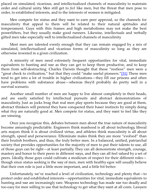placed on simulated, vicarious, and intellectualized channels of masculinity to maintain order and cultural unity. Men still get to *feel* like men, but the threat that men pose to order, to established interests, and to the interests of women is mitigated.

Men compete for status and they want to earn peer approval, so the channels for masculinity that appeal to them will be related to their natural aptitudes and temperament. Guys with thin frames and high metabolisms may not make the best powerlifters, but they usually make good runners. Likewise, intellectuals and verbally gifted men take especially well to intellectualized channels of masculinity.

Most men are talented evenly enough that they can remain engaged by a mix of simulated, intellectualized and vicarious forms of masculinity so long as they are otherwise invested in a given civilization.

A minority of men need extremely frequent opportunities for vital, immediate equivalents to hunting and war as they can get to keep them productive, and to keep them from self-destructing. Charles Darwin thought that these "restless" men were a "great check to civilization," but that they could "make useful pioneers." $[51]$  These men tend to get into a lot of trouble in higher civilizations—they fill our prisons and often have problems with substance abuse—whereas they'd probably do pretty well in a survival scenario.

Another small number of men are happy to live almost completely in their heads, and are easily satisfied by intellectual pursuits and abstract demonstrations of masculinity. Just as jocks brag that real men play sports because they are good at them, abstract thinkers will pretend they have conquered their baser instincts by simply doing what *they* are naturally good at. Men compete for status, and they want to feel like they are winning.

Once you recognize this, debates between men about the true nature of masculinity become amusingly predictable. Engineers think manhood is all about technology, liberal arts majors think it is about civilized virtue, and athletes think masculinity is all about strength, speed and perseverance. Effeminate males think they are more "evolved" than their brutish brothers, and thus, the truly better men. In a balanced, unified, patriarchal society that provides opportunities for the majority of men to put their talents to use, all of those guys can be right—at least partially. They can all demonstrate strength, courage, mastery and honor to their peers in different ways, and they can all feel valued by a set of peers. Ideally, those guys could cultivate a modicum of respect for their different roles though since status seeking is the way of men, men with healthy egos will usually believe that their own role is just a little more important, and a little bit better.

Unfortunately, we've reached a level of civilization, technology and plenty that—to protect order and established interests—opportunities for vital, immediate equivalents to hunting and war are increasingly rare. Weapons technology has made war too deadly and too easy for men willing to use that technology to get what they want at all costs. Lawyers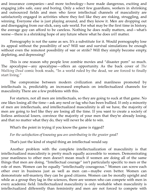and insurance companies—and more technology—have made dangerous, exciting and engaging jobs safe, easy and boring. Only a select few guardians, workers in shrinking and outsourced fields and men who favor intellectual channels of masculinity are satisfactorily engaged in activities where they feel like they are risking, struggling, and winning. Everyone else is just playing around, and they know it. Men are dropping out and disengaging from our slick, easy, safe world. For what may be the first time in history, the average guy can afford to be careless. Nothing he does really matters, and—what's worse—there is a shrinking hope of any future where what he does *will* matter.

Pornography is not the same as sex. It's a substitute for it. Would pornography lose its appeal without the possibility of sex? Will war and survival simulations be enough without even the remotest possibility of war or strife? Will they simply become empty, depleting, and depressing?

This is one reason why people love zombie movies and "disaster porn" so much. The apocalypse—any apocalypse—offers an opportunity. As the back cover of *The Walking Dead* comic book reads, "In a world ruled by the dead, we are forced to finally start living."

The compromise between modern civilization and manliness promoted by intellectuals is, predictably, an increased emphasis on intellectualized channels for masculinity. There are a few problems with this.

For starters, not all men are intellectuals, so they are going to suck at that game. No one likes losing all the time—ask any nerd or fag who has been bullied. If only a minority of men are intellectuals, and intellectualized masculinity is all we have, the majority of men are going to feel like they are losing all the time. If you want to create a society of listless antisocial losers, convince the majority of your men that they're already losing, and that no matter what they do, they will never be able to win.

What's the point in trying if you know the game is rigged?

*For the satisfaction of knowing you are contributing to the greater good?*

That's just the kind of stupid thing an intellectual would say.

Another problem with the complete intellectualization of masculinity is that intellectualized masculinity is pretty much equally accessible to women. Demonstrating your manliness to other men doesn't mean much if women are doing all of the same things that men are doing. "Intellectual courage" isn't particularly specific to men or the role of men. Women can be equally "intellectually courageous." Women can screw each other over in business just as well as men can—maybe even better. Women can demonstrate self-mastery, they can be good citizens. Women can be morally upright and while as a group they lag in the sciences, there are women who can compete with men in every academic field. Intellectualized masculinity is only workable when masculinity is intellectualized differently than femininity and men are not forced to compete with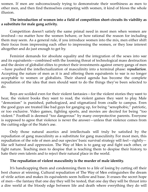women. If men are subconsciously trying to demonstrate their worthiness as men to other men, and then find themselves competing with women, it kind of blows the whole illusion.

## **The introduction of women into a field of competition short-circuits its viability as a substitute for male gang activity.**

Competition doesn't satisfy the same primal need in most men when women are involved—no matter how the women behave, or how rational the reason for including them may seem. As a general rule, if you introduce women into the mix, men either shift their focus from impressing each other to impressing the women, or they lose interest altogether and do just enough to get by.

Feminist demands for absolute equality and the integration of the sexes into war and its equivalents—combined with the looming threat of technological mass destruction and the desire of globalist elites to protect their investments against ornery gangs of men —have pushed the intellectualization of masculinity into a terminal phase: *repudiation*. Accepting the nature of men as it is and offering them equivalents to war is no longer acceptable to women or globalists. Their shared agenda has become the complete repudiation of the idea that men should want to do the things they've been selected to do.

Boys are scolded even for their violent fantasies—for the violent stories they want to hear, the violent books they want to read, the violent games they want to play. Male "demonism" is punished, pathologized, and stigmatized from cradle to campus. Even the good guys are treated like bad guys for ganging up, for being "xenophobic," patriotic, or too exclusive. Video games, fighting sports, and movies are decried for being "too violent." Football is deemed "too dangerous" by many overprotective parents. Everyone is supposed to agree that violence is never the answer—unless that violence comes from the cutting edge of the State's axe.

Only those natural ascetics and intellectuals will truly be satisfied by the repudiation of gang masculinity as a substitute for gang masculinity. For most men, this repudiation of the role of men and our species' basic survival strategy will feel—rightly like self hatred and oppression. The Way of Men is to gang up and fight each other, or fight nature. Teaching men to despise that is teaching them to despise their history, to hate their own talents and to reject their natural place in the world.

### **The repudiation of violent masculinity is the murder of male identity.**

It's handicapping them and condemning them to a life of losing by cutting off their best chance at winning. Cultural repudiation of The Way of Men extinguishes the dream of virile action and makes its equivalents seem hollow and base. It erases the secret hope of men—the fantasy that one day they will be tested, that one day they will be thrust into a dire world at the bloody edge between life and death where everything they do will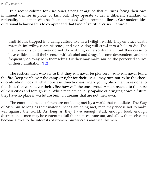really matter.

In a recent column for *Asia Times*, Spengler argued that cultures facing their own imminent demise implode or lash out. They operate under a different standard of rationality, like a man who has been diagnosed with a terminal illness. Our modern idea of rational behavior fails to comprehend that kind of spiritual crisis. He wrote:

"Individuals trapped in a dying culture live in a twilight world. They embrace death through infertility, concupiscence, and war. A dog will crawl into a hole to die. The members of sick cultures do not do anything quite so dramatic, but they cease to have children, dull their senses with alcohol and drugs, become despondent, and too frequently do away with themselves. Or they may make war on the perceived source of their humiliation."[\[52\]](#page-99-16)

The restless men who sense that they will never be pioneers—who will never build the fire, keep watch over the camp or fight for their lives—may turn out to be the check of civilization. Look at what hopeless, directionless, angry young black men have done to the cities that were never theirs. See how well the once-proud Aztecs reacted to the rape of their cities and foreign rule. White men are equally capable of bringing down a future they have no place in—a future built on dreams that are not their own.

The emotional needs of men are not being met by a world that repudiates The Way of Men, but so long as their material needs are being met, men may choose not to make war against the world. As long as they have enough stuff, enough food, enough distractions—men may be content to dull their senses, tune out, and allow themselves to become slaves to the interests of women, bureaucrats and wealthy men.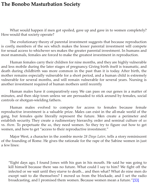# **The Bonobo Masturbation Society**

What would happen if men got spoiled, gave up and gave in to women completely? How would that society operate?

The evolutionary theory of parental investment suggests that because reproduction is costly, members of the sex which makes the lesser parental investment will compete for sexual access to whichever sex makes the greater parental investment. In humans and most mammals, females are forced to make the greatest investment in reproduction.

Human females carry their children for nine months, and they are highly vulnerable and less mobile during the later stages of pregnancy. Giving birth itself is traumatic, and death during childbirth was more common in the past than it is today. After birth, the mother remains especially vulnerable for a short period, and a human child is extremely vulnerable for several months, and will remain vulnerable for several years. Nursing is another investment required of human mothers until recently.

Human males have it comparatively easy. We can pass on our genes in a matter of minutes, and then skip town unless we are persuaded to stick around by females, social controls or shotgun-wielding fathers.

Human males evolved to compete for access to females because female reproductive investment is a valuable prize. Males can exist in the all-male world of the gang, but females quite literally represent the future. Men create a perimeter and establish security. They create a rudimentary hierarchy, order and seminal culture of *us* vs. *them*. To perpetuate the *us*, they need women. So they try to figure out how to get women, and how to get "access to their reproductive investment."

Major West, a character in the zombie movie *28 Days Later*, tells a story reminiscent of the founding of Rome. He gives the rationale for the rape of the Sabine women in just a few lines:

"Eight days ago, I found Jones with his gun in his mouth. He said he was going to kill himself because there was no future. What could I say to him? We fight off the infected or we wait until they starve to death... and then what? What do nine men do except wait to die themselves? I moved us from the blockade, and I set the radio broadcasting, and I promised them women. Because women mean a future.["\[53\]](#page-99-17)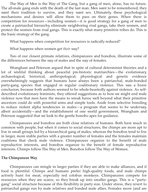The Way of Men is the Way of The Gang, but a gang of men, alone, has no future. The all-male gang ends with the death of the last man. Men want to be remembered, they want their tradition to survive, and they want sex. Ultimately, these psychological mechanisms and desires will allow them to pass on their genes. When there is competition for resources—including women—it is good strategy for a gang of men to create a patriarchal hierarchy, eliminate neighboring rival gangs, take their women, and protect the women from rival gangs. This is exactly what many primitive tribes do. This is the basic strategy of the gang.

What happens when competition for resources is radically reduced?

What happens when women get *their* way?

Two of our closest primate relatives, chimpanzees and bonobos, illustrate some of the differences between the way of males and the way of females.

Wrangham and Peterson argued that in spite of cultural determinist theories and a lot of wishful thinking about peaceful pre-historic matriarchies—the evolutionary, archaeological, historical, anthropological, physiological and genetic evidence overwhelmingly suggests that humans have always been a patriarchal, male-bonded party-gang species that engaged in regular coalitionary violence. This was a brave conclusion, because both authors seemed to be whole-heartedly against violence. As selfdescribed evolutionary feminists, they offered suggestions as to how we might end male violence now that men have the means to wreak havoc well beyond what their primitive ancestors could do with powerful arms and simple tools. Aside from selective breeding to reduce violent alpha tendencies in males—a program that seems to be underway, albeit accidentally—and the establishment of one world government, Wrangham and Peterson suggested that we look to the gentle bonobo apes for guidance.

Chimpanzees and bonobos are both close relatives of humans. Both have much in common with people, but when it comes to social structures, the chimps are more apt to live in small groups led by a hierarchical gang of males, whereas the bonobos tend to live in larger, more stable parties with a greater number of females and the females maintain coalitions that check male violence. Chimpanzees organize to the benefit of male reproductive interests, and bonobos organize to the benefit of female reproductive interests. Chimps follow The Way of Men. Bonobos follow The Way of Women.

### **The Chimpanzee Way**

Chimpanzees can mingle in larger parties if they are able to make alliances, and if food is plentiful. Chimps and humans prefer high-quality foods, and male chimps actively hunt for meat, especially red colobus monkeys. Chimpanzees compete for resources when they are scarce, so they break up into smaller gangs. This is a "partygang" social structure because of this flexibility in party size. Under stress, they revert to patriarchal gangs run by male relatives and bonded male allies. Females move (and are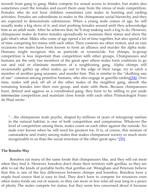moved) from gang to gang. Males compete for sexual access to females, but males also sometimes court the females and escort them away from the stress of male competition. Females who do not have children sometimes join males in hunting and raiding activities. Females are subordinate to males in the chimpanzee social hierarchy, and they are expected to demonstrate submission. When a young male comes of age, he will usually make a big show of it, and start pushing females around until they acknowledge him as an adult male. After he achieves that, he'll stop making such a big to do. However, chimpanzee males do batter females sporadically to maintain their status and show the gals what's what. Males who come of age spend a lot of time together, but also spend a lot of time competing for status with each other. Their contests are often violent, and on rare occasions two males have been known to form an alliance and murder the alpha male. Humans might recognize this as patricide or tyrannicide. For chimps, in-group competition is less important than competition with other groups. Chimpanzees and humans are the only two members of the great apes where males form coalitions to go out and raid or eliminate members of a neighboring gang. Alpha chimps will occasionally gather up other males, go out to the edge of their range, try to catch a member of another gang unaware, and murder him. This is similar to the "skulking way of war" common among primitive humans, who also engage in guerilla raiding<sup>[54]</sup>. Over time, males will pick off all of the other males of the neighbor gang, absorb the remaining females into their own group, and mate with them. Because chimpanzees hunt, defend and aggress as a coordinated gang, they have to be willing to put aside internecine competition and maintain close bonds with each other. Primatologist Frans de Waal wrote:

"…the chimpanzee male psyche, shaped by millions of years of intergroup warfare in the natural habitat, is one of both competition and compromise. Whatever the level of competition among them, males count on each other against the outside. No male ever knows when he will need his greatest foe. It is, of course, this mixture of camaraderie and rivalry among males that makes chimpanzee society so much more recognizable to us than the social structure of the other great apes."[\[55\]](#page-99-19)

#### **The Bonobo Way**

Bonobos eat many of the same foods that chimpanzees like, and they will eat meat when they find it. However, bonobos don't share their territory with gorillas, so they are able to eat the kinds of portable herbs that gorillas eat. Wrangham and Peterson believe that this is one of the key differences between chimps and bonobos. Bonobos have a staple food source that is easy to find. They don't have to compete for resources even when many foods are out of season, so they can more or less relax all year long in a peace of plenty. The males compete for status, but they seem less concerned about it because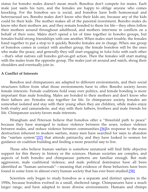status for bonobo males doesn't mean much. Bonobos don't compete for mates. Each male just waits his turn, and the females are happy to oblige anyone who comes knocking. For the bonobos sex is social, and bonobos have both homosexual and heterosexual sex. Bonobo males don't know who their kids are, because any of the kids could be their kids. The mother makes all of the parental investment. Bonobo males do know who their mothers are, and they remain bonded to them for life—they often follow their mothers around throughout adulthood, and mothers intervene in conflicts on a behalf of their sons. Males don't spend a lot of time together in bonobo groups, but females build strong friendships with one another. When males start trouble, the females band together to put a stop to it quickly. Bonobo females are in charge. When one group of bonobos comes in contact with another group, the female bonobos will be the ones who make the peace, and generally they will start engaging in *hoka-hoka* with each other *—*that's what natives call bonobo girl-on-girl action. Then the females will start mating with the males from the opposite group. The males just sit around and watch, shrug their shoulders and eventually join in.

#### **A Conflict of Interests**

Bonobos and chimpanzees are adapted to different environments, and their social structures follow from what those environments have to offer. Bonobo society favors female interests. Female coalitions hold sway over politics, and female bonding is more important than male bonding. Males are bonded to their mothers and don't know who their fathers are. Females stay together for life. In chimpanzee society, females are somewhat isolated and stay with their young when they are children, while males enjoy both rivalry and camaraderie, and stay with their fathers, brothers and male friends for life. Chimpanzee society favors male interests.

Wrangham and Peterson believe that bonobos offer a "threefold path to peace" because they have managed to reduce violence between the sexes, reduce violence between males, and reduce violence between communities.[\[56\]](#page-99-20)In response to the mass destruction inherent to modern warfare, many men have searched for ways to abandon the "warfare system"[\[57\]](#page-100-0) that attends patriarchy, and they have looked to women for guidance on coalition building and finding a more peaceful way to live.

Those who believe human warfare is somehow unnatural will find little objective support for this theory in history or the sciences. Human societies are complex, and aspects of both bonobo and chimpanzee patterns are familiar enough. But male aggression, male coalitional violence, and male political dominance have all been identified as "human universals"—meaning that evidence of these behaviors have been found in some form in almost every human society that has ever been studied.[\[58\]](#page-100-1)

Scientists only began to study bonobos as a separate and distinct species in the 1950s, because bonobos evolved in a small, sheltered range. Chimpanzees have a much larger range, and have adapted to more diverse environments. Humans and chimps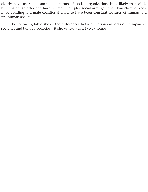clearly have more in common in terms of social organization. It is likely that while humans are smarter and have far more complex social arrangements than chimpanzees, male bonding and male coalitional violence have been constant features of human and pre-human societies.

The following table shows the differences between various aspects of chimpanzee societies and bonobo societies—it shows two ways, two extremes.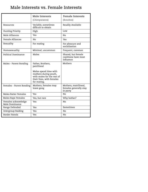# Male Interests vs. Female Interests

|                                       | Male Interests<br>(Chimpanzees)                                                                                                                              | <b>Female Interests</b><br>(Bonobos)                        |
|---------------------------------------|--------------------------------------------------------------------------------------------------------------------------------------------------------------|-------------------------------------------------------------|
| Resources                             | Variable, sometimes<br>difficult to obtain                                                                                                                   | Readily Available                                           |
| <b>Hunting Priority</b>               | High                                                                                                                                                         | Low                                                         |
| Male Alliances                        | Yes                                                                                                                                                          | No                                                          |
| <b>Female Alliances</b>               | No                                                                                                                                                           | Yes                                                         |
| Sexuality                             | For mating                                                                                                                                                   | For pleasure and<br>socialization                           |
| Homosexuality                         | Minimal, uncommon                                                                                                                                            | Frequent, common                                            |
| Political Dominance                   | Males                                                                                                                                                        | Shared, but female<br>coalitions have most<br>influence     |
| Males - Parent Bonding                | Father, Brothers,<br>patrilineal<br>Males spend time with<br>mothers during youth,<br>with males for the rest of<br>their lives, with females<br>for mating. | Mothers                                                     |
| Females - Parent Bonding              | Mothers, females may<br>leave gang                                                                                                                           | Mothers, matrilineal,<br>females generally stay<br>in party |
| <b>Males Batter Females</b>           | Yes                                                                                                                                                          | No                                                          |
| Males Rape Females                    | Yes, but rare                                                                                                                                                | Why bother?                                                 |
| Females acknowledge<br>Male Dominance | Yes                                                                                                                                                          | No                                                          |
| Range Defended                        | Yes                                                                                                                                                          | Sometimes                                                   |
| <b>Intergroup Raiding</b>             | Yes                                                                                                                                                          | No                                                          |
| <b>Border Patrols</b>                 | Yes                                                                                                                                                          | No                                                          |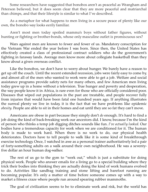Some researchers have suggested that bonobos aren't as peaceful as Wrangham and Peterson believed, but it does seem clear that they are more peaceful and matriarchal than chimps, and that their lifestyle is similar to what I've described.

As a metaphor for what happens to men living in a secure peace of plenty like our own, the bonobo way looks eerily familiar.

Aren't most men today spoiled mamma's boys without father figures, without hunting or fighting or brother-bonds, whose only masculine outlet is promiscuous sex?

Wars against men are known to fewer and fewer of us. Mandatory conscription for the Vietnam War ended the year before I was born. Since then, the United States has effectively created a class of professional contract soldiers who do the government's fighting in faraway lands. Average men know more about collegiate basketball than they know about a given overseas conflict.

Like the bonobos, we don't have to worry about hunger. We barely have a reason to get up off the couch. Until the recent extended recession, jobs were fairly easy to come by, and almost all of the men who wanted to work were able to get a job. Welfare and social assistance programs provide safety nets for many others, and few American men living today grew up in a home without a television. True hunger and poverty and desperation, the way people know it in Africa, is rare even for those who are officially considered poor. Diseases that wiped out populations in the past are treatable, and people recover fully from injuries that would have been fatal one hundred years ago. If anything illustrates the surreal plenty we live in today, it is the fact that we have problems like epidemic *obesity.* People are able to sit in their homes and eat until they are so fat they can't move.

Americans are obese in part because they simply don't *do* enough. It's hard to find a job doing the kind of back-breaking work our ancestors did. I know, because I'm the kind of person who thinks a temp job digging ditches sounds like fun. *I've actually looked.* Our bodies have a tremendous capacity for work when we are conditioned for it. The human body is made to work hard. When there is no work to do, our physical health deteriorates. Doctors have to tell people to walk like it is some kind of breakthrough exercise technology. Once, I watched in awe as a personal trainer authoritatively led a pair of forty-something adults on a walk around their own neighborhood. He was a seventyfive dollar an hour human dog-walker.

The rest of us go to the gym to "work out," which is just a substitute for doing physical work. People who answer emails for a living go to a special building where they trick their bodies into thinking they are actually doing the kind of work humans evolved to do. Activities like sandbag training and stone lifting and barefoot running are becoming popular. It's only a matter of time before someone comes up with a way to market a fitness craze where people run around spearing rubber mammoths.

The goal of civilization seems to be to eliminate work and risk, but the world has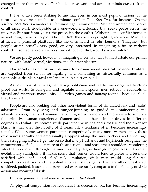changed more than we have. Our bodies crave work and sex, our minds crave risk and conflict.

It has always been striking to me that even in our most popular visions of the future, we have been unable to eliminate conflict. Take *Star Trek*, for instance. On the surface, *Star Trek* is a modernist, feminist, egalitarian dream. Men and women and people of all races work side-by-side in a one-world meritocracy that seeks peace across the universe. But our fantasy isn't the peace, it's the conflict. Without some conflict between *us* and *them*, there is no plot. On *Star Trek,* they're always fighting someone. Many are attracted to peaceful platitudes like the ones heard in John Lennon's "Imagine," but people aren't actually very good, or very interested, in imagining a future without conflict. If someone wrote a sci-fi show without conflict, would anyone watch?

We are pretty good, however, at imagining inventive ways to masturbate our primal natures with "safe" virtual, vicarious, and abstract pleasures.

Our society has almost no tolerance for unsanctioned physical violence. Children are expelled from school for fighting, and something as historically common as a weaponless, drunken brawl can land men in court or in jail.

As coalitions of females, pandering politicians and fearful men organize to childproof our world, to ban guns and regulate violent sports, men retreat to redoubts of virtual and vicarious masculinity like video games and fantasy football because it's all they have left.

People are also seeking out other non-violent forms of simulated risk and "safe" adventure. From skydiving and bungee-jumping to guided mountaineering and adventure races, men and women are coming up with more and more ways to simulate the primitive human experience. Women and men have similar drives in different degrees, and what I've noticed while participating in 5Ks and CrossFit and the "Warrior Dash" is that after the novelty of it wears off, attendance often becomes increasingly female. While some women participate competitively, many more women enjoy these experiences socially and emotionally, stopping along the way to cheer and encourage their struggling sisters. I get the sense that many husbands and boyfriends recognize the masturbatory, "feel-good" nature of these activities and shrug their shoulders, wondering why they would run through the mud in ninety degree heat *for no good reason.* From an evolutionary standpoint, it makes sense that women would tend to prefer and be more satisfied with "safe" and "fun" risk simulation, while men would long for real competition, real risk, and the potential of real status gains. The carefully orchestrated, sanitized, padded, insured and permitted exercise rarely compares to the fantasy of virile action and meaningful risk.

In video games, at least men experience *virtual* death.

As physical competition for resources has decreased, sex has become increasingly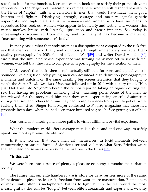social, as it is for the bonobos. Men and women hook up to satisfy their primal drive to reproduce. To the chagrin of masculinity's reimaginers, women still respond sexually to the kinds of "alpha" traits and behaviors in men that would have made them good hunters and fighters. Displaying strength, courage and mastery signals genetic superiority and high male status to women—even women who have no plans to reproduce. Men seek out women who appear to be hearty and fertile, and women trick men's monkey brains with lipstick, liposuction and breast implants. Sex today is increasingly disconnected from mating, and for many it has become a matter of "masturbating with someone else's body."

<span id="page-72-1"></span><span id="page-72-0"></span>In many cases, what that body offers is a disappointment compared to the risk-free sex that men can have virtually and vicariously through immediately available, high-quality pornography. In 2003, feminist Naomi Wolf<sup>[\[59\]](#page-100-0)</sup> and writer David Amsden<sup>[\[60\]](#page-100-1)</sup> wrote that the simulated sexual experience was turning many men off to sex with real women, who felt that they had to compete with pornography for the attention of men.

2003…wasn't that back when people actually still paid for porn, and a gigabyte still sounded like a big file? Today young men can download high definition pornography in moments and watch it on the same dazzling big screen television that they bought to watch the Super Bowl. *New York Magazine* followed up in 2011 with a story titled, "He's Just Not That Into Anyone" wherein the author reported faking an orgasm during real sex, but having no problems climaxing when watching porn. Some of the men he interviewed for the story told him that they were experiencing erectile dysfunction during real sex, and others told him they had to replay scenes from porn to get off while fucking their wives. Singer John Mayer confessed to *Playboy* magazine that there had probably been days where he had seen three hundred vaginas before getting out of bed. [\[61\]](#page-100-2)

<span id="page-72-2"></span>Our world isn't offering men more paths to virile fulfillment or vital experience.

What the modern world offers average men is a thousand and one ways to safely spank our monkey brains into oblivion.

Is it any wonder that some men ask themselves, in lucid moments between masturbating to various forms of vicarious sex and violence, what Betty Friedan wrote that educated housewives were asking themselves in the fifties:<sup>[\[62\]](#page-100-3)</sup>

## <span id="page-72-3"></span>**"Is this all?"**

We were born into a peace of plenty, a pleasure-economy, a bonobo masturbation society.

The future that our elite handlers have in store for us advertises more of the same. More detached pleasure, less risk, freedom from want, more masturbation. Reimaginers of masculinity offer us metaphorical battles to fight, but in the real world the most meaningful battles will be "fought" between elite bureaucrats and experts and wealthy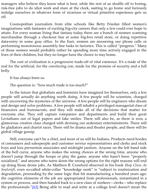managers who believe they know what is best, while the rest of us shuffle off to boring, risk-free jobs to do idiot work and stare at the clock, waiting to go home and furiously indulge ourselves in whatever form of vicarious or virtual primitive experience gets us off.

Cosmopolitan journalists from elite schools like Betty Friedan filled women's imaginations with fantasies of exciting big-city careers that only a few could ever hope to attain. For every woman living that fantasy today, there are a bunch of women scanning merchandise through a checkout line at some big-box retail store, or doing repetitive data-entry in some gray office. In the East, women are answering our phone calls or performing monotonous assembly line tasks in factories. This is called "progress." Many of those women would probably rather be spending more time actively engaged in the lives of their children, but they no longer have the choice to stay home.

The cost of civilization is a progressive trade-off of vital existence. It's a trade of the real for the artificial, for the convincing con, made for the promise of security and a full belly.

It has always been so.

The question is: "how much trade is too much?"

In the future that globalists and feminists have imagined for themselves, only a few people will actually do anything worth doing. A few people will be scientists, charged with uncovering the mysteries of the universe. A few people will be engineers who dream and design and solve problems. A few people will inhabit a privileged managerial class of financiers and bureaucrats, and they will make all of the decisions that matter for everyone else. They will captain companies and departments and build their great Leviathans out of legal papers and fake smiles. There will also be, as there is now, a glamorous creative class charged with devising our sedentary entertainments. There will be gladiators and chariot races. There will be drama and theater people, and there will be global village gossip.

<span id="page-73-0"></span>Still, everyone can't be a chief, and most of us will be Indians. Products need hordes of consumers and salespeople and customer service representatives and clerks and stock boys and loss prevention associates and midnight janitors. Anyone on the left hand side of the bell curve, anyone who makes the wrong choices at the wrong time, anyone who doesn't jump through the hoops or play the game, anyone who hasn't been "properly socialized," and anyone who turns down the wrong options for the right reasons will end up doing those drone jobs. As Matthew B. Crawford observed in his book *Shop Class As Soulcraft*, even so-called white-collar "knowledge work" is "subject to routinization and degradation, proceeding by the same logic that hit manufacturing a hundred years ago: the cognitive elements of the job are appropriated from professionals, instantiated in a system or process, and then handed back to a new class of workers—clerks—who replace the professionals.["\[63\]](#page-100-4) Being able to read and write at a college level doesn't mean the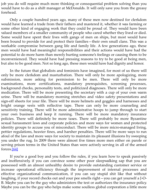job you do will require much more thinking or consequential problem solving than you would have to do as a shift manager at McDonalds. It will only save you from the greasy forehead.

Only a couple hundred years ago, many of these men now destined for clerkdom would have learned a trade from their fathers and mastered it, whether it was farming or some other kind of engaging work that they could be proud of. They would have been valued members of a smaller community of people who cared whether they lived or died. Some would have spent their lives with gangs of men on ships, but most would have been bound to provide for and protect their families—their own small clans. This was a workable compromise between gang life and family life. A few generations ago, these men would have had meaningful responsibilities and their actions would have had the potential to do more harm than merely hurting someone's feelings or causing them to be inconvenienced. They would have had pressing reasons to try to be good at being men, but also to be good men. Not so long ago, these men would have had dignity and honor.

In the future that globalists and feminists have imagined, for most of us there will only be more clerkdom and masturbation. There will only be more apologizing, more submission, more asking for permission to be men. There will only be more examinations, more certifications, mandatory prerequisites, screening processes, background checks, personality tests, and politicized diagnoses. There will only be more medication. There will be more presenting the secretary with a cup of your own warm urine. There will be mandatory morning stretches and video safety presentations and sign-off sheets for your file. There will be more helmets and goggles and harnesses and bright orange vests with reflective tape. There can only be more counseling and sensitivity training. There will be more administrative hoops to jump through to start your own business and keep it running. There will be more mandatory insurance policies. There will definitely be more taxes. There will probably be more Byzantine sexual harassment laws and corporate policies and more ways for women and protected identity groups to accuse you of misconduct. There will be more micro-managed living, pettier regulations, heavier fines, and harsher penalties. There will be more ways to run afoul of the law and more ways for society to maintain its pleasant illusions by sweeping you under the rug. In 2009 there were almost five times more men either on parole or serving prison terms in the United States than were actively serving in all of the armed forces[.\[64\]](#page-100-5)

<span id="page-74-0"></span>If you're a good boy and you follow the rules, if you learn how to speak passively and inoffensively, if you can convince some other poor sleepwalking sap that you are possessed with an almost unhealthy desire to provide outstanding customer service or increase operational efficiency through the improvement of internal processes and effective organizational communication, if you can say stupid shit like that without laughing, if your record checks out and your pee smells right—you can get yourself a J-O-B. Maybe you can be the guy who administers the test or authorizes the insurance policy. Maybe you can be the guy who helps make some soulless global corporation a little more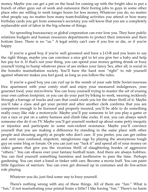money. Maybe you can get a pat on the head for coming up with the bright idea to put a bunch of other guys out of work and outsource their boring jobs to guys in some other place who are willing to work longer hours for less money. Whatever you do, no matter what people say, no matter how many team-building activities you attend or how many birthday cards you get from someone's secretary, you will know that you are a completely replaceable unit of labor in the big scheme of things.

No sprawling bureaucracy or global corporation can ever love you. They have public relations budgets and human resources departments to protect their interests and their bottom lines. There is no "us." A legal entity can't care if you live or die, or if you're happy.

If you're a good boy, if you're well groomed and have a J-O-B and you learn to say the right things, maybe you can convince a nice girl to let you give her a baby and help her pay for it. If that's not your thing, you can spend your money getting drunk or busy yourself trying to hump whatever piece of ass strikes your fancy. Sex, after all, is social in the bonobo masturbation society. You'll have the hard won "right" to rub yourself against whatever makes you feel good, as long as you follow the rules.

If you're a good boy, you can curl up in the womb of your safe little Soviet-nouveau bloc apartment with your comfy stuff and enjoy your measured indulgences, your gourmet food, your micro-brew. You can busy yourself trying to master the art of erasing your own carbon footprint, or you can do your part by biking to work, weaving recklessly through a barrage of trucks and cars that could crush you for the sheer thrill of it. Maybe you'll take a class and get your permit and after another clerk confirms that you are competent enough to be licensed and properly insured, you'll be able to do something really crazy like ride a motorcycle. Maybe you'll pay someone to let you play a game or run a race or put on a safety harness and climb fake rocks. If not, you can always watch someone else do it on TV. Maybe you'll get yourself worked up about some petty inequity or injustice and participate in some non-violent resistance. Maybe you'll convince yourself that you are making a difference by standing in the same place with other people and shouting angrily at people who don't care. If you prefer, you can get online and vent your confused, impotent, vainglorious rage by playing the anonymous tough guy on some blog or forum. Or you can just say "fuck it" and spend all of your money on video games that give you the vicarious thrill of slaughtering hordes of aggressive "others." You can obsess over your fantasy football team. And there are always hobbies. You can find yourself something harmless and inoffensive to pass the time. Perhaps gardening. You can start a band or tinker with cars. Become a movie buff. You can paint little figurines of warriors. You can even get dressed up in costumes and do live-action role playing.

Whatever you do, just find some way to busy yourself.

There's nothing wrong with any of these things. All of them are "fun." What is "fun," if not masturbating your primal brain a little? I like having "fun." There's no harm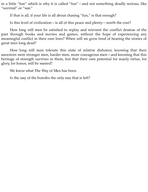in a little "fun" which is why it is called "fun"—and not something deadly serious, like "survival" or "war."

If that is all, if your life is all about chasing "fun," is that enough?

Is this level of civilization—is all of this peace and plenty—worth the cost?

How long will men be satisfied to replay and reinvent the conflict dramas of the past through books and movies and games, without the hope of experiencing any meaningful conflict in their own lives? When will we grow tired of hearing the stories of great men long dead?

How long will men tolerate this state of relative dishonor, knowing that their ancestors were stronger men, harder men, more courageous men—and knowing that this heritage of strength survives in them, but that their own potential for manly virtue, for glory, for honor, will be wasted?

We know what The Way of Men has been.

Is the way of the bonobo the only way that is left?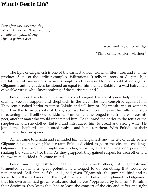# **What is Best in Life?**

*Day after day, day after day, We stuck, nor breath nor motion; As idle as a painted ship Upon a painted ocean.*

—Samuel Taylor Coleridge

"Rime of the Ancient Mariner"

The Epic of Gilgamesh is one of the earliest known works of literature, and it is the product of one of the earliest complex civilizations. It tells the story of Gilgamesh, a mortal man of tremendous natural strength and prowess. No man could stand against Gilgamesh until a goddess fashioned an equal for him named Enkidu—a wild hairy man of warlike virtue who "knew nothing of the cultivated land."

Enkidu was friends will the animals and ranged the countryside helping them, causing woe for trappers and shepherds in the area. The men conspired against him. They sent a naked harlot to tempt Enkidu and tell him of Gilgamesh, and of wonders found in the luxurious city of Uruk, so that Enkidu would leave the hills and stop threatening their livelihood. Enkidu was curious, and he longed for a friend who was his peer, another man who would understand him. He followed the harlot to the tents of the shepherds, and she clothed Enkidu and introduced him to bread and strong wine. He joined the shepherds and hunted wolves and lions for them. With Enkidu as their watchman, they prospered.

A man came to Enkidu and reminded him of Gilgamesh and the city of Uruk, where Gilgamesh was behaving like a tyrant. Enkidu decided to go to the city and challenge Gilgamesh. The two men fought each other, snorting and shattering doorposts and shaking the walls like two bulls. As they grappled, they gained respect for each other and the two men decided to become friends.

Enkidu and Gilgamesh lived together in the city as brothers, but Gilgamesh was tormented by his own great potential and longed to do something that would be remembered. Enil, father of the gods, had given Gilgamesh "the power to bind and to loose, to be the darkness and the light of mankind." Enkidu complained to Gilgamesh that his own arms had grown weak, and that he was "oppressed by idleness." To fulfill their destinies, they knew they had to leave the comfort of the city and suffer and fight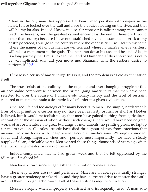evil together. Gilgamesh cried out to the god Shamash:

"Here in the city man dies oppressed at heart, man perishes with despair in his heart. I have looked over the wall and I see the bodies floating on the river, and that will be my lot also. Indeed I know it is so, for whoever is tallest among men cannot reach the heavens, and the greatest cannot encompass the earth. Therefore I would enter that country: because I have not established my name stamped on brick as my destiny decreed, I will go to the country where the cedar is cut. I will set up my name where the names of famous men are written; and where no man's name is written I will raise a monument to the gods.' The tears ran down his face and he said, 'Alas, it is a long journey that I must take to the Land of Humbaba. If this enterprise is not to be accomplished, why did you move me, Shamash, with the restless desire to perform it?["\[65\]](#page-100-6)

<span id="page-78-0"></span>If there is a "crisis of masculinity," this is it, and the problem is as old as civilization itself.

The true "crisis of masculinity" is the ongoing and ever-changing struggle to find an acceptable compromise between the primal gang masculinity that men have been selected for over the course of human evolutionary history, and the level of restraint required of men to maintain a desirable level of order in a given civilization.

Civilized life and technology offer many benefits to men. The simple, hardscrabble lives of our primitive ancestors may not have been as nasty, brutish or short as Hobbes believed, but it would be foolish to say that men have gained nothing from agricultural innovation or the division of labor. Without such changes there would have been no great works of art or literature, no great buildings or monuments, no printing press, no laptop for me to type on. Countless people have died throughout history from infections that anyone can cure today with cheap over-the-counter medications. We enjoy abundant foods and strong, imported wines and—perhaps most importantly—we have a steady supply of clean, drinkable water. Men wanted these things thousands of years ago when the Epic of Gilgamesh story was conceived.

Enkidu complained that he had grown weak and that he felt oppressed by the idleness of civilized life.

Men have known since Gilgamesh that civilization comes at a cost.

The manly virtues are raw and perishable. Males are on average naturally stronger, have a greater tendency to take risks, and they have a greater drive to master the world around them through technics—but all of these aptitudes require cultivation.

Muscles atrophy when improperly nourished and infrequently used. A man who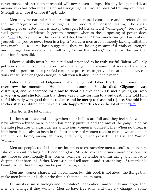never pushes his strength threshold will never even glimpse his physical potential, as anyone who has achieved substantial strength gains through physical training can attest. Strength is a "use it or lose it" aptitude.

<span id="page-79-0"></span>Men may be natural risk-takers, but the increased confidence and surefootedness that we recognize as manly courage is the product of constant testing. The chestthumping of untested men is hardly courage; Hobbes called it "vaine-glory", because "a well grounded confidence begetteth attempt; whereas the supposing of power does not."[\[66\]](#page-100-7) Or, to put it in the words of Tyler Durden, "How much can you know about yourself, [if] you've never been in a fight?" Modern men are not merely lacking initiation into manhood, as some have suggested, they are lacking meaningful trials of strength and courage. Few modern men will truly "know themselves," as men, in the way that their forefathers did.

Likewise, skills must be mastered and practiced to be truly useful. Talent will only get you so far. If you are never truly challenged in a meaningful way and are only required to perform idiot-proofed corporate processes to get your meat and shelter, can you ever truly be engaged enough to call yourself alive, let alone a man?

Later in the Epic of Gilgamesh, after Gilgamesh killed the Bull of Heaven and overthrew the monstrous Humbaba, his comrade Enkidu died. Gilgamesh was distraught, and he searched for a way to cheat his own death. He met a young girl who made wine, and she told him that there was no way for him to avoid death. She told him to fill his belly with good things, to dance and be merry, to feast and rejoice. She told him to cherish his children and make his wife happy, "for this too is the lot of man." $[67]$ 

<span id="page-79-1"></span>This *too*, is the lot of man.

In times of peace and plenty, when their bellies are full and they feel safe, women have always advised men to abandon manly pursuits and the way of the gang, to enjoy the safe pleasures of vicariousness and to join women in domestic life. When no threat is imminent, it has always been in the best interest of women to calm men down and enlist their help at home, raising children, and fixing up the grass hut. This is The Way of Women.

Men are people, too. It is not my intention to characterize men as soulless monsters who care about nothing but blood and glory. Men do love; sometimes more passionately and more unconditionally than women. Men can be tender and nurturing; any man who disputes that hates his father. Men write and tell stories and create things of remarkable beauty. All of these things can be part of being a man.

Men and women share much in common, but this book is not about the things that make men human, it is about the things that make them men.

Feminists dismiss biology and "outdated" ideas about masculinity and argue that men can change if they want to. Men do have free wills, and they *can* change to some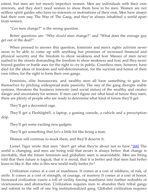extent, but men are not merely imperfect women. Men are individuals with their own interests, and they don't need women to show them how to be men. Women are not selfless spirit guides who have no interests or motivations of their own. Men have always had their own way, The Way of The Gang, and they've always inhabited a world apart from women.

"*Can* men change?" is the wrong question.

Better questions are: "Why *should* men change?" and "What does the average guy get out of the deal?"

When pressed to answer this question, feminists and men's rights activists never seem to be able to come up with anything but promises of increased financial and physical security and the freedom to show weakness and fear. Masses of men never rushed to the streets demanding the freedom to show weakness and fear, and they never braved gunfire or battle axes for the right to cry in public. Countless men, however, have died for the ideas of freedom and self-determination, for the survival and honor of their own tribes, for the right to form their own gangs.

Feminists, elite bureaucrats, and wealthy men all have something to gain for themselves by pitching widespread male passivity. The way of the gang disrupts stable systems, threatens the business interests (and social status) of the wealthy, and creates danger and uncertainty for women. If men can't figure out what kind of future they want, there are plenty of people who are ready to determine what kind of future they'll get.

They'll get a decorated cage.

They'll get a Fleshlight®, a laptop, a gaming console, a cubicle and a prescription drip.

They'll get some exciting new gadgets.

They'll get something that *feels* a little bit like being a man.

<span id="page-80-0"></span>Women will continue to mock them, and they'll deserve it.

Lionel Tiger wrote that men "don't get what they're about not to have.["\[68\]](#page-100-9) The world is changing, and men are being told that newer is always better, that change is inevitable, that the future feminists and globalists want is unavoidable. Men are being told that their future is logical, that it is moral, that it is better and that men had better learn to like it. But who is this new world really better *for?*

Civilization comes at a cost of manliness. It comes at a cost of wildness, of risk, of strife. It comes at a cost of strength, of courage, of mastery. It comes at a cost of honor. Increased civilization exacts a toll of virility, forcing manliness into further redoubts of vicariousness and abstraction. Civilization requires men to abandon their tribal gangs and submit to the will of one big institutionalized gang. Globalist civilization requires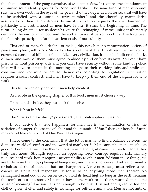the abandonment of the gang narrative, of *us* against *them.* It requires the abandonment of human scale identity groups for "one world tribe." The same kind of men who once saw their own worth in the eyes of the peers who they depended on for survival will have to be satisfied with a "social security number" and the cheerfully manipulative assurances of their fellow drones. Feminist civilization requires the abandonment of patriarchy and brotherhood as men have known it since the beginning of time. The future being dreamed for us doesn't require the reimaging of masculinity; it ultimately demands the end of manhood and the soft embrace of personhood that has long been the feminist prescription for this ancient crisis of masculinity.

This end of men, this decline of males, this new bonobo masturbation society of peace and plenty—this No Man's Land—is not inevitable. It will require the tacit or expressed consent of billions of men. Like every civilization, it must be built on the backs of men, and most of them must agree to abide by and enforce its laws. You can't have prisons without prison guards and you can't have security without some kind of police. Men will have to get up in the morning and go to their clerking jobs and smile and consume and continue to amuse themselves according to regulation. Civilization requires a social contract, and men have to keep up their end of the bargain for it to work.

This future can only happen if men help create it.

As I wrote in the opening chapter of this book, men must choose a way.

To make this choice, they must ask themselves:

## **What is best in life?"**

The "crisis of masculinity" poses exactly that philosophical question.

If you decide that true happiness for men lies in the elimination of risk, the satiation of hunger, the escape of labor and the pursuit of "fun," then our bonobo future may sound like some kind of One World Las Vegas.

I have come to the conclusion that the lot of man is to find a balance between the domestic world of comfort and the world of manly strife. Men cannot be men—much less good or heroic men—unless their actions have meaningful consequences to people they truly care about. Strength requires an opposing force, courage requires risk, mastery requires hard work, honor requires accountability to other men. Without these things, we are little more than boys playing at being men, and there is no weekend retreat or mantra or half-assed rite of passage that can change that. A rite of passage must reflect a real change in status and responsibility for it to be anything more than theater. No reimagined manhood of convenience can hold its head high so long as the earth remains the tomb of our ancestors. Men must have some work to do that's worth doing, some sense of meaningful action. It is not enough to be busy. It is not enough to be fed and clothed given shelter and safety in exchange for self-determination. Men are not ants or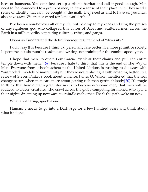bees or hamsters. You can't just set up a plastic habitat and call it good enough. Men need to feel connected to a group of men, to have a sense of their place in it. They need a sense of identity that can't be bought at the mall. They need *us* and to have *us,* you must also have *them.* We are not wired for "one world tribe."

I've been a non-believer all of my life, but I'd drop to my knees and sing the praises of any righteous god who collapsed this Tower of Babel and scattered men across the Earth in a million virile, competing cultures, tribes, and gangs.

<span id="page-82-0"></span>Honor as I understand the definition requires that kind of "diversity."

I don't say this because I think I'd personally fare better in a more primitive society. I spent the last six months reading and writing, not training for the zombie apocalypse.

I hope that men, to quote Guy Garcia, "yank at their chains and pull the entire temple down with them," $[69]$  because I hate to think that this is the end of The Way of Men. Everyone from schoolteachers to the United Nations is rushing to do away with "outmoded" models of masculinity, but they're not replacing it with anything better. In a review of Steven Pinker's book about violence, James Q. Wilson mentioned that the real change occurs when men care more about getting rich than getting bloody[.\[70\]](#page-100-11) It's tragic to think that heroic man's great destiny is to become economic man, that men will be reduced to craven creatures who crawl across the globe competing for money, who spend their nights dreaming up new ways to swindle each other. That's the path we're on now.

<span id="page-82-1"></span>What a withering, ignoble end…

Humanity needs to go into a Dark Age for a few hundred years and think about what it's done.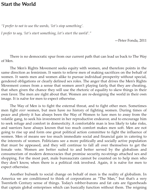# **Start the World**

*"I prefer to not to use the words, 'let's stop something'.*

*I prefer to say, 'let's start something, let's start the world'."*

—Peter Fonda, 2011

There is no democratic spur from our current path that can lead us back to The Way of Men.

The Men's Rights Movement seeks equity with women, and therefore points in the same direction as feminism. It wants to relieve men of making sacrifices on the behalf of women. It wants men and women alike to pursue individual prosperity without special, gendered obligations or clearly defined sex roles. The anger that drives the Men's Rights Movement comes from a sense that women aren't playing fairly, that they are cheating, that when given the chance they will use the rhetoric of equality to skew things in their own favor. The men are right about that. Women are re-designing the world in their own image. It is naïve for men to expect otherwise.

The Way of Men is to fight the external threat, and to fight other men. Sometimes men fight *over* women, but men have no history of fighting women. During times of peace and plenty it has always been the Way of Women to lure men to away from the volatile gang, to seek his investment in her reproductive endeavor, and to encourage him to seek refuge and comfort in domesticity. A comfortable man is less likely to take risks, and warriors have always known that too much comfort makes men soft. Men are not going to rise up and form one great political action committee to fight the influence of women. Men of means see too much immediate social and financial gain in catering to the interests of women. Politicians see a more politically and socially active population that must be appeased, and they will continue to fall all over themselves to get the female vote. Women are better suited to and better served by the globalism and consumerism of modern democracies that promise security, no-strings attached sex and shopping. For the most part, male bureaucrats cannot be counted on to help men who they don't know, when there is a political risk involved. Again, it is naïve for men to expect otherwise.

Another bulwark to social change on behalf of men is the reality of globalism. In America we are conditioned to think of corporations as "The Man," but that's a very Twentieth Century sense of things. Today's robber-barons and fat cats are figureheads that captain global enterprises which can basically function without them. The reigning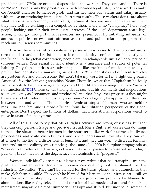presidents and CEOs are often as disposable as the workers. They come and go. There is no "Man." There is only the profit-driven, hydra-headed legal entity, whose workers make cost/benefit analyses to increase profit and further their own status and salary, usually with an eye on producing immediate, short-term results. Those workers don't care about what happens to a company in ten years, because if they are saavy and career-minded, they may well be working for a competitor by then. There is no "conspiracy" here, only people looking out for their immediate interests. If the legal department fears legal action, it will go through human resources and pre-empt it by initiating anti-sexist or anti-racist policies, or even soft affirmative action and public relations programs that reach out to litigious communities.

It is in the interest of corporate enterprises in most cases to champion anti-sexist (pro-feminist) and anti-racist policies because identity conflicts can be costly and inefficient. To the global corporation, people are interchangeable units of labor priced at different values. Your sexual or tribal identity is a nuisance and a source of potential liability. Only thin identities are advantageous—like the kind of music or movies you prefer. Thin identities are marketing niches. *Us* vs. *them* identities and different sex roles are problematic and cumbersome. But don't take my word for it, I'm a right-wing sexist. America's favorite left-wing anarchist, Noam Chomsky, wrote that "Capitalism basically wants people to be interchangeable cogs" and that differences among them are "usually not functional.["\[71\]](#page-100-12) Chomsky was talking about race, but his comments that corporations see people only as "consumers and producers" and that "any other properties they might have are kind of irrelevant, and usually a nuisance" can logically be applied to differences between men and women. The genderless feminist utopia of humans who are neither masculine nor feminine is more efficient from the utilitarian perspective of the global enterprise. Don't expect the billions of dollars that international corporations wield to move in favor of men any time soon.

<span id="page-84-0"></span>All of this is not to say that Men's Rights activists are wrong or useless, but that they can only perform triage and provide first aid. Men's Rights advocates can do things to make the situation better for men in the short term, like work for fairness in divorce proceedings and child custody cases and sexual harassment lawsuits. They can call attention to the lies and distortions of feminists, and they can work to discredit feminist "experts" on masculinity who repackage the same old 1970s boilerplate propaganda as "science" year after year. This is good work. Like what passes for conservatism today, it puts on a break that slows the degeneracy that feminists call "progress."

Women, individually, are not to blame for everything that has transpired over the past few hundred years. Individual women can certainly not be blamed for The Industrial Revolution. They can't be blamed for the trains, planes, and automobiles that make globalism possible. They can't be blamed for Marxism, or the birth control pill, or the Internet or the shopping mall. Women, as a group, can probably be blamed for abominations like reality television, and for a lot of bad music and art, and for making mainstream magazines almost unreadably gossipy and stupid. But individual women, a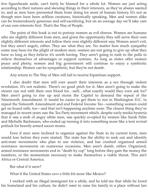few figureheads aside, can't fairly be blamed for a whole lot. Women are just acting according to their natures and skewing things in their interests, as they've always wanted to, and as men have prevented them from doing for most of human history. It's not as though men have been selfless creatures, historically speaking. Men and women alike can be tremendously generous and self-sacrificing, but on an average day we'll take care of our own interests first. That's the Way of People.

The point of this book is not to portray women as evil shrews. Women are humans who are slightly different from men, and given the opportunity they will serve their own slightly different interests and follow their own slightly different way. Women aren't evil, but they aren't angels, either. They are what they are. No matter how much sympathy some may have for the plight of modern men, women are not going to give up what they have so long as they believe it's worth having. They aren't going to rush to the polls to relieve themselves of advantages or support systems. As long as states offer women peace and plenty, women and big government will continue to enjoy a symbiotic relationship. Women can be sympathetic, but they're not dumb.

Any return to The Way of Men will fail to receive bipartisan support.

I also doubt that men will ever assert their interests as a sex through violent revolution. It's not realistic. There's no good pitch for it. Men aren't going to make the streets run red with their own blood for…well…what exactly would they even ask for? Men aren't going to rise up and storm the Capitol to demand the repeal of the Nineteenth Amendment. It would be easier to get them to riot in Washington D.C. to repeal the Sixteenth Amendment and end Federal Income Tax—something women could get on board with, too—and that isn't happening anytime soon. The closest thing they've managed in recent years was the Tea Party movement which, despite early media hysteria that it was a mob of angry white men, was quickly co-opted by women like Sarah Palin and Michelle Bachmann, who ended up turning it into something more like a tent revival potluck for heavily armed soccer moms.

Even if men were inclined to organize against the State in its current form, men would lose before they even started. The state has the ability to seek out and identify anti-state movements who plan to use violence, and has crushed organized armed resistance movements on numerous occasions. Men aren't dumb, either. Organized, armed resistance movements end in "death by cop" long before they gain the money, the numbers, or the momentum necessary to make themselves a viable threat. This ain't Africa or Central America.

But what if it were?

What if the United States *were* a little bit more like Mexico?

I worked with an illegal immigrant for a while, and he told me that while he loved his homeland and his culture, he didn't want to raise his family in a place without law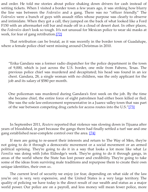and order. He told me stories about police shaking down drivers for cash instead of writing tickets. When I visited a border town a few years ago, it was striking how blurry the line was between the *Federales* and a gang. There was no "officer friendly." The *Federales* were a bunch of guys with assault rifles whose purpose was clearly to observe and intimidate. When they got a call, they jumped on the back of what looked like a Ford F150 with an aftermarket roll bar and made off in a cloud of desert dust. In other places, the *Federales* don't look so tough. It's not unusual for Mexican police to wear ski masks at work, for fear of gang retribution.<sup>[72]</sup>

<span id="page-86-0"></span>That retribution can be brutal, as it was recently in the border town of Guadalupe, where a female police chief went missing around Christmas in 2010.

"Erika Gandara was a former radio dispatcher for the police department in the town of 9,000, which is just across the U.S. border, one mile from Fabens, Texas. The previous police chief was murdered and decapitated; his head was found in an ice chest. Gandara, 28, a single woman with no children, was the only applicant for the job and its salary of \$580 per month.

<span id="page-86-1"></span>One policeman was murdered during Gandara's first week on the job. By the time she became chief, the entire force of eight patrolmen had either been killed or fled. She was the sole law enforcement representative in a Juarez valley town that was part of the war between competing drug cartels for access routes into the U.S.["\[73\]](#page-100-14)

<span id="page-86-2"></span>In September 2011, *Reuters* reported that violence was slowing down in Tijuana after years of bloodshed, in part because the gangs there had finally settled a turf war and one gang established near-complete control over the area. [\[74\]](#page-100-15)

If men are going to re-assert their interests and return to The Way of Men, they're not going to do it through a democratic movement or a social movement or an armed political uprising. They're going to do it in a way that looks a lot more like what *La Familia* was doing with John Eldredge's work*.* They're going to do it through gangs, in areas of the world where the State has lost power and credibility. They're going to take some of the ideas from surviving male traditions and repurpose them to create their own unique identities, their own *us*.

The current level of security we enjoy (or fear, depending on what side of the law you're on) is very, very expensive, and the United States is a very large territory. The quality of policing we have today is the direct result of our wealth and status as a major world power. Our police are on a payroll, and less money will mean fewer police, more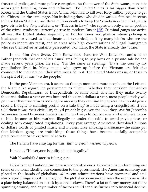<span id="page-87-0"></span>frustrated police, and more police corruption. As the power of the State wanes, nonstate actors gain breathing room and influence. The United States is far bigger than North Korea, and the United States is not China. Mao had to kill over forty million people to get the Chinese on the same page. Not including those who died in various famines, it seems to have taken Stalin *at least* three million deaths to keep the Soviets in order. His tyranny gave birth to the *Vory v Zakone*, or "Thieves in Law," who represent only a small portion of the crime syndicates currently active in modern Russia[.\[75\]](#page-100-16) Criminal gangs are active all over the United States, especially in border zones and ghettos where policing is inadequate or viewed as illegitimate and tyrannical, as it by many blacks who see the police as inherently racist, and in areas with high concentrations of illegal immigrants who see themselves as unfairly persecuted. For many, the State is already the "other."

In the film *Gran Torino*, Clint Eastwood's character Walt Kowalski confessed to Father Janovich that one of his "sins" was failing to pay taxes on a private sale he had made several years prior. He said, "It's the same as stealing." That's the country my grandfather lived in. Many people who grew up before the Vietnam era felt *that* connected to their nation. They were invested in it. The United States was *us*, or truer to the spirit of it, it was "we the people."

In the post-Vietnam era, it seems as though more and more people on the Left and the Right alike regard the government as "them." Whether they consider themselves Democrats, Republicans, or Independents of some kind, whether they make twenty thousand dollars a year or two hundred thousand dollars a year, most people today will pour over their tax returns looking for any way they can find to pay *less.* Few would give a second thought to claiming profits on a sale they've made using a craigslist ad. If you told them it was their civic duty, they'd probably give you the look they save for Jehovah's Witnesses. Small business owners usually find ways to cut corners, and many are happy to hide income or hire workers illegally or under the table to avoid paying taxes or dealing with complicated regulations. Every year average Americans download billions of dollars worth of pirated music and movies. Like smoking marijuana—the same pot that Mexican gangs are trafficking—these things have become socially acceptable practices at almost every level of society.

The Italians have a saying for this. *Tutti colpevoli, nessuno colpevole.*

It means, "If everyone is guilty, no one is guilty."

Walt Kowalski's America is long gone.

Globalism and nationalism have irreconcilable ends. Globalism is undermining our sense of national identity, our connection to the government. The American economy was placed in the hands of globalists—*all* recent administrations have promoted and said starry eyed things about the magic of the global economy—and now the economy is like a plate being balanced on a stick by a circus clown. There's a lot of funny money out there spinning around, and any number of factors could send us further into financial decline.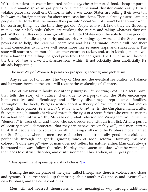We're dependent on cheap imported technology, cheap imported food, cheap imported fuel. A dramatic spike in gas prices or a major national disaster could easily turn a volatile place like Southern California into a war zone. States are selling their own toll highways to foreign nations for short term cash infusions. There's already a sense among people under forty that the money they pay into Social Security won't be there—or won't be worth anything—by the time they get old. People who work know they are throwing money into a black hole. Others are working the system and taking whatever they can get. Without endless economic growth, the United States won't be able to make good on its promises of endless prosperity and security. As things get worse and the State seems powerless to help, the State will seem less and less legitimate. People will lose their moral connection to it. Laws will seem more like revenue traps and shakedowns. The state will start to seem more like another extortion racket, and, as in Mexico, people will have a harder time telling the good guys from the bad guys. The U.S. of *us* will become the U.S. of *them* and we'll Balkanize from within. If not officially, then unofficially. It's already happening.

The new Way of Women depends on prosperity, security, and globalism.

Any return of honor and The Way of Men and the eventual restoration of balance and harmony between the sexes will require the weakening of all three.

One of my favorite books is Anthony Burgess' *The Wanting Seed.* It's a sci-fi novel that tells the story of a future when, due to overpopulation, the State encourages homosexuality and effeminacy and officially discourages reproductive families. Throughout the book, Burgess writes about a theory of cyclical history that moves through three phases: *Pelphase, Interphase*, and *Gusphase*. In the Gusphase, named after St. Augustine, humanity is viewed through the eyes of a stern father who expects men to be violent and untrustworthy. Men see only what Peterson and Wrangham would call the "demonic" in each other and those who seek order rule with an iron fist. After a period of security, people demonstrate that they can behave reasonably well, and men start to think that people are not so bad after all. Thinking shifts into the Pelphase mode, named for St. Pelagius, wherein men see each other as intrinsically good, peaceful, and perfectible through the gentle, guiding touch of social reform. However, this rose colored, "noble savage" view of man does not reflect his nature, either. Man can't always be trusted to always follow the rules. He plays the system and does what he wants, and that leads to distrust, disorder, and disillusionment. This is when, as Burgess put it:

<span id="page-88-0"></span>"Disappointment opens up a vista of chaos.["\[76\]](#page-100-17)

During the middle phase of the cycle, called Interphase, there is violence and chaos and tyranny. It's a great shake-up that brings about another Gusphase, and eventually, a new Pelphase, and the cycle continues.

Men will not reassert themselves in any meaningful way through additional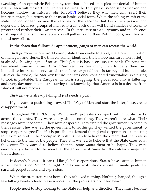tweaking of an optimistic Pelagian system that is based on a pleasant denial of human nature. Men will reassert their interests during the Interphase. When states weaken and become "hollow" as futurist John Robb[\[77\]](#page-101-0) believes they will, men will assert their interests through a return to their most basic social form. When the aching womb of the state can no longer provide the services or the security that keep men passive and dependent, localized groups of men who trust each other will build smaller networks to protect and further their own interests. In the presence of weak tyranny and the absence of strong nationalism, the shepherds will gather round their Robin Hoods, and they will found new tribes.

## <span id="page-89-0"></span>**In the chaos that follows disappointment, gangs of men can restart the world.**

*Their future*—the one world nanny state from cradle to grave, the global civilization of managers and clerks, the thin consumer identities, the bonobo masturbation society is already showing signs of stress. *Their future* is based on unsustainable illusions and lies about human nature. *Their future* requires too many men to deny their own immediate interests to serve an abstract "greater good" that is far beyond human scale. All over the world, the *Star Trek* future that was once considered "inevitable" is starting to look improbable. The European Union is struggling, the global economy is faltering, and every day more people are starting to acknowledge that America is in a decline from which it will not recover.

*Their future* is already falling. It just needs a push.

If you want to push things toward The Way of Men and start the Interphase, create disappointment.

Throughout 2011, "Occupy Wall Street" protesters camped out in public parks across the country. They were angry about something. They weren't sure what. Their messages were incoherent. They were desperate. They wanted the government to come to their rescue. They wanted the government to fix things. They wanted the government to stop "corporate greed" as if it is possible to demand that global corporations stop acting to maximize profit. The "occupants" still just barely believed the dream that the State is beholden to the will of the people. They still wanted to believe that the State cares what they want. They wanted to believe that the state wants them to be happy. They were emotionally attached to the idea that the government cares, but they already suspected that it doesn't.

It doesn't, because it can't. Like global corporations, States have escaped human scale. There is no "man" to fight. States are institutions whose ultimate goals are survival, perpetuation, and expansion.

When the protesters went home, they achieved nothing. Nothing changed, though a few talking heads offered reassurances that the protesters had been heard.

People need to stop looking to the State for help and direction. They must become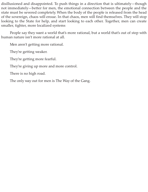disillusioned and disappointed. To push things in a direction that is ultimately—though not immediately—better for men, the emotional connection between the people and the state must be severed completely. When the body of the people is released from the head of the sovereign, chaos will ensue. In that chaos, men will find themselves. They will stop looking to the State for help, and start looking to each other. Together, men can create smaller, tighter, more localized systems

People say they want a world that's more rational, but a world that's out of step with human nature isn't more rational at all.

Men aren't getting more rational.

They're getting weaker.

They're getting more fearful.

They're giving up more and more control.

There is no high road.

The only way out for men is The Way of the Gang.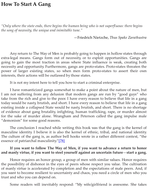# **How To Start A Gang**

*"Only where the state ends, there begins the human being who is not superfluous: there begins the song of necessity, the unique and inimitable tune."*

—Friedrich Nietzche, *Thus Spake Zarathustra*

Any return to The Way of Men is probably going to happen in hollow states through extra-legal means. Gangs form out of necessity, or to exploit opportunities. Gangs are going to gain the most traction in areas where State influence is weak, creating both necessity and opportunity. Furthermore, gangs are proto-states. Proto-states threaten the power of larger existing states, so when men form proto-states to assert their own interests, their actions will be outlawed by those states.

It is not my intent here to tell you how to start a criminal enterprise.

I have romanticized gangs somewhat to make a point about the nature of men, but I am not suffering from any delusion that modern gangs are run by "good guys" who take from the rich and give to the poor. I have every reason to believe that life in a gang today would be nasty, brutish, and short. I have every reason to believe that life in a gang existing inside a collapsed State would be nasty, brutish, and short. There is no shortage of evidence about gang brutality, infighting, human trafficking, rape, or murder almost for the sake of murder alone. Wrangham and Peterson called the gang impulse male "demonism" for some good reasons.

The conclusion I reached while writing this book was that the gang is the kernel of masculine identity. I believe it is also the kernel of ethnic, tribal, and national identity. The culture of the gang is, as author bell hooks wrote in a rather different context, "the essence of patriarchal masculinity."[\[78\]](#page-101-1)

#### <span id="page-91-0"></span>**If you want to follow The Way of Men, if you want to advance a return to honor and manly virtue, if you want to steel yourself against an uncertain future**—**start a gang.**

Honor requires an honor group, a group of men with similar values. Honor requires the possibility of dishonor in the eyes of peers whose respect you value. The cultivation of manly virtue is accelerated by completion and the expectations of male peers. And, if you want to become resilient to uncertainty and chaos, you need a circle of men who you trust and who you can depend on.

Some readers will inevitably respond: "My wife/girlfriend is awesome. She takes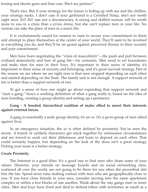boxing and shoots guns and fixes cars. She's my partner."

That's nice. But if your strategy for the future is holing up with ma and the chillins, your strategy sucks. I don't care if your girlfriend is a Certified Ninja, she's not worth eight men. *Kill Bill* was not a documentary. A strong and skillful woman will be worth more to you in a crisis than a *prima donna*, but she can't replace men in your life. No woman can take the place of men in a man's life.

It is evolutionarily sound for women to want to secure your commitment to them and attempt to place themselves at the center of your world. They'll want to be involved in everything you do, and they'll be on guard against perceived threats to their security and your commitment.

Men have been negotiating the "crisis of masculinity"—the push and pull between civilized domesticity and lure of gang life—for centuries. Men need to set boundaries and make time for men in their lives. It's important to their sense of identity, it's important to their sense of security and belonging, and it's good survival strategy. Part of the reason we are where we are right now is that men stopped depending on each other and started depending on the State. The family unit is not enough. A support network of ten is better than a support network of two.

To get a sense of how one might go about expanding that support network and "start a gang," here's a working definition of what a gang really is, based on the idea of men bonding, creating a group identity and setting up a perimeter:

#### **Gang - A bonded, hierarchical coalition of males allied to assert their interests against external forces.**

A gang is essentially a male group identity, it's an *us*. It's a go-to group of men allied against *them*.

In an emergency situation, the *us* is often defined by proximity. You've seen the movie. A bunch of unlikely characters get stuck together by unforeseen circumstances and are forced to work out their differences and learn to depend on each other. That could certainly happen, but depending on the luck of the draw isn't a great strategy. Picking your team is a better strategy.

## **Create Proximity**

The Internet is a good filter. It's a good way to find men who share some of your values. However, your friends on message boards and on social networking sites, scattered all over the world, are not going to be there for you when the proverbial shit hits the fan. Spend more time making contact with men who are geographically close to you. If you have close friends in your area, consider moving into the same apartment complex or within a few blocks of one another. Think about the way gangs start in inner cities. Men and boys have lived and died to defend tribes with territories as small as a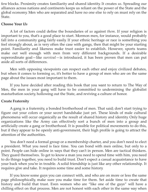few blocks. Proximity creates familiarity and shared identity. It creates *us*. Spreading our alliances across nations and continents keeps us reliant on the power of the State and the global economy. Men who are separated and have no one else to rely on must rely on the State.

# **Choose Your** *Us*

A lot of factors could define the boundaries of *us* against *them*. If your religion is important to you, that's a good place to start. Mormon men, for instance, would probably fall into a community gang fairly easily. If your ethnic heritage or race is something you feel strongly about, as is very often the case with gangs, then that might be your starting point. Familiarity and likeness make trust easier to establish. However, sports teams make out well enough with men from very different backgrounds. If a desirable superordinate goal—like *survival*—is introduced, it has been proven that men can put aside all sorts of differences.

Men with opposing viewpoints can respect each other and enjoy civilized debates, but when it comes to forming *us*, it's better to have a group of men who are on the same page about the issues most important to them.

If you have decided after reading this book that you want to return to The Way of Men, the men in your gang will have to be committed to undermining the globalist masturbation society, hollowing out the State, and reviving a culture of honor.

# **Create Fraternity**

A gang is a fraternity, a bonded brotherhood of men. That said; don't start trying to figure out your colors or your secret handshake just yet. These kinds of male cultural phenomena will occur organically as the result of shared history and identity. Only huge organizations like the Army can effectively sort a bunch of men into a group and artificially create a gang or brotherhood. It is possible for political movements to do this, but if they appear to be openly anti-government, their high profile is going to attract the attention of the authorities.

You don't need a formal group or a membership charter, and you don't need to elect a president. What you need is face time. You can bond with men online, but only to a point. People can hide online in ways that they can't in person. Men are tactical thinkers. They guard themselves. To get to know a man you need to spend time with him, you need to do things together, you need to build trust. Don't expect a casual acquaintance to have your back when you're in trouble. A solid friendship is just like any other relationship. It requires give and take. It requires some time and some history.

If you know some guys you can connect with, and who are on more or less the same page philosophically, make sure you make time for them. Set aside time to create that history and build that trust. Even women who are "like one of the guys" will have a chilling effect on that process. Men are not honest with each other in the same way when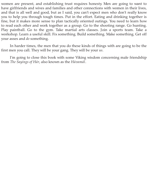women are present, and establishing trust requires honesty. Men are going to want to have girlfriends and wives and families and other connections with women in their lives, and that is all well and good, but as I said, you can't expect men who don't really know you to help you through tough times. Put in the effort. Eating and drinking together is fine, but it makes more sense to plan tactically oriented outings. You need to learn how to read each other and work together as a group. Go to the shooting range. Go hunting. Play paintball. Go to the gym. Take martial arts classes. Join a sports team. Take a workshop. Learn a useful skill. Fix something. Build something. Make something. Get off your asses and *do* something.

In harder times, the men that you do these kinds of things with are going to be the first men you call. They will be your gang. They will be your *us*.

I'm going to close this book with some Viking wisdom concerning male friendship from *The Sayings of Hár*, also known as the *Hávamál*.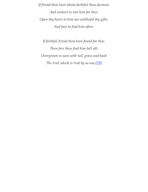*If friend thou hast whom faithful thou deemest, And wishest to win him for thee: Open thy heart to him nor withhold thy gifts, And fare to find him often.*

<span id="page-95-0"></span>*If faithful friend thou hast found for thee, Then fare thou find him full oft; Overgrown is soon with tall grass and bush The trail which is trod by no one.[\[79\]](#page-101-2)*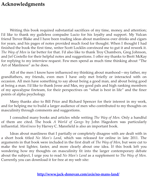# **Acknowledgments**

Writing this book required substantial sacrifices of my time, money, and attention; I'd like to thank my guileless compadre Lucio for his loyalty and support. My Vulcan friend Trevor Blake and I have been trading ideas about manliness over drinks and cigars for years, and his pages of notes provided much food for thought. When I thought I had finished the book the first time, writer Scott Locklin convinced me to gut it and rework it. *The Way of Men* is far better for that. I'd also like to thank Troy Chambers, Greg Johnson, and Jef Costello for their helpful notes and suggestions. I offer my thanks to Brett McKay for replying to my interview request. Few men spend as much time thinking about "The Art of Manliness" as he does.

All of the men I know have influenced my thinking about manhood—my father, my grandfathers, my friends, even men I have only met briefly or interacted with on occasion. All men have something to say about being a good man, and about being good at being a man. I'd like to thank Jesse and Max, my good pals and high ranking members of my apocalypse fireteam, for their perspectives on "what is best in life" and the finer points of alpha psychology.

Many thanks also to Bill Price and Richard Spencer for their interest in my work, and for helping me to build a larger audience of men who contributed to my thoughts on masculinity through comments and suggestions.

I consulted many books and articles while writing *The Way of Men.* Only a handful of them are cited. The book *A World of Gangs* by John Hagedorn was particularly influential. *Manliness* by Harvey C. Mansfield is also an important book.

Ideas about manliness that I partially or completely disagree with are dealt with in a short book titled *No Man's Land*, which was released for online in late 2011. The arguments in that book were included in the first draft of *The Way of Men*, but were cut to make the text lighter, faster, and more clearly about one idea. If this book left you wondering how my thoughts on masculinity fit into the larger contemporary debate about the subject, I urge you to read *No Man's Land* as a supplement to *The Way of Men.* Currently, you can download it for free at my web site: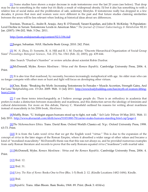[\[1\]](#page-9-0) Some studies have shown a major decrease in male testosterone over the last 20 years (see below). That drop may be due to something in the water but it's likely a result of widespread obesity. I'd bet it also has something to with a relative loss of social status and the proliferation of safe, sedentary lifestyles. If testosterone really has dropped in a few decades, it proves that men and women were *more* different in the past and that future studies claiming similarities between the sexes will be less relevant when looking at historical ideas about sex differences.

Travison, Thomas G., Andre B. Araujo, Amy B. O'Donnell, Varant Kupelian, and John B. McKinlay. "A Population-Level Decline in Serum Testosterone Levels in American Men." *The Journal of Clinical Endocrinology & Metabolism* 92.11 Jan. (2007): 196-202. Web. 5 Dec. 2011.

<http://jcem.endojournals.org/content/92/1/196.full>

[\[2\]](#page-11-0)Junger, Sebastian. *WAR*. Hachette Book Group, 2010. 242. Print.

[\[3\]](#page-11-1) W. -X. Zhou, D. Sornette, R. A. Hill and R. I. M. Dunbar. "Discrete Hierarchical Organization of Social Group Sizes" *Proceedings: Biological Sciences* , Vol. 272, No. 1561 (Feb. 22, 2005), pp. 439-444.

Also: Search "Dunbar's Number" or review articles about scientist Robin Dunbar.

[\[4\]](#page-15-0)McDonnell, Myles. *Roman Manliness : Virtus and the Roman Republic*. Cambridge University Press, 2006. 4. Print.

[\[5\]](#page-15-1) It is also true that manhood, by necessity, becomes increasingly metaphorical with age. An older man who can no longer compete with other men or hunt and fight will focus on developing other virtues.

[\[6\]](#page-20-0)Chee, Rosie. "Breaking the Myth: Increasing Testosterone In Females = Muscle Accretion, Strength Gains, And Fat Loss."Bodybuilding.com. 15 Oct. 2009. Web. 11 July 2011. [http://www.bodybuilding.com/fun/myth-of-women-lifting](http://www.bodybuilding.com/fun/myth-of-women-lifting-heavy2.htm)heavy2.htm

[\[7\]](#page-20-1) I use these terms interchangeably, as I believe average people do. There is an orthodoxy in academia that prefers to make a distinction between masculinity and manliness, and this distinction serves the ideology of feminists and cultural determinists. For more on this debate, Harvey C. Mansfield outlined his reasons for writing about manliness instead of masculinity in his 2006 book, *Manliness*.

[\[8\]](#page-20-2)Maffly, Brian. "U. biologist argues humans stood up to fight, not walk." *Salt Lake Tribune* 18 May 2011. Web. 11 July 2011. <http://www.ahorautah.com/sltrib/news/51831880-78/carrier-males-humans-standing.html.csp?page=1>

[\[9\]](#page-23-0)*The Nichomachean Ethics*. Trans. David Ross. Oxford World's Classics ed. N.p.: Oxford University Press, 1998. 63-73. Print.

[\[10\]](#page-24-0) It is from the Latin word *virtus* that we get the English word "virtue." This is due to the expansion of the concept of *virtus* in the later stages of the Roman Empire, where it absorbed a wider range of other values and became a kind of "moralized masculinity." McDonnell's thesis was that this was not always so, and he provided numerous examples from early Roman literature and records to prove that the early Romans equated *virtus* ("manliness") with martial valor.

[\[11\]](#page-24-1)McDonnell, Myles. *Roman Manliness : Virtus and the Roman Republic*. Cambridge University Press, 2006. 4. Print.

[\[12\]](#page-24-2) Ibid. 12.

[\[13\]](#page-24-3) Ibid. 31.

[\[14\]](#page-24-4) Livy. *The Rise of Rome*: Books One to Five (Bks. 1-5) Book 2: 12. (Kindle Locations 1482-1484). Kindle.

[\[15\]](#page-24-5) Ibid.

[\[16\]](#page-25-0)*Republic*. Trans. Allan Bloom. Basic Books, 1968. 89. Print. (Book 3: 410d-e)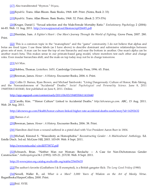[\[17\]](#page-25-1) Also transliterated "thymos." θύμος.

[\[18\]](#page-25-2)*Republic*. Trans. Allan Bloom. Basic Books, 1968. 449. Print. (Notes, Book 2: 33)

[\[19\]](#page-25-3)*Republic*. Trans. Allan Bloom. Basic Books, 1968. 52. Print. (Book 2: 373-376)

[\[20\]](#page-25-4)Kruger, Daniel J. "Sexual selection and the Male:Female Mortality Ratio." *Evolutionary Psychology* 2 (2004): 66-85. Web. 11 Aug. 2011. <http://www.epjournal.net/filestore/ep026685.pdf>

[\[21\]](#page-26-0)Sheridan, Sam. *A Fighter's Heart : One Man's Journey Through the World of Fighting*. Grove Press, 2007. 280. Print.

[\[22\]](#page-27-0) This is a common topic in the "manosphere" and the "game" community. I do not believe that alphas and betas are fixed types. I use these labels (as I have above) to describe dominant and submissive relationships between given sets of men. A man can be near the top of one hierarchy and near the bottom in another. One man's alpha can be another man's beta. This makes sense in our primate-based gang model, where members test each other and change roles. Even insular hierarchies shift, and the male on top today may not be in charge tomorrow.

[\[23\]](#page-27-1) h/t Max.

[\[24\]](#page-34-0)Hobbes, Thomas. *Leviathan*. 1651. Cambridge University Press, 1996. 65. Print.

[\[25\]](#page-35-0)Bowman, James. *Honor : A History*. Encounter Books, 2006. 6. Print.

[\[26\]](#page-36-0) Collin D. Barnes, Ryan Brown, and Michael Tamborski. "Living Dangerously: Culture of Honor, Risk-Taking, and the Nonrandomness of "Accidental" Deaths." *Social Psychological and Personality Science.* June 8, 2011 1948550611410440, first published on June 8, 2011. Online.

<http://spp.sagepub.com/content/early/2011/06/03/1948550611410440>

[\[27\]](#page-36-1)Carollo, Kim. ""Honor Culture" Linked to Accidental Deaths." *http://abcnews.go.com*. ABC, 15 Aug. 2011. Web. 28 Aug. 2011.

<http://abcnews.go.com/Health/honor-culture-linked-higher-rate-accidental-deaths-south/story?id=14292632>

[\[28\]](#page-36-2) Barnes *et al.*

[\[29\]](#page-36-3)Bowman, James. *Honor : A History*. Encounter Books, 2006. 38. Print.

[\[30\]](#page-37-0) Hamilton died from a wound suffered in a pistol duel with Vice President Aaron Burr in 1804.

[\[31\]](#page-39-0)Michael, Kimmel S. "Masculinity as Homophobia." *Reconstructing Gender : A Multicultural Anthology*. Ed. Estelle Disch. 3rd ed. McGraw Hill, 2003. 103-09. Web. 8 Sept. 2011.

<http://www.neiu.edu/~circill/F7587Z.pdf>

[\[32\]](#page-41-0)Schnarch, Brian. "Neither Man nor Woman: Berdache - A Case for Non-Dichotomous Gender Construction." *Anthropologica*34.1 (1992): 105-21. *JSTOR*. Web. 8 Sept. 2011.

<http://0-www.jstor.org.catalog.multcolib.org/stable/25605635>

[\[33\]](#page-43-0)The author's favorite (Godfathers I & II exempted), is a British gangster flick: *The Long Good Friday* (1980)

[\[34\]](#page-44-0)Newell, Waller R., ed. *What is a Man? 3,000 Years of Wisdom on the Art of Manly Virtue*. ReganBooks/HarperCollins, 2000. Print.

[\[35\]](#page-44-1)Ibid. XVIII.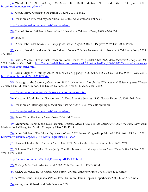[\[36\]](#page-45-0)"About Us." *The Art of Manliness*. Ed. Brett McKay. N.p., n.d. Web. 14 June 2011. <http://artofmanliness.com/about-2>

[\[37\]](#page-45-1)McKay, Brett. Message to the author. 30 June 2011. E-mail.

[\[38\]](#page-46-0) For more on this, read my short book *No Man's Land,* available online at:

<http://www.jack-donovan.com/axis/no-mans-land/>

[\[39\]](#page-47-0)Connell, Robert William. *Masculinities*. University of California Press, 1995. 67-86. Print.

[\[40\]](#page-47-1) Ibid. 69.

[\[41\]](#page-48-0)Dickie, John. *Cosa Nostra : A History of the Sicilian Mafia*. 2004. 31. Palgrave McMillan, 2005. Print.

[\[42\]](#page-48-1)Kaplan, David E., and Alec Dubro. *Yakuza : Japan's Criminal Underworld*. University of California Press, 2003. 17. Print.

[\[43\]](#page-49-0)Isikoff, Michael. "Feds Crack Down on 'Robin Hood' Drug Cartel." *The Daily Beast (Newsweek)*. N.p., 22 Oct. 2009. Web. 4 Oct. 2011. [http://www.thedailybeast.com/newsweek/blogs/declassified/2009/10/22/feds-crack-down-on](http://www.thedailybeast.com/newsweek/blogs/declassified/2009/10/22/feds-crack-down-on-robin-hood-drug-cartel.html)robin-hood-drug-cartel.html

[\[44\]](#page-49-1)Gibbs, Stephen. "'Family values' of Mexico drug gang." *BBC News*. BBC, 22 Oct. 2009. Web. 4 Oct. 2011. <http://news.bbc.co.uk/2/hi/8319924.stm>

[\[45\]](#page-49-2)"Message of the Secretary-General for 2011." *International Day for the Elimination of Violence against Women 25 November*. Ed. Ban Ki-moon. The United Nations, 25 Nov. 2011. Web. 9 Jan. 2012.

<http://www.un.org/en/events/endviolenceday/sgmessages.shtml>

[\[46\]](#page-49-3)Margaret, Mead. *Sex and Temperament: In Three Primitive Societies*. 1935. Harper Perennial, 2001. 262. Print.

[\[47\]](#page-49-4) For more on "Reimagining Masculinity," see *No Man's Land,* available online at:

<http://www.jack-donovan.com/axis/no-mans-land/>

[\[48\]](#page-52-0)Livius, Titus. *The Rise of Rome.* Oxford's World Classics.

[\[49\]](#page-55-0)Wrangham, Richard, and Dale Peterson. *Demonic Males : Apes and the Origins of Human Violence*. New York: Mariner Books/Houghton Mifflin Company, 1996. 248. Print.

[\[50\]](#page-56-0)James, William. "The Moral Equivalent of War." *Wikisource*. Originally published 1906. Web. 15 Sept. 2011. http://en.wikisource.org/wiki/The Moral Equivalent of War

[\[51\]](#page-60-0)Darwin, Charles. *The Descent of Man.* Orig. 1871. New Century Books. Kindle. Loc. 2623-2624.

[\[52\]](#page-63-0)Goldman, David P. (aka. "Spengler") "The fifth horseman of the apocalypse." *Asia Times Online* 13 Dec. 2011. Web. 6 Feb. 2012.

[http://atimes.com/atimes/Global\\_Economy/ML13Dj05.html](http://atimes.com/atimes/Global_Economy/ML13Dj05.html)

[\[53\]](#page-64-0)*28 Days Later*. Writ. Alex Garland. 2002. 20th Century Fox. DVD-ROM.

[\[54\]](#page-66-0)Keeley, Lawrence H. *War Before Civilization*. Oxford University Press, 1996. 1,016-172. Kindle.

[\[55\]](#page-66-1)de Waal, Frans. *Chimpanzee Politics*. 1982. Baltimore: Johns Hopkins Paperbacks, 2000. 1,055-58. Kindle.

[\[56\]](#page-67-0)Wrangham, Richard, and Dale Peterson. 205.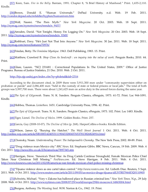[\[57\]](#page-67-1) Keen, Sam. *Fire in the Belly.* Bantam, 1991. Chapter 8, "A Brief History of Manhood." Print. 1,655-2,110. Kindle.

[\[58\]](#page-67-2)Brown, Donald E. "Human Universals." DePaul University, n.d. Web. 19 Feb. 2011. <http://condor.depaul.edu/mfiddler/hyphen/humunivers.htm>

<span id="page-100-0"></span>[\[59\]](#page-72-0)Wolf, Naomi. "The Porn Myth." *New York Magazine*. 20 Oct. 2003. Web. 18 Sept. 2011. [http://nymag.com/nymetro/news/trends/n\\_9437/](http://nymag.com/nymetro/news/trends/n_9437/)

<span id="page-100-1"></span>[\[60\]](#page-72-1)Amsden, David. "Not Tonight, Honey. I'm Logging On." *New York Magazine*. 20 Oct. 2003. Web. 18 Sept. 2011. [http://nymag.com/nymetro/news/trends/n\\_9349/](http://nymag.com/nymetro/news/trends/n_9349/)

<span id="page-100-2"></span>[\[61\]](#page-72-2)Rothbart, Davy. "He's Just Not That Into Anyone." *New York Magazine*. 30 Jan. 2011. Web. 18 Sept. 2011. <http://nymag.com/news/features/70976/>

<span id="page-100-4"></span><span id="page-100-3"></span>[\[62\]](#page-72-3)Friedan, Betty. *The Feminine Mystique*. 1963. Dell Publishing, 1983. 15. Print.

[\[63\]](#page-73-0)Matthew, Crawford B. *Shop Class As Soulcraft : an inquiry into the value of work*. Penguin Books, 2010. 44. Print.

<span id="page-100-5"></span>[\[64\]](#page-74-0)Glaze, Lauren. "NCJ 231681 : Correctional Populations In The United States, 2009." Office of Justice Programs. Bureau of Justice Statistics, 21 Dec. 2010. Web. 2 Oct. 2011.

<http://bjs.ojp.usdoj.gov/index.cfm?ty=pbdetail&iid=2316>

According to the document cited, in 2009 there were 3,911,300 men under "community supervision either on probation or parole" and 2,086,400 men "held in the custody of state or federal prisons or local jails." The total of both groups was 5,997,700 men. There were about 1,241,625 men on active duty in the armed forces during the same year.

<span id="page-100-6"></span>[\[65\]](#page-78-0)*The Epic of Gilgamesh*. Trans. N. K. Sanders. Penguin Classics, ePenguin, 1973. 61-72. Print. Loc 944-1091. Kindle.

<span id="page-100-7"></span>[\[66\]](#page-79-0)Hobbes, Thomas. *Leviathan*. 1651. Cambridge University Press, 1996. 42. Print.

<span id="page-100-8"></span>[\[67\]](#page-79-1)*The Epic of Gilgamesh*. Trans. N. K. Sanders. Penguin Classics, ePenguin, 1973. 102. Print. Loc 1483. Kindle.

<span id="page-100-9"></span>[\[68\]](#page-80-0)Tiger, Lionel. *The Decline of Males.* 1999. Golden Books. Print. 257.

<span id="page-100-11"></span><span id="page-100-10"></span>[\[69\]](#page-82-0)Garcia, Guy (2008-10-07). *The Decline of Men* (p. 268). HarperCollins e-books. Kindle Edition.

[\[70\]](#page-82-1)Wilson, James Q. "Burying the Hatchet." *The Wall Street Journal* 1 Oct. 2011. Web. 4 Oct. 2011. <http://online.wsj.com/article/SB10001424053111904332804576537813826824914.html>

<span id="page-100-13"></span><span id="page-100-12"></span>[\[71\]](#page-84-0)Chomsky, Noam. *Understanding Power: The Indispensable Chomsky*. The New York Press, 2002. 88-89. Print.

[\[72\]](#page-86-0)"Drug violence mars Mexico city." *BBC News*. Ed. Stephanie Gibbs. BBC News, Cancun, 19 Feb. 2009. Web. 4 Oct. 2011. <http://news.bbc.co.uk/2/hi/americas/7897345.stm>

<span id="page-100-14"></span>[\[73\]](#page-86-1)Harrigan, Steve. "America's Third War: As Drug Cartels Continue Stronghold, Female Mexican Police Chief Taken Near Christmas Still Missing." *FoxNews.com*. Ed. Steve Harrigan. 8 Feb. 2011. Web. 4 Oct. 2011. <http://www.foxnews.com/us/2011/02/08/americas-war-female-mexican-chief-police-missing-christmas>

<span id="page-100-15"></span>[\[74\]](#page-86-2)"Tijuana violence slows as one cartel takes control." *http://www.reuters.com*. Ed. Lizbeth Diaz. Reuters, 5 Sept. 2011. Web. 4 Oct. 2011. <http://www.reuters.com/article/2011/09/05/us-mexico-drugs-tijuana-idUSTRE7844EX20110905>

<span id="page-100-16"></span>[\[75\]](#page-87-0)Schwirtz, Michael. "Vory v Zakone has hallowed place in Russian criminal lore." *New York Times*. N.p., 29 July 2008. Web. 4 Oct. 2011. <http://www.nytimes.com/2008/07/29/world/europe/29iht-moscow.4.14865004.html>

<span id="page-100-17"></span>[\[76\]](#page-88-0)Burgess, Anthony. *The Wanting Seed*. W.W. Norton & Co., 1962. 19. Print.